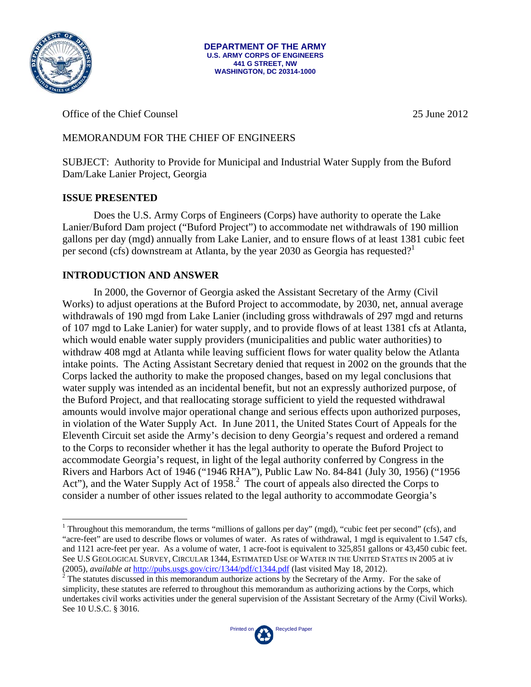

1

**DEPARTMENT OF THE ARMY U.S. ARMY CORPS OF ENGINEERS 441 G STREET, NW WASHINGTON, DC 20314-1000** 

Office of the Chief Counsel 25 June 2012

# MEMORANDUM FOR THE CHIEF OF ENGINEERS

SUBJECT: Authority to Provide for Municipal and Industrial Water Supply from the Buford Dam/Lake Lanier Project, Georgia

# **ISSUE PRESENTED**

Does the U.S. Army Corps of Engineers (Corps) have authority to operate the Lake Lanier/Buford Dam project ("Buford Project") to accommodate net withdrawals of 190 million gallons per day (mgd) annually from Lake Lanier, and to ensure flows of at least 1381 cubic feet per second (cfs) downstream at Atlanta, by the year 2030 as Georgia has requested?<sup>1</sup>

# **INTRODUCTION AND ANSWER**

In 2000, the Governor of Georgia asked the Assistant Secretary of the Army (Civil Works) to adjust operations at the Buford Project to accommodate, by 2030, net, annual average withdrawals of 190 mgd from Lake Lanier (including gross withdrawals of 297 mgd and returns of 107 mgd to Lake Lanier) for water supply, and to provide flows of at least 1381 cfs at Atlanta, which would enable water supply providers (municipalities and public water authorities) to withdraw 408 mgd at Atlanta while leaving sufficient flows for water quality below the Atlanta intake points. The Acting Assistant Secretary denied that request in 2002 on the grounds that the Corps lacked the authority to make the proposed changes, based on my legal conclusions that water supply was intended as an incidental benefit, but not an expressly authorized purpose, of the Buford Project, and that reallocating storage sufficient to yield the requested withdrawal amounts would involve major operational change and serious effects upon authorized purposes, in violation of the Water Supply Act. In June 2011, the United States Court of Appeals for the Eleventh Circuit set aside the Army's decision to deny Georgia's request and ordered a remand to the Corps to reconsider whether it has the legal authority to operate the Buford Project to accommodate Georgia's request, in light of the legal authority conferred by Congress in the Rivers and Harbors Act of 1946 ("1946 RHA"), Public Law No. 84-841 (July 30, 1956) ("1956 Act"), and the Water Supply Act of  $1958<sup>2</sup>$ . The court of appeals also directed the Corps to consider a number of other issues related to the legal authority to accommodate Georgia's

 $\frac{1}{2}$  The statutes discussed in this memorandum authorize actions by the Secretary of the Army. For the sake of simplicity, these statutes are referred to throughout this memorandum as authorizing actions by the Corps, which undertakes civil works activities under the general supervision of the Assistant Secretary of the Army (Civil Works). See 10 U.S.C. § 3016.



<sup>&</sup>lt;sup>1</sup> Throughout this memorandum, the terms "millions of gallons per day" (mgd), "cubic feet per second" (cfs), and "acre-feet" are used to describe flows or volumes of water. As rates of withdrawal, 1 mgd is equivalent to 1.547 cfs, and 1121 acre-feet per year. As a volume of water, 1 acre-foot is equivalent to 325,851 gallons or 43,450 cubic feet. See U.S GEOLOGICAL SURVEY, CIRCULAR 1344, ESTIMATED USE OF WATER IN THE UNITED STATES IN 2005 at iv (2005), *available at* http://pubs.usgs.gov/circ/1344/pdf/c1344.pdf (last visited May 18, 2012). 2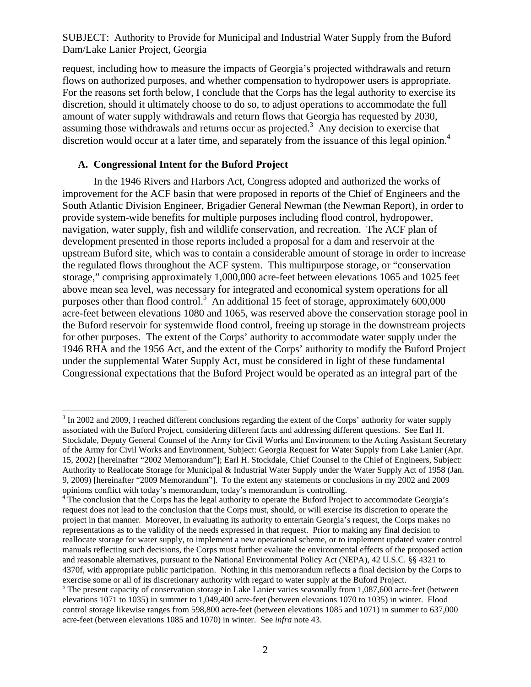request, including how to measure the impacts of Georgia's projected withdrawals and return flows on authorized purposes, and whether compensation to hydropower users is appropriate. For the reasons set forth below, I conclude that the Corps has the legal authority to exercise its discretion, should it ultimately choose to do so, to adjust operations to accommodate the full amount of water supply withdrawals and return flows that Georgia has requested by 2030, assuming those withdrawals and returns occur as projected.<sup>3</sup> Any decision to exercise that discretion would occur at a later time, and separately from the issuance of this legal opinion.<sup>4</sup>

#### **A. Congressional Intent for the Buford Project**

 $\overline{a}$ 

 In the 1946 Rivers and Harbors Act, Congress adopted and authorized the works of improvement for the ACF basin that were proposed in reports of the Chief of Engineers and the South Atlantic Division Engineer, Brigadier General Newman (the Newman Report), in order to provide system-wide benefits for multiple purposes including flood control, hydropower, navigation, water supply, fish and wildlife conservation, and recreation. The ACF plan of development presented in those reports included a proposal for a dam and reservoir at the upstream Buford site, which was to contain a considerable amount of storage in order to increase the regulated flows throughout the ACF system. This multipurpose storage, or "conservation storage," comprising approximately 1,000,000 acre-feet between elevations 1065 and 1025 feet above mean sea level, was necessary for integrated and economical system operations for all purposes other than flood control.<sup>5</sup> An additional 15 feet of storage, approximately 600,000 acre-feet between elevations 1080 and 1065, was reserved above the conservation storage pool in the Buford reservoir for systemwide flood control, freeing up storage in the downstream projects for other purposes. The extent of the Corps' authority to accommodate water supply under the 1946 RHA and the 1956 Act, and the extent of the Corps' authority to modify the Buford Project under the supplemental Water Supply Act, must be considered in light of these fundamental Congressional expectations that the Buford Project would be operated as an integral part of the

 $3 \text{ In } 2002$  and 2009, I reached different conclusions regarding the extent of the Corps' authority for water supply associated with the Buford Project, considering different facts and addressing different questions. See Earl H. Stockdale, Deputy General Counsel of the Army for Civil Works and Environment to the Acting Assistant Secretary of the Army for Civil Works and Environment, Subject: Georgia Request for Water Supply from Lake Lanier (Apr. 15, 2002) [hereinafter "2002 Memorandum"]; Earl H. Stockdale, Chief Counsel to the Chief of Engineers, Subject: Authority to Reallocate Storage for Municipal & Industrial Water Supply under the Water Supply Act of 1958 (Jan. 9, 2009) [hereinafter "2009 Memorandum"]. To the extent any statements or conclusions in my 2002 and 2009 opinions conflict with today's memorandum, today's memorandum is controlling.<br><sup>4</sup> The conclusion that the Corps has the legal authority to operate the Buford Project to accommodate Georgia's

request does not lead to the conclusion that the Corps must, should, or will exercise its discretion to operate the project in that manner. Moreover, in evaluating its authority to entertain Georgia's request, the Corps makes no representations as to the validity of the needs expressed in that request. Prior to making any final decision to reallocate storage for water supply, to implement a new operational scheme, or to implement updated water control manuals reflecting such decisions, the Corps must further evaluate the environmental effects of the proposed action and reasonable alternatives, pursuant to the National Environmental Policy Act (NEPA), 42 U.S.C. §§ 4321 to 4370f, with appropriate public participation. Nothing in this memorandum reflects a final decision by the Corps to exercise some or all of its discretionary authority with regard to water supply at the Buford Project. 5

 $5$  The present capacity of conservation storage in Lake Lanier varies seasonally from 1,087,600 acre-feet (between elevations 1071 to 1035) in summer to 1,049,400 acre-feet (between elevations 1070 to 1035) in winter. Flood control storage likewise ranges from 598,800 acre-feet (between elevations 1085 and 1071) in summer to 637,000 acre-feet (between elevations 1085 and 1070) in winter. See *infra* note 43.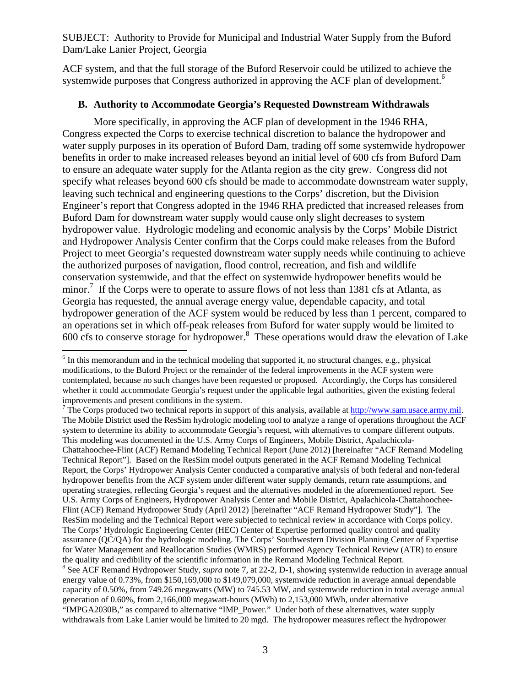ACF system, and that the full storage of the Buford Reservoir could be utilized to achieve the systemwide purposes that Congress authorized in approving the ACF plan of development.<sup>6</sup>

## **B. Authority to Accommodate Georgia's Requested Downstream Withdrawals**

More specifically, in approving the ACF plan of development in the 1946 RHA, Congress expected the Corps to exercise technical discretion to balance the hydropower and water supply purposes in its operation of Buford Dam, trading off some systemwide hydropower benefits in order to make increased releases beyond an initial level of 600 cfs from Buford Dam to ensure an adequate water supply for the Atlanta region as the city grew. Congress did not specify what releases beyond 600 cfs should be made to accommodate downstream water supply, leaving such technical and engineering questions to the Corps' discretion, but the Division Engineer's report that Congress adopted in the 1946 RHA predicted that increased releases from Buford Dam for downstream water supply would cause only slight decreases to system hydropower value. Hydrologic modeling and economic analysis by the Corps' Mobile District and Hydropower Analysis Center confirm that the Corps could make releases from the Buford Project to meet Georgia's requested downstream water supply needs while continuing to achieve the authorized purposes of navigation, flood control, recreation, and fish and wildlife conservation systemwide, and that the effect on systemwide hydropower benefits would be minor.<sup>7</sup> If the Corps were to operate to assure flows of not less than 1381 cfs at Atlanta, as Georgia has requested, the annual average energy value, dependable capacity, and total hydropower generation of the ACF system would be reduced by less than 1 percent, compared to an operations set in which off-peak releases from Buford for water supply would be limited to  $600$  cfs to conserve storage for hydropower.<sup>8</sup> These operations would draw the elevation of Lake

 $\overline{a}$ 

<sup>7</sup> The Corps produced two technical reports in support of this analysis, available at http://www.sam.usace.army.mil. The Mobile District used the ResSim hydrologic modeling tool to analyze a range of operations throughout the ACF system to determine its ability to accommodate Georgia's request, with alternatives to compare different outputs. This modeling was documented in the U.S. Army Corps of Engineers, Mobile District, Apalachicola-Chattahoochee-Flint (ACF) Remand Modeling Technical Report (June 2012) [hereinafter "ACF Remand Modeling Technical Report"]. Based on the ResSim model outputs generated in the ACF Remand Modeling Technical Report, the Corps' Hydropower Analysis Center conducted a comparative analysis of both federal and non-federal hydropower benefits from the ACF system under different water supply demands, return rate assumptions, and operating strategies, reflecting Georgia's request and the alternatives modeled in the aforementioned report. See U.S. Army Corps of Engineers, Hydropower Analysis Center and Mobile District, Apalachicola-Chattahoochee-Flint (ACF) Remand Hydropower Study (April 2012) [hereinafter "ACF Remand Hydropower Study"]. The ResSim modeling and the Technical Report were subjected to technical review in accordance with Corps policy. The Corps' Hydrologic Engineering Center (HEC) Center of Expertise performed quality control and quality assurance (QC/QA) for the hydrologic modeling. The Corps' Southwestern Division Planning Center of Expertise for Water Management and Reallocation Studies (WMRS) performed Agency Technical Review (ATR) to ensure the quality and credibility of the scientific information in the Remand Modeling Technical Report. <sup>8</sup> See ACF Remand Hydropower Study, *supra* note 7, at 22-2, D-1, showing systemwide reduction in average annual energy value of 0.73%, from \$150,169,000 to \$149,079,000, systemwide reduction in average annual dependable capacity of 0.50%, from 749.26 megawatts (MW) to 745.53 MW, and systemwide reduction in total average annual generation of 0.60%, from 2,166,000 megawatt-hours (MWh) to 2,153,000 MWh, under alternative "IMPGA2030B," as compared to alternative "IMP\_Power." Under both of these alternatives, water supply withdrawals from Lake Lanier would be limited to 20 mgd. The hydropower measures reflect the hydropower

<sup>&</sup>lt;sup>6</sup> In this memorandum and in the technical modeling that supported it, no structural changes, e.g., physical modifications, to the Buford Project or the remainder of the federal improvements in the ACF system were contemplated, because no such changes have been requested or proposed. Accordingly, the Corps has considered whether it could accommodate Georgia's request under the applicable legal authorities, given the existing federal improvements and present conditions in the system.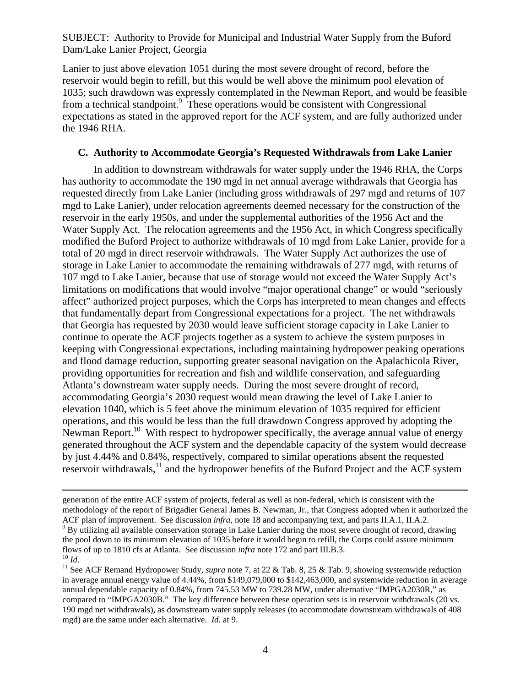Lanier to just above elevation 1051 during the most severe drought of record, before the reservoir would begin to refill, but this would be well above the minimum pool elevation of 1035; such drawdown was expressly contemplated in the Newman Report, and would be feasible from a technical standpoint.<sup>9</sup> These operations would be consistent with Congressional expectations as stated in the approved report for the ACF system, and are fully authorized under the 1946 RHA.

#### **C. Authority to Accommodate Georgia's Requested Withdrawals from Lake Lanier**

 In addition to downstream withdrawals for water supply under the 1946 RHA, the Corps has authority to accommodate the 190 mgd in net annual average withdrawals that Georgia has requested directly from Lake Lanier (including gross withdrawals of 297 mgd and returns of 107 mgd to Lake Lanier), under relocation agreements deemed necessary for the construction of the reservoir in the early 1950s, and under the supplemental authorities of the 1956 Act and the Water Supply Act. The relocation agreements and the 1956 Act, in which Congress specifically modified the Buford Project to authorize withdrawals of 10 mgd from Lake Lanier, provide for a total of 20 mgd in direct reservoir withdrawals. The Water Supply Act authorizes the use of storage in Lake Lanier to accommodate the remaining withdrawals of 277 mgd, with returns of 107 mgd to Lake Lanier, because that use of storage would not exceed the Water Supply Act's limitations on modifications that would involve "major operational change" or would "seriously affect" authorized project purposes, which the Corps has interpreted to mean changes and effects that fundamentally depart from Congressional expectations for a project. The net withdrawals that Georgia has requested by 2030 would leave sufficient storage capacity in Lake Lanier to continue to operate the ACF projects together as a system to achieve the system purposes in keeping with Congressional expectations, including maintaining hydropower peaking operations and flood damage reduction, supporting greater seasonal navigation on the Apalachicola River, providing opportunities for recreation and fish and wildlife conservation, and safeguarding Atlanta's downstream water supply needs. During the most severe drought of record, accommodating Georgia's 2030 request would mean drawing the level of Lake Lanier to elevation 1040, which is 5 feet above the minimum elevation of 1035 required for efficient operations, and this would be less than the full drawdown Congress approved by adopting the Newman Report.<sup>10</sup> With respect to hydropower specifically, the average annual value of energy generated throughout the ACF system and the dependable capacity of the system would decrease by just 4.44% and 0.84%, respectively, compared to similar operations absent the requested reservoir withdrawals,<sup>11</sup> and the hydropower benefits of the Buford Project and the ACF system

generation of the entire ACF system of projects, federal as well as non-federal, which is consistent with the methodology of the report of Brigadier General James B. Newman, Jr., that Congress adopted when it authorized the ACF plan of improvement. See discussion *infra*, note 18 and accompanying text, and parts II.A.1, II.A.2.

 $9^9$  By utilizing all available conservation storage in Lake Lanier during the most severe drought of record, drawing the pool down to its minimum elevation of 1035 before it would begin to refill, the Corps could assure minimum flows of up to 1810 cfs at Atlanta. See discussion *infra* note 172 and part III.B.3.<br><sup>10</sup> *Id*. <sup>11</sup> See ACF Remand Hydropower Study, *supra* note 7, at 22 & Tab. 8, 25 & Tab. 9, showing systemwide reduction

in average annual energy value of 4.44%, from \$149,079,000 to \$142,463,000, and systemwide reduction in average annual dependable capacity of 0.84%, from 745.53 MW to 739.28 MW, under alternative "IMPGA2030R," as compared to "IMPGA2030B." The key difference between these operation sets is in reservoir withdrawals (20 vs. 190 mgd net withdrawals), as downstream water supply releases (to accommodate downstream withdrawals of 408 mgd) are the same under each alternative. *Id*. at 9.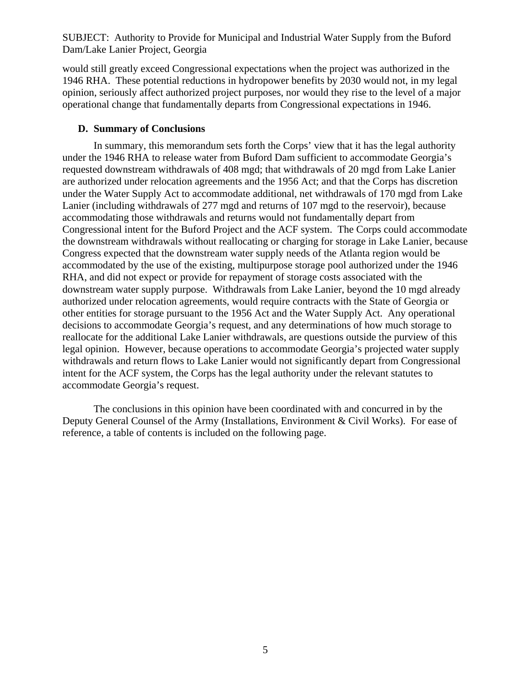would still greatly exceed Congressional expectations when the project was authorized in the 1946 RHA. These potential reductions in hydropower benefits by 2030 would not, in my legal opinion, seriously affect authorized project purposes, nor would they rise to the level of a major operational change that fundamentally departs from Congressional expectations in 1946.

### **D. Summary of Conclusions**

In summary, this memorandum sets forth the Corps' view that it has the legal authority under the 1946 RHA to release water from Buford Dam sufficient to accommodate Georgia's requested downstream withdrawals of 408 mgd; that withdrawals of 20 mgd from Lake Lanier are authorized under relocation agreements and the 1956 Act; and that the Corps has discretion under the Water Supply Act to accommodate additional, net withdrawals of 170 mgd from Lake Lanier (including withdrawals of 277 mgd and returns of 107 mgd to the reservoir), because accommodating those withdrawals and returns would not fundamentally depart from Congressional intent for the Buford Project and the ACF system. The Corps could accommodate the downstream withdrawals without reallocating or charging for storage in Lake Lanier, because Congress expected that the downstream water supply needs of the Atlanta region would be accommodated by the use of the existing, multipurpose storage pool authorized under the 1946 RHA, and did not expect or provide for repayment of storage costs associated with the downstream water supply purpose. Withdrawals from Lake Lanier, beyond the 10 mgd already authorized under relocation agreements, would require contracts with the State of Georgia or other entities for storage pursuant to the 1956 Act and the Water Supply Act. Any operational decisions to accommodate Georgia's request, and any determinations of how much storage to reallocate for the additional Lake Lanier withdrawals, are questions outside the purview of this legal opinion. However, because operations to accommodate Georgia's projected water supply withdrawals and return flows to Lake Lanier would not significantly depart from Congressional intent for the ACF system, the Corps has the legal authority under the relevant statutes to accommodate Georgia's request.

The conclusions in this opinion have been coordinated with and concurred in by the Deputy General Counsel of the Army (Installations, Environment & Civil Works). For ease of reference, a table of contents is included on the following page.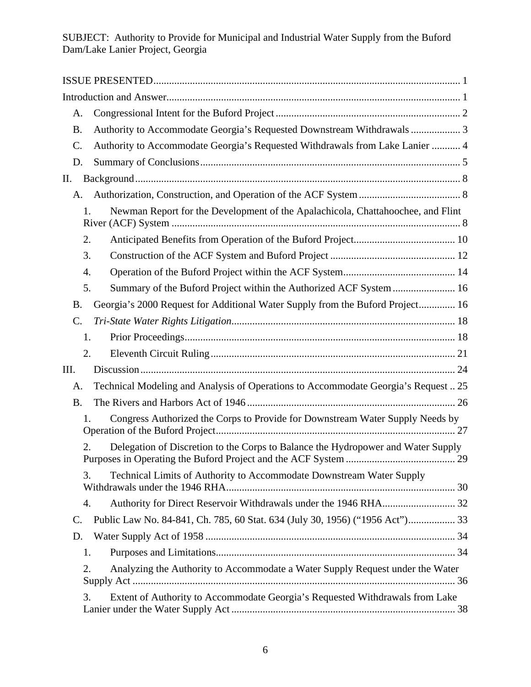| A.              |                                                                                        |    |
|-----------------|----------------------------------------------------------------------------------------|----|
| <b>B.</b>       | Authority to Accommodate Georgia's Requested Downstream Withdrawals  3                 |    |
| C.              | Authority to Accommodate Georgia's Requested Withdrawals from Lake Lanier  4           |    |
| D.              |                                                                                        |    |
| П.              |                                                                                        |    |
| А.              |                                                                                        |    |
|                 | Newman Report for the Development of the Apalachicola, Chattahoochee, and Flint<br>1.  |    |
|                 | 2.                                                                                     |    |
|                 | 3.                                                                                     |    |
|                 | 4.                                                                                     |    |
|                 | Summary of the Buford Project within the Authorized ACF System  16<br>5.               |    |
| <b>B.</b>       | Georgia's 2000 Request for Additional Water Supply from the Buford Project 16          |    |
| $\mathcal{C}$ . |                                                                                        |    |
|                 | 1.                                                                                     |    |
|                 | 2.                                                                                     |    |
| Ш.              |                                                                                        |    |
| А.              | Technical Modeling and Analysis of Operations to Accommodate Georgia's Request  25     |    |
| <b>B.</b>       |                                                                                        |    |
|                 | Congress Authorized the Corps to Provide for Downstream Water Supply Needs by<br>1.    |    |
|                 | Delegation of Discretion to the Corps to Balance the Hydropower and Water Supply<br>2. | 29 |
|                 | Technical Limits of Authority to Accommodate Downstream Water Supply<br>3.             |    |
|                 | 4.                                                                                     |    |
| C.              |                                                                                        |    |
| D.              |                                                                                        |    |
|                 | 1.                                                                                     |    |
|                 | Analyzing the Authority to Accommodate a Water Supply Request under the Water<br>2.    |    |
|                 | Extent of Authority to Accommodate Georgia's Requested Withdrawals from Lake<br>3.     |    |
|                 |                                                                                        |    |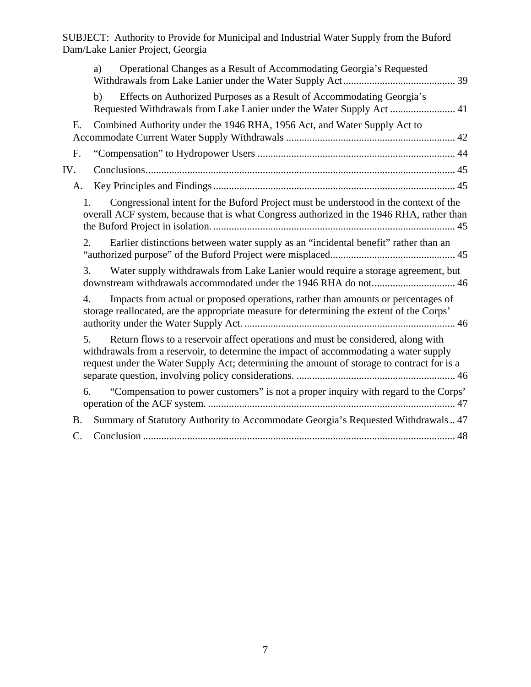| Operational Changes as a Result of Accommodating Georgia's Requested<br>a)                                                                                                                                                                                                    |
|-------------------------------------------------------------------------------------------------------------------------------------------------------------------------------------------------------------------------------------------------------------------------------|
| b)<br>Effects on Authorized Purposes as a Result of Accommodating Georgia's<br>Requested Withdrawals from Lake Lanier under the Water Supply Act  41                                                                                                                          |
| Combined Authority under the 1946 RHA, 1956 Act, and Water Supply Act to<br>E.                                                                                                                                                                                                |
| F.                                                                                                                                                                                                                                                                            |
| IV.                                                                                                                                                                                                                                                                           |
| A.                                                                                                                                                                                                                                                                            |
| Congressional intent for the Buford Project must be understood in the context of the<br>1.<br>overall ACF system, because that is what Congress authorized in the 1946 RHA, rather than                                                                                       |
| Earlier distinctions between water supply as an "incidental benefit" rather than an<br>2.                                                                                                                                                                                     |
| 3.<br>Water supply withdrawals from Lake Lanier would require a storage agreement, but<br>downstream withdrawals accommodated under the 1946 RHA do not 46                                                                                                                    |
| Impacts from actual or proposed operations, rather than amounts or percentages of<br>$\overline{4}$ .<br>storage reallocated, are the appropriate measure for determining the extent of the Corps'                                                                            |
| 5.<br>Return flows to a reservoir affect operations and must be considered, along with<br>withdrawals from a reservoir, to determine the impact of accommodating a water supply<br>request under the Water Supply Act; determining the amount of storage to contract for is a |
| "Compensation to power customers" is not a proper inquiry with regard to the Corps'<br>6.                                                                                                                                                                                     |
| Summary of Statutory Authority to Accommodate Georgia's Requested Withdrawals 47<br><b>B.</b>                                                                                                                                                                                 |
| C.                                                                                                                                                                                                                                                                            |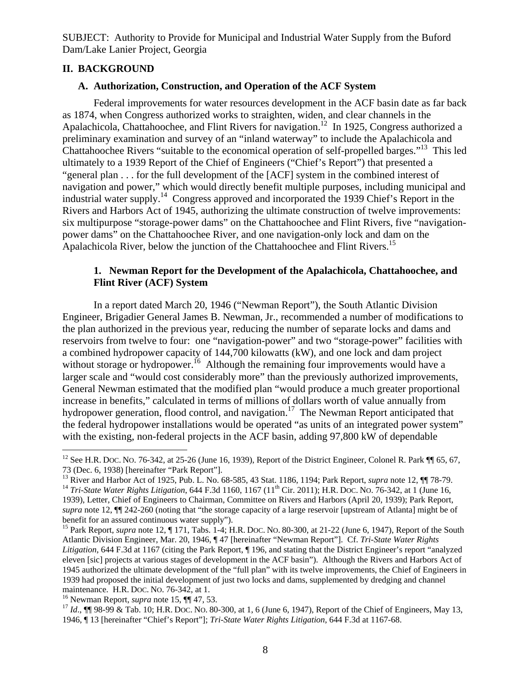# **II. BACKGROUND**

### **A. Authorization, Construction, and Operation of the ACF System**

Federal improvements for water resources development in the ACF basin date as far back as 1874, when Congress authorized works to straighten, widen, and clear channels in the Apalachicola, Chattahoochee, and Flint Rivers for navigation.<sup>12</sup> In 1925, Congress authorized a preliminary examination and survey of an "inland waterway" to include the Apalachicola and Chattahoochee Rivers "suitable to the economical operation of self-propelled barges."13 This led ultimately to a 1939 Report of the Chief of Engineers ("Chief's Report") that presented a "general plan . . . for the full development of the [ACF] system in the combined interest of navigation and power," which would directly benefit multiple purposes, including municipal and industrial water supply.<sup>14</sup> Congress approved and incorporated the 1939 Chief's Report in the Rivers and Harbors Act of 1945, authorizing the ultimate construction of twelve improvements: six multipurpose "storage-power dams" on the Chattahoochee and Flint Rivers, five "navigationpower dams" on the Chattahoochee River, and one navigation-only lock and dam on the Apalachicola River, below the junction of the Chattahoochee and Flint Rivers.<sup>15</sup>

## **1. Newman Report for the Development of the Apalachicola, Chattahoochee, and Flint River (ACF) System**

In a report dated March 20, 1946 ("Newman Report"), the South Atlantic Division Engineer, Brigadier General James B. Newman, Jr., recommended a number of modifications to the plan authorized in the previous year, reducing the number of separate locks and dams and reservoirs from twelve to four: one "navigation-power" and two "storage-power" facilities with a combined hydropower capacity of 144,700 kilowatts (kW), and one lock and dam project without storage or hydropower.<sup>16</sup> Although the remaining four improvements would have a larger scale and "would cost considerably more" than the previously authorized improvements, General Newman estimated that the modified plan "would produce a much greater proportional increase in benefits," calculated in terms of millions of dollars worth of value annually from hydropower generation, flood control, and navigation.<sup>17</sup> The Newman Report anticipated that the federal hydropower installations would be operated "as units of an integrated power system" with the existing, non-federal projects in the ACF basin, adding 97,800 kW of dependable

<sup>&</sup>lt;sup>12</sup> See H.R. Doc. No. 76-342, at 25-26 (June 16, 1939), Report of the District Engineer, Colonel R. Park  $\P$  65, 67,

<sup>73 (</sup>Dec. 6, 1938) [hereinafter "Park Report"].<br><sup>13</sup> River and Harbor Act of 1925, Pub. L. No. 68-585, 43 Stat. 1186, 1194; Park Report, *supra* note 12,  $\P$  78-79.<br><sup>14</sup> Tri-State Water Rights Litigation, 644 F.3d 1160, 116 1939), Letter, Chief of Engineers to Chairman, Committee on Rivers and Harbors (April 20, 1939); Park Report, *supra* note 12, ¶¶ 242-260 (noting that "the storage capacity of a large reservoir [upstream of Atlanta] might be of benefit for an assured continuous water supply").

<sup>&</sup>lt;sup>15</sup> Park Report, *supra* note 12, ¶ 171, Tabs. 1-4; H.R. Doc. No. 80-300, at 21-22 (June 6, 1947), Report of the South Atlantic Division Engineer, Mar. 20, 1946, ¶ 47 [hereinafter "Newman Report"]. Cf. *Tri-State Water Rights Litigation*, 644 F.3d at 1167 (citing the Park Report, ¶ 196, and stating that the District Engineer's report "analyzed eleven [sic] projects at various stages of development in the ACF basin"). Although the Rivers and Harbors Act of 1945 authorized the ultimate development of the "full plan" with its twelve improvements, the Chief of Engineers in 1939 had proposed the initial development of just two locks and dams, supplemented by dredging and channel maintenance. H.R. Doc. No. 76-342, at 1.<br><sup>16</sup> Newman Report, *supra* note 15, ¶¶ 47, 53.<br><sup>17</sup> *Id.*, ¶¶ 98-99 & Tab. 10; H.R. Doc. No. 80-300, at 1, 6 (June 6, 1947), Report of the Chief of Engineers, May 13,

<sup>1946, ¶ 13 [</sup>hereinafter "Chief's Report"]; *Tri-State Water Rights Litigation*, 644 F.3d at 1167-68.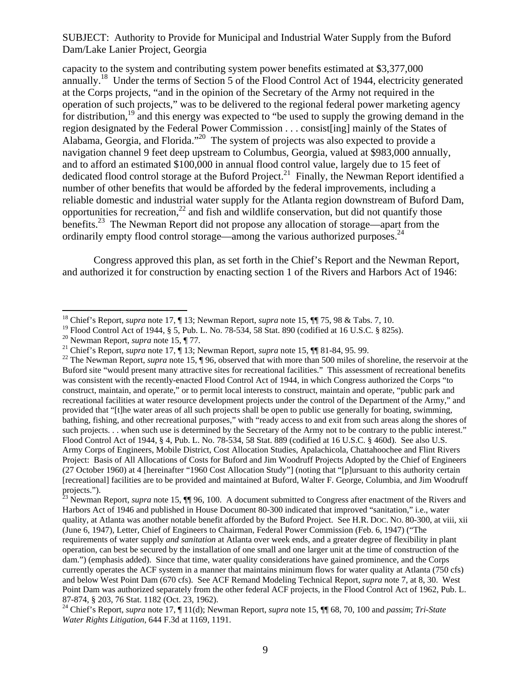capacity to the system and contributing system power benefits estimated at \$3,377,000 annually.18 Under the terms of Section 5 of the Flood Control Act of 1944, electricity generated at the Corps projects, "and in the opinion of the Secretary of the Army not required in the operation of such projects," was to be delivered to the regional federal power marketing agency for distribution,<sup>19</sup> and this energy was expected to "be used to supply the growing demand in the region designated by the Federal Power Commission . . . consist[ing] mainly of the States of Alabama, Georgia, and Florida."20 The system of projects was also expected to provide a navigation channel 9 feet deep upstream to Columbus, Georgia, valued at \$983,000 annually, and to afford an estimated \$100,000 in annual flood control value, largely due to 15 feet of dedicated flood control storage at the Buford Project.<sup>21</sup> Finally, the Newman Report identified a number of other benefits that would be afforded by the federal improvements, including a reliable domestic and industrial water supply for the Atlanta region downstream of Buford Dam, opportunities for recreation, $^{22}$  and fish and wildlife conservation, but did not quantify those benefits.<sup>23</sup> The Newman Report did not propose any allocation of storage—apart from the ordinarily empty flood control storage—among the various authorized purposes.  $^{24}$ 

Congress approved this plan, as set forth in the Chief's Report and the Newman Report, and authorized it for construction by enacting section 1 of the Rivers and Harbors Act of 1946:

<sup>18</sup> Chief's Report, *supra* note 17, ¶ 13; Newman Report, *supra* note 15, ¶¶ 75, 98 & Tabs. 7, 10.

<sup>&</sup>lt;sup>19</sup> Flood Control Act of 1944, § 5, Pub. L. No. 78-534, 58 Stat. 890 (codified at 16 U.S.C. § 825s).<br><sup>20</sup> Newman Report, *supra* note 15, ¶ 77.

<sup>&</sup>lt;sup>21</sup> Chief's Report, *supra* note 17,  $\P$  13; Newman Report, *supra* note 15,  $\P$  81-84, 95. 99.<br><sup>22</sup> The Newman Report, *supra* note 15,  $\P$  96, observed that with more than 500 miles of shoreline, the reservoir at the Buford site "would present many attractive sites for recreational facilities." This assessment of recreational benefits was consistent with the recently-enacted Flood Control Act of 1944, in which Congress authorized the Corps "to construct, maintain, and operate," or to permit local interests to construct, maintain and operate, "public park and recreational facilities at water resource development projects under the control of the Department of the Army," and provided that "[t]he water areas of all such projects shall be open to public use generally for boating, swimming, bathing, fishing, and other recreational purposes," with "ready access to and exit from such areas along the shores of such projects. . . when such use is determined by the Secretary of the Army not to be contrary to the public interest." Flood Control Act of 1944, § 4, Pub. L. No. 78-534, 58 Stat. 889 (codified at 16 U.S.C. § 460d). See also U.S. Army Corps of Engineers, Mobile District, Cost Allocation Studies, Apalachicola, Chattahoochee and Flint Rivers Project: Basis of All Allocations of Costs for Buford and Jim Woodruff Projects Adopted by the Chief of Engineers (27 October 1960) at 4 [hereinafter "1960 Cost Allocation Study"] (noting that "[p]ursuant to this authority certain [recreational] facilities are to be provided and maintained at Buford, Walter F. George, Columbia, and Jim Woodruff projects.").

<sup>&</sup>lt;sup>23</sup> Newman Report, *supra* note 15,  $\P$  96, 100. A document submitted to Congress after enactment of the Rivers and Harbors Act of 1946 and published in House Document 80-300 indicated that improved "sanitation," i.e., water quality, at Atlanta was another notable benefit afforded by the Buford Project. See H.R. DOC. NO. 80-300, at viii, xii (June 6, 1947), Letter, Chief of Engineers to Chairman, Federal Power Commission (Feb. 6, 1947) ("The requirements of water supply *and sanitation* at Atlanta over week ends, and a greater degree of flexibility in plant operation, can best be secured by the installation of one small and one larger unit at the time of construction of the dam.") (emphasis added). Since that time, water quality considerations have gained prominence, and the Corps currently operates the ACF system in a manner that maintains minimum flows for water quality at Atlanta (750 cfs) and below West Point Dam (670 cfs). See ACF Remand Modeling Technical Report, *supra* note 7, at 8, 30. West Point Dam was authorized separately from the other federal ACF projects, in the Flood Control Act of 1962, Pub. L. 87-874, § 203, 76 Stat. 1182 (Oct. 23, 1962).

<sup>24</sup> Chief's Report, *supra* note 17, ¶ 11(d); Newman Report, *supra* note 15, ¶¶ 68, 70, 100 and *passim*; *Tri-State Water Rights Litigation*, 644 F.3d at 1169, 1191.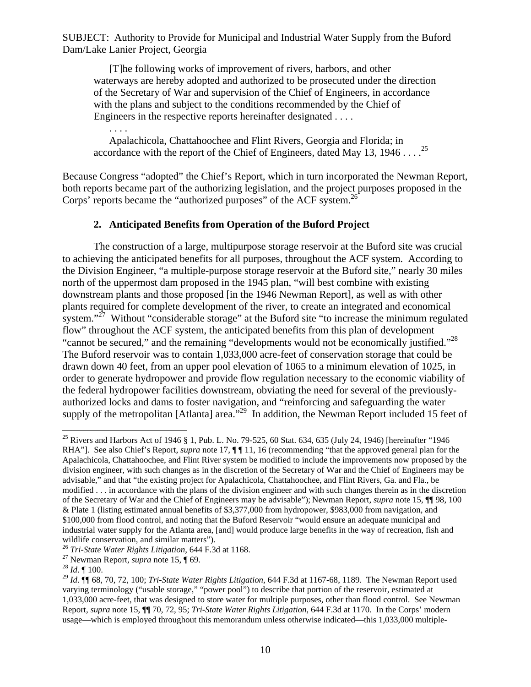[T]he following works of improvement of rivers, harbors, and other waterways are hereby adopted and authorized to be prosecuted under the direction of the Secretary of War and supervision of the Chief of Engineers, in accordance with the plans and subject to the conditions recommended by the Chief of Engineers in the respective reports hereinafter designated . . . .

 Apalachicola, Chattahoochee and Flint Rivers, Georgia and Florida; in accordance with the report of the Chief of Engineers, dated May 13, 1946 . . . .  $^{25}$ 

Because Congress "adopted" the Chief's Report, which in turn incorporated the Newman Report, both reports became part of the authorizing legislation, and the project purposes proposed in the Corps' reports became the "authorized purposes" of the ACF system.<sup>26</sup>

### **2. Anticipated Benefits from Operation of the Buford Project**

The construction of a large, multipurpose storage reservoir at the Buford site was crucial to achieving the anticipated benefits for all purposes, throughout the ACF system. According to the Division Engineer, "a multiple-purpose storage reservoir at the Buford site," nearly 30 miles north of the uppermost dam proposed in the 1945 plan, "will best combine with existing downstream plants and those proposed [in the 1946 Newman Report], as well as with other plants required for complete development of the river, to create an integrated and economical system."<sup>27</sup> Without "considerable storage" at the Buford site "to increase the minimum regulated flow" throughout the ACF system, the anticipated benefits from this plan of development "cannot be secured," and the remaining "developments would not be economically justified."<sup>28</sup> The Buford reservoir was to contain 1,033,000 acre-feet of conservation storage that could be drawn down 40 feet, from an upper pool elevation of 1065 to a minimum elevation of 1025, in order to generate hydropower and provide flow regulation necessary to the economic viability of the federal hydropower facilities downstream, obviating the need for several of the previouslyauthorized locks and dams to foster navigation, and "reinforcing and safeguarding the water supply of the metropolitan [Atlanta] area.<sup>"29</sup> In addition, the Newman Report included 15 feet of

. . . .

<sup>&</sup>lt;sup>25</sup> Rivers and Harbors Act of 1946 § 1, Pub. L. No. 79-525, 60 Stat. 634, 635 (July 24, 1946) [hereinafter "1946 RHA"]. See also Chief's Report, *supra* note 17, ¶ [11, 16 (recommending "that the approved general plan for the Apalachicola, Chattahoochee, and Flint River system be modified to include the improvements now proposed by the division engineer, with such changes as in the discretion of the Secretary of War and the Chief of Engineers may be advisable," and that "the existing project for Apalachicola, Chattahoochee, and Flint Rivers, Ga. and Fla., be modified . . . in accordance with the plans of the division engineer and with such changes therein as in the discretion of the Secretary of War and the Chief of Engineers may be advisable"); Newman Report, *supra* note 15, ¶¶ 98, 100 & Plate 1 (listing estimated annual benefits of \$3,377,000 from hydropower, \$983,000 from navigation, and \$100,000 from flood control, and noting that the Buford Reservoir "would ensure an adequate municipal and industrial water supply for the Atlanta area, [and] would produce large benefits in the way of recreation, fish and wildlife conservation, and similar matters").<br><sup>26</sup> Tri-State Water Rights Litigation, 644 F.3d at 1168.

<sup>&</sup>lt;sup>27</sup> Newman Report, *supra* note 15, ¶ 69.<br><sup>28</sup> *Id*. ¶ 100.

<sup>29</sup> *Id*. ¶¶ 68, 70, 72, 100; *Tri-State Water Rights Litigation*, 644 F.3d at 1167-68, 1189. The Newman Report used varying terminology ("usable storage," "power pool") to describe that portion of the reservoir, estimated at 1,033,000 acre-feet, that was designed to store water for multiple purposes, other than flood control. See Newman Report, *supra* note 15, ¶¶ 70, 72, 95; *Tri-State Water Rights Litigation*, 644 F.3d at 1170. In the Corps' modern usage—which is employed throughout this memorandum unless otherwise indicated—this 1,033,000 multiple-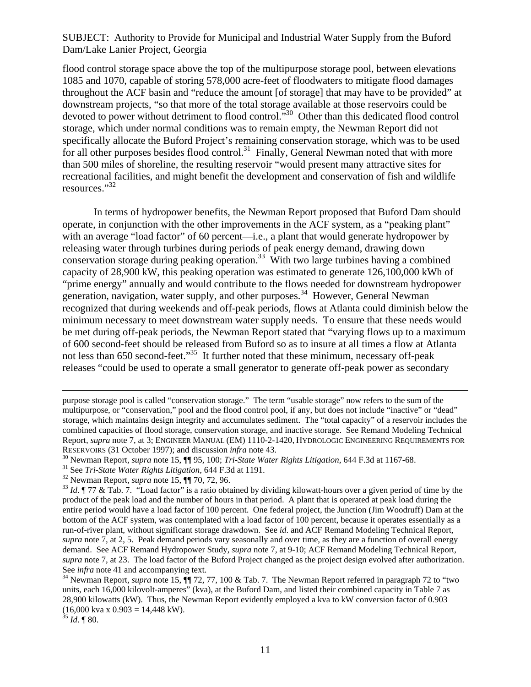flood control storage space above the top of the multipurpose storage pool, between elevations 1085 and 1070, capable of storing 578,000 acre-feet of floodwaters to mitigate flood damages throughout the ACF basin and "reduce the amount [of storage] that may have to be provided" at downstream projects, "so that more of the total storage available at those reservoirs could be devoted to power without detriment to flood control.<sup>530</sup> Other than this dedicated flood control storage, which under normal conditions was to remain empty, the Newman Report did not specifically allocate the Buford Project's remaining conservation storage, which was to be used for all other purposes besides flood control.<sup>31</sup> Finally, General Newman noted that with more than 500 miles of shoreline, the resulting reservoir "would present many attractive sites for recreational facilities, and might benefit the development and conservation of fish and wildlife resources."32

In terms of hydropower benefits, the Newman Report proposed that Buford Dam should operate, in conjunction with the other improvements in the ACF system, as a "peaking plant" with an average "load factor" of 60 percent—i.e., a plant that would generate hydropower by releasing water through turbines during periods of peak energy demand, drawing down conservation storage during peaking operation.<sup>33</sup> With two large turbines having a combined capacity of 28,900 kW, this peaking operation was estimated to generate 126,100,000 kWh of "prime energy" annually and would contribute to the flows needed for downstream hydropower generation, navigation, water supply, and other purposes.<sup>34</sup> However, General Newman recognized that during weekends and off-peak periods, flows at Atlanta could diminish below the minimum necessary to meet downstream water supply needs. To ensure that these needs would be met during off-peak periods, the Newman Report stated that "varying flows up to a maximum of 600 second-feet should be released from Buford so as to insure at all times a flow at Atlanta not less than 650 second-feet."<sup>35</sup> It further noted that these minimum, necessary off-peak releases "could be used to operate a small generator to generate off-peak power as secondary

purpose storage pool is called "conservation storage." The term "usable storage" now refers to the sum of the multipurpose, or "conservation," pool and the flood control pool, if any, but does not include "inactive" or "dead" storage, which maintains design integrity and accumulates sediment. The "total capacity" of a reservoir includes the combined capacities of flood storage, conservation storage, and inactive storage. See Remand Modeling Technical Report, *supra* note 7, at 3; ENGINEER MANUAL (EM) 1110-2-1420, HYDROLOGIC ENGINEERING REQUIREMENTS FOR RESERVOIRS (31 October 1997); and discussion *infra* note 43.<br><sup>30</sup> Newman Report, *supra* note 15,  $\P$  95, 100; *Tri-State Water Rights Litigation*, 644 F.3d at 1167-68.<br><sup>31</sup> See *Tri-State Water Rights Litigation*, 644 F

product of the peak load and the number of hours in that period. A plant that is operated at peak load during the entire period would have a load factor of 100 percent. One federal project, the Junction (Jim Woodruff) Dam at the bottom of the ACF system, was contemplated with a load factor of 100 percent, because it operates essentially as a run-of-river plant, without significant storage drawdown. See *id*. and ACF Remand Modeling Technical Report, *supra* note 7, at 2, 5. Peak demand periods vary seasonally and over time, as they are a function of overall energy demand. See ACF Remand Hydropower Study, *supra* note 7, at 9-10; ACF Remand Modeling Technical Report, *supra* note 7, at 23. The load factor of the Buford Project changed as the project design evolved after authorization. See *infra* note 41 and accompanying text.<br><sup>34</sup> Newman Report, *supra* note 15, ¶[ 72, 77, 100 & Tab. 7. The Newman Report referred in paragraph 72 to "two

units, each 16,000 kilovolt-amperes" (kva), at the Buford Dam, and listed their combined capacity in Table 7 as 28,900 kilowatts (kW). Thus, the Newman Report evidently employed a kva to kW conversion factor of 0.903  $(16,000 \text{ kva } x \text{ } 0.903 = 14,448 \text{ kW}).$ 

<sup>35</sup> *Id*. ¶ 80.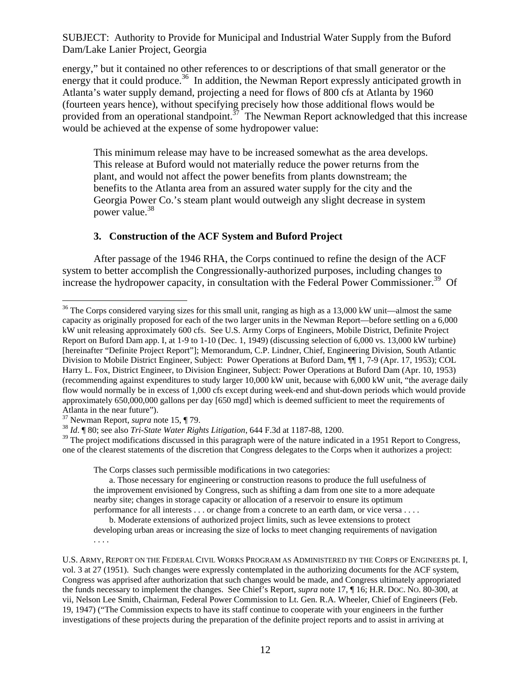energy," but it contained no other references to or descriptions of that small generator or the energy that it could produce.<sup>36</sup> In addition, the Newman Report expressly anticipated growth in Atlanta's water supply demand, projecting a need for flows of 800 cfs at Atlanta by 1960 (fourteen years hence), without specifying precisely how those additional flows would be provided from an operational standpoint.<sup> $37$ </sup> The Newman Report acknowledged that this increase would be achieved at the expense of some hydropower value:

This minimum release may have to be increased somewhat as the area develops. This release at Buford would not materially reduce the power returns from the plant, and would not affect the power benefits from plants downstream; the benefits to the Atlanta area from an assured water supply for the city and the Georgia Power Co.'s steam plant would outweigh any slight decrease in system power value.<sup>38</sup>

#### **3. Construction of the ACF System and Buford Project**

After passage of the 1946 RHA, the Corps continued to refine the design of the ACF system to better accomplish the Congressionally-authorized purposes, including changes to increase the hydropower capacity, in consultation with the Federal Power Commissioner.<sup>39</sup> Of

1

 $39$  The project modifications discussed in this paragraph were of the nature indicated in a 1951 Report to Congress, one of the clearest statements of the discretion that Congress delegates to the Corps when it authorizes a project:

The Corps classes such permissible modifications in two categories:

 a. Those necessary for engineering or construction reasons to produce the full usefulness of the improvement envisioned by Congress, such as shifting a dam from one site to a more adequate nearby site; changes in storage capacity or allocation of a reservoir to ensure its optimum performance for all interests . . . or change from a concrete to an earth dam, or vice versa . . . .

 b. Moderate extensions of authorized project limits, such as levee extensions to protect developing urban areas or increasing the size of locks to meet changing requirements of navigation . . . .

 $36$  The Corps considered varying sizes for this small unit, ranging as high as a 13,000 kW unit—almost the same capacity as originally proposed for each of the two larger units in the Newman Report—before settling on a 6,000 kW unit releasing approximately 600 cfs. See U.S. Army Corps of Engineers, Mobile District, Definite Project Report on Buford Dam app. I, at 1-9 to 1-10 (Dec. 1, 1949) (discussing selection of 6,000 vs. 13,000 kW turbine) [hereinafter "Definite Project Report"]; Memorandum, C.P. Lindner, Chief, Engineering Division, South Atlantic Division to Mobile District Engineer, Subject: Power Operations at Buford Dam, ¶¶ 1, 7-9 (Apr. 17, 1953); COL Harry L. Fox, District Engineer, to Division Engineer, Subject: Power Operations at Buford Dam (Apr. 10, 1953) (recommending against expenditures to study larger 10,000 kW unit, because with 6,000 kW unit, "the average daily flow would normally be in excess of 1,000 cfs except during week-end and shut-down periods which would provide approximately 650,000,000 gallons per day [650 mgd] which is deemed sufficient to meet the requirements of Atlanta in the near future").<br> $37$  Newman Report, *supra* note 15, ¶ 79.

<sup>&</sup>lt;sup>38</sup> Id. ¶ 80; see also *Tri-State Water Rights Litigation*, 644 F.3d at 1187-88, 1200.

U.S. ARMY, REPORT ON THE FEDERAL CIVIL WORKS PROGRAM AS ADMINISTERED BY THE CORPS OF ENGINEERS pt. I, vol. 3 at 27 (1951). Such changes were expressly contemplated in the authorizing documents for the ACF system, Congress was apprised after authorization that such changes would be made, and Congress ultimately appropriated the funds necessary to implement the changes. See Chief's Report, *supra* note 17, ¶ 16; H.R. DOC. NO. 80-300, at vii, Nelson Lee Smith, Chairman, Federal Power Commission to Lt. Gen. R.A. Wheeler, Chief of Engineers (Feb. 19, 1947) ("The Commission expects to have its staff continue to cooperate with your engineers in the further investigations of these projects during the preparation of the definite project reports and to assist in arriving at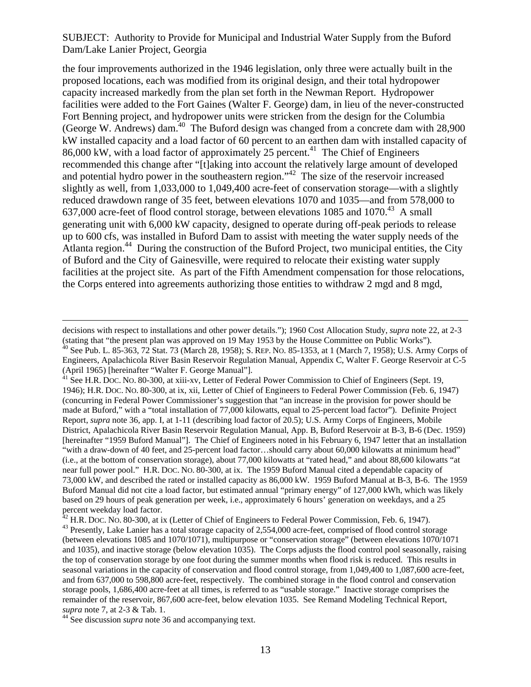the four improvements authorized in the 1946 legislation, only three were actually built in the proposed locations, each was modified from its original design, and their total hydropower capacity increased markedly from the plan set forth in the Newman Report. Hydropower facilities were added to the Fort Gaines (Walter F. George) dam, in lieu of the never-constructed Fort Benning project, and hydropower units were stricken from the design for the Columbia (George W. Andrews) dam.40 The Buford design was changed from a concrete dam with 28,900 kW installed capacity and a load factor of 60 percent to an earthen dam with installed capacity of  $86,000$  kW, with a load factor of approximately 25 percent.<sup>41</sup> The Chief of Engineers recommended this change after "[t]aking into account the relatively large amount of developed and potential hydro power in the southeastern region."42 The size of the reservoir increased slightly as well, from 1,033,000 to 1,049,400 acre-feet of conservation storage—with a slightly reduced drawdown range of 35 feet, between elevations 1070 and 1035—and from 578,000 to 637,000 acre-feet of flood control storage, between elevations 1085 and 1070.<sup>43</sup> A small generating unit with 6,000 kW capacity, designed to operate during off-peak periods to release up to 600 cfs, was installed in Buford Dam to assist with meeting the water supply needs of the Atlanta region.<sup>44</sup> During the construction of the Buford Project, two municipal entities, the City of Buford and the City of Gainesville, were required to relocate their existing water supply facilities at the project site. As part of the Fifth Amendment compensation for those relocations, the Corps entered into agreements authorizing those entities to withdraw 2 mgd and 8 mgd,

decisions with respect to installations and other power details."); 1960 Cost Allocation Study, *supra* note 22, at 2-3 (stating that "the present plan was approved on 19 May 1953 by the House Committee on Public Works"). 40 See Pub. L. 85-363, 72 Stat. 73 (March 28, 1958); S. REP. NO. 85-1353, at 1 (March 7, 1958); U.S. Army Corps of Engineers, Apalachicola River Basin Reservoir Regulation Manual, Appendix C, Walter F. George Reservoir at C-5 (April 1965) [hereinafter "Walter F. George Manual"].

<sup>&</sup>lt;sup>41</sup> See H.R. Doc. No. 80-300, at xiii-xv, Letter of Federal Power Commission to Chief of Engineers (Sept. 19, 1946); H.R. DOC. NO. 80-300, at ix, xii, Letter of Chief of Engineers to Federal Power Commission (Feb. 6, 1947) (concurring in Federal Power Commissioner's suggestion that "an increase in the provision for power should be made at Buford," with a "total installation of 77,000 kilowatts, equal to 25-percent load factor"). Definite Project Report, *supra* note 36, app. I, at 1-11 (describing load factor of 20.5); U.S. Army Corps of Engineers, Mobile District, Apalachicola River Basin Reservoir Regulation Manual, App. B, Buford Reservoir at B-3, B-6 (Dec. 1959) [hereinafter "1959 Buford Manual"]. The Chief of Engineers noted in his February 6, 1947 letter that an installation "with a draw-down of 40 feet, and 25-percent load factor…should carry about 60,000 kilowatts at minimum head" (i.e., at the bottom of conservation storage), about 77,000 kilowatts at "rated head," and about 88,600 kilowatts "at near full power pool." H.R. DOC. NO. 80-300, at ix. The 1959 Buford Manual cited a dependable capacity of 73,000 kW, and described the rated or installed capacity as 86,000 kW. 1959 Buford Manual at B-3, B-6. The 1959 Buford Manual did not cite a load factor, but estimated annual "primary energy" of 127,000 kWh, which was likely based on 29 hours of peak generation per week, i.e., approximately 6 hours' generation on weekdays, and a 25 percent weekday load factor.

<sup>&</sup>lt;sup>42</sup> H.R. Doc. No. 80-300, at ix (Letter of Chief of Engineers to Federal Power Commission, Feb. 6, 1947).<br><sup>43</sup> Presently, Lake Lanier has a total storage capacity of 2,554,000 acre-feet, comprised of flood control storag (between elevations 1085 and 1070/1071), multipurpose or "conservation storage" (between elevations 1070/1071 and 1035), and inactive storage (below elevation 1035). The Corps adjusts the flood control pool seasonally, raising the top of conservation storage by one foot during the summer months when flood risk is reduced. This results in seasonal variations in the capacity of conservation and flood control storage, from 1,049,400 to 1,087,600 acre-feet, and from 637,000 to 598,800 acre-feet, respectively. The combined storage in the flood control and conservation storage pools, 1,686,400 acre-feet at all times, is referred to as "usable storage." Inactive storage comprises the remainder of the reservoir, 867,600 acre-feet, below elevation 1035. See Remand Modeling Technical Report, *supra* note 7, at 2-3 & Tab. 1.

<sup>&</sup>lt;sup>44</sup> See discussion *supra* note 36 and accompanying text.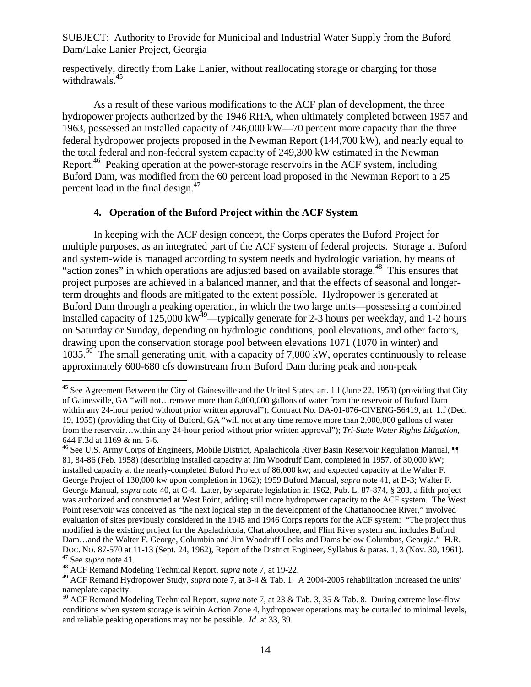respectively, directly from Lake Lanier, without reallocating storage or charging for those withdrawals.<sup>45</sup>

As a result of these various modifications to the ACF plan of development, the three hydropower projects authorized by the 1946 RHA, when ultimately completed between 1957 and 1963, possessed an installed capacity of 246,000 kW—70 percent more capacity than the three federal hydropower projects proposed in the Newman Report (144,700 kW), and nearly equal to the total federal and non-federal system capacity of 249,300 kW estimated in the Newman Report.<sup>46</sup> Peaking operation at the power-storage reservoirs in the ACF system, including Buford Dam, was modified from the 60 percent load proposed in the Newman Report to a 25 percent load in the final design. $47$ 

### **4. Operation of the Buford Project within the ACF System**

In keeping with the ACF design concept, the Corps operates the Buford Project for multiple purposes, as an integrated part of the ACF system of federal projects. Storage at Buford and system-wide is managed according to system needs and hydrologic variation, by means of "action zones" in which operations are adjusted based on available storage.<sup>48</sup> This ensures that project purposes are achieved in a balanced manner, and that the effects of seasonal and longerterm droughts and floods are mitigated to the extent possible. Hydropower is generated at Buford Dam through a peaking operation, in which the two large units—possessing a combined installed capacity of 125,000  $\text{KW}^{49}$ —typically generate for 2-3 hours per weekday, and 1-2 hours on Saturday or Sunday, depending on hydrologic conditions, pool elevations, and other factors, drawing upon the conservation storage pool between elevations 1071 (1070 in winter) and  $1035$ <sup>50</sup>. The small generating unit, with a capacity of 7,000 kW, operates continuously to release approximately 600-680 cfs downstream from Buford Dam during peak and non-peak

1

 $45$  See Agreement Between the City of Gainesville and the United States, art. 1.f (June 22, 1953) (providing that City of Gainesville, GA "will not…remove more than 8,000,000 gallons of water from the reservoir of Buford Dam within any 24-hour period without prior written approval"); Contract No. DA-01-076-CIVENG-56419, art. 1.f (Dec. 19, 1955) (providing that City of Buford, GA "will not at any time remove more than 2,000,000 gallons of water from the reservoir…within any 24-hour period without prior written approval"); *Tri-State Water Rights Litigation*, 644 F.3d at 1169 & nn. 5-6.

<sup>&</sup>lt;sup>46</sup> See U.S. Army Corps of Engineers, Mobile District, Apalachicola River Basin Reservoir Regulation Manual, ¶ 81, 84-86 (Feb. 1958) (describing installed capacity at Jim Woodruff Dam, completed in 1957, of 30,000 kW; installed capacity at the nearly-completed Buford Project of 86,000 kw; and expected capacity at the Walter F. George Project of 130,000 kw upon completion in 1962); 1959 Buford Manual, *supra* note 41, at B-3; Walter F. George Manual, *supra* note 40, at C-4. Later, by separate legislation in 1962, Pub. L. 87-874, § 203, a fifth project was authorized and constructed at West Point, adding still more hydropower capacity to the ACF system. The West Point reservoir was conceived as "the next logical step in the development of the Chattahoochee River," involved evaluation of sites previously considered in the 1945 and 1946 Corps reports for the ACF system: "The project thus modified is the existing project for the Apalachicola, Chattahoochee, and Flint River system and includes Buford Dam…and the Walter F. George, Columbia and Jim Woodruff Locks and Dams below Columbus, Georgia." H.R. DOC. NO. 87-570 at 11-13 (Sept. 24, 1962), Report of the District Engineer, Syllabus & paras. 1, 3 (Nov. 30, 1961). 47 See *supra* note 41. 48 ACF Remand Modeling Technical Report, *supra* note 7, at 19-22.

<sup>49</sup> ACF Remand Hydropower Study, *supra* note 7, at 3-4 & Tab. 1. A 2004-2005 rehabilitation increased the units' nameplate capacity.

<sup>50</sup> ACF Remand Modeling Technical Report, *supra* note 7, at 23 & Tab. 3, 35 & Tab. 8. During extreme low-flow conditions when system storage is within Action Zone 4, hydropower operations may be curtailed to minimal levels, and reliable peaking operations may not be possible. *Id*. at 33, 39.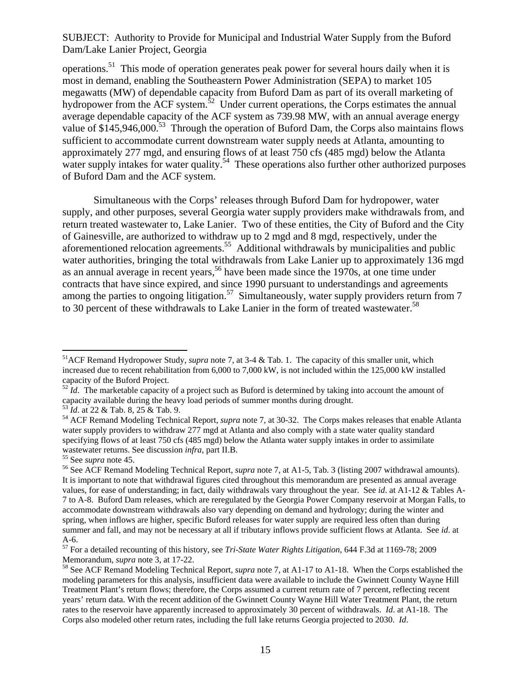operations.51 This mode of operation generates peak power for several hours daily when it is most in demand, enabling the Southeastern Power Administration (SEPA) to market 105 megawatts (MW) of dependable capacity from Buford Dam as part of its overall marketing of hydropower from the ACF system.<sup>52</sup> Under current operations, the Corps estimates the annual average dependable capacity of the ACF system as 739.98 MW, with an annual average energy value of \$145,946,000.<sup>53</sup> Through the operation of Buford Dam, the Corps also maintains flows sufficient to accommodate current downstream water supply needs at Atlanta, amounting to approximately 277 mgd, and ensuring flows of at least 750 cfs (485 mgd) below the Atlanta water supply intakes for water quality.<sup>54</sup> These operations also further other authorized purposes of Buford Dam and the ACF system.

Simultaneous with the Corps' releases through Buford Dam for hydropower, water supply, and other purposes, several Georgia water supply providers make withdrawals from, and return treated wastewater to, Lake Lanier. Two of these entities, the City of Buford and the City of Gainesville, are authorized to withdraw up to 2 mgd and 8 mgd, respectively, under the aforementioned relocation agreements.<sup>55</sup> Additional withdrawals by municipalities and public water authorities, bringing the total withdrawals from Lake Lanier up to approximately 136 mgd as an annual average in recent years,<sup>56</sup> have been made since the  $1970s$ , at one time under contracts that have since expired, and since 1990 pursuant to understandings and agreements among the parties to ongoing litigation.<sup>57</sup> Simultaneously, water supply providers return from 7 to 30 percent of these withdrawals to Lake Lanier in the form of treated wastewater.<sup>58</sup>

 $\overline{a}$ 51ACF Remand Hydropower Study, *supra* note 7, at 3-4 & Tab. 1. The capacity of this smaller unit, which increased due to recent rehabilitation from 6,000 to 7,000 kW, is not included within the 125,000 kW installed capacity of the Buford Project.

 $52 \hat{I}$ d. The marketable capacity of a project such as Buford is determined by taking into account the amount of capacity available during the heavy load periods of summer months during drought.<br><sup>53</sup> *Id.* at 22 & Tab. 8, 25 & Tab. 9.

<sup>&</sup>lt;sup>54</sup> ACF Remand Modeling Technical Report, *supra* note 7, at 30-32. The Corps makes releases that enable Atlanta water supply providers to withdraw 277 mgd at Atlanta and also comply with a state water quality standard specifying flows of at least 750 cfs (485 mgd) below the Atlanta water supply intakes in order to assimilate wastewater returns. See discussion *infra*, part II.B.<br><sup>55</sup> See *supra* note 45.<br><sup>56</sup> See ACF Remand Modeling Technical Report, *supra* note 7, at A1-5, Tab. 3 (listing 2007 withdrawal amounts).

It is important to note that withdrawal figures cited throughout this memorandum are presented as annual average values, for ease of understanding; in fact, daily withdrawals vary throughout the year. See *id*. at A1-12 & Tables A-7 to A-8. Buford Dam releases, which are reregulated by the Georgia Power Company reservoir at Morgan Falls, to accommodate downstream withdrawals also vary depending on demand and hydrology; during the winter and spring, when inflows are higher, specific Buford releases for water supply are required less often than during summer and fall, and may not be necessary at all if tributary inflows provide sufficient flows at Atlanta. See *id*. at A-6.

<sup>57</sup> For a detailed recounting of this history, see *Tri-State Water Rights Litigation*, 644 F.3d at 1169-78; 2009

<sup>&</sup>lt;sup>58</sup> See ACF Remand Modeling Technical Report, *supra* note 7, at A1-17 to A1-18. When the Corps established the modeling parameters for this analysis, insufficient data were available to include the Gwinnett County Wayne Hill Treatment Plant's return flows; therefore, the Corps assumed a current return rate of 7 percent, reflecting recent years' return data. With the recent addition of the Gwinnett County Wayne Hill Water Treatment Plant, the return rates to the reservoir have apparently increased to approximately 30 percent of withdrawals. *Id*. at A1-18. The Corps also modeled other return rates, including the full lake returns Georgia projected to 2030. *Id*.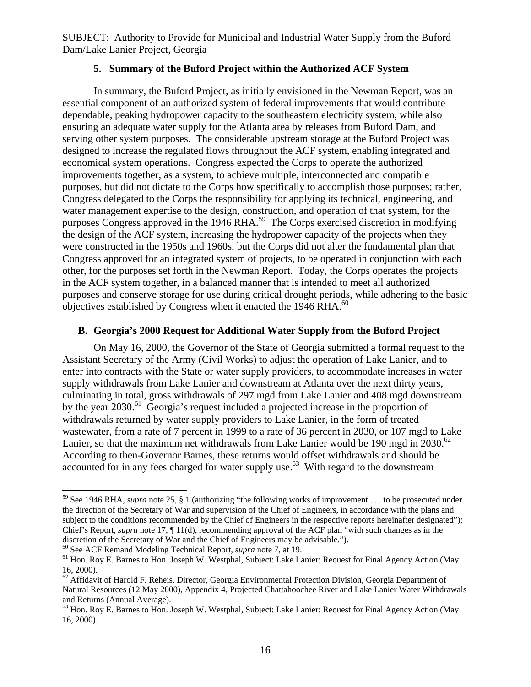#### **5. Summary of the Buford Project within the Authorized ACF System**

In summary, the Buford Project, as initially envisioned in the Newman Report, was an essential component of an authorized system of federal improvements that would contribute dependable, peaking hydropower capacity to the southeastern electricity system, while also ensuring an adequate water supply for the Atlanta area by releases from Buford Dam, and serving other system purposes. The considerable upstream storage at the Buford Project was designed to increase the regulated flows throughout the ACF system, enabling integrated and economical system operations. Congress expected the Corps to operate the authorized improvements together, as a system, to achieve multiple, interconnected and compatible purposes, but did not dictate to the Corps how specifically to accomplish those purposes; rather, Congress delegated to the Corps the responsibility for applying its technical, engineering, and water management expertise to the design, construction, and operation of that system, for the purposes Congress approved in the 1946 RHA.<sup>59</sup> The Corps exercised discretion in modifying the design of the ACF system, increasing the hydropower capacity of the projects when they were constructed in the 1950s and 1960s, but the Corps did not alter the fundamental plan that Congress approved for an integrated system of projects, to be operated in conjunction with each other, for the purposes set forth in the Newman Report. Today, the Corps operates the projects in the ACF system together, in a balanced manner that is intended to meet all authorized purposes and conserve storage for use during critical drought periods, while adhering to the basic objectives established by Congress when it enacted the 1946 RHA. $^{60}$ 

### **B. Georgia's 2000 Request for Additional Water Supply from the Buford Project**

On May 16, 2000, the Governor of the State of Georgia submitted a formal request to the Assistant Secretary of the Army (Civil Works) to adjust the operation of Lake Lanier, and to enter into contracts with the State or water supply providers, to accommodate increases in water supply withdrawals from Lake Lanier and downstream at Atlanta over the next thirty years, culminating in total, gross withdrawals of 297 mgd from Lake Lanier and 408 mgd downstream by the year 2030.<sup>61</sup> Georgia's request included a projected increase in the proportion of withdrawals returned by water supply providers to Lake Lanier, in the form of treated wastewater, from a rate of 7 percent in 1999 to a rate of 36 percent in 2030, or 107 mgd to Lake Lanier, so that the maximum net withdrawals from Lake Lanier would be 190 mgd in 2030. $62$ According to then-Governor Barnes, these returns would offset withdrawals and should be accounted for in any fees charged for water supply use.<sup>63</sup> With regard to the downstream

<sup>59</sup> See 1946 RHA, *supra* note 25, § 1 (authorizing "the following works of improvement . . . to be prosecuted under the direction of the Secretary of War and supervision of the Chief of Engineers, in accordance with the plans and subject to the conditions recommended by the Chief of Engineers in the respective reports hereinafter designated"); Chief's Report, *supra* note 17,  $\P$  11(d), recommending approval of the ACF plan "with such changes as in the discretion of the Secretary of War and the Chief of Engineers may be advisable.").

 $^{60}$  See ACF Remand Modeling Technical Report, *supra* note 7, at 19.<br><sup>61</sup> Hon. Roy E. Barnes to Hon. Joseph W. Westphal, Subject: Lake Lanier: Request for Final Agency Action (May 16, 2000).

<sup>&</sup>lt;sup>62</sup> Affidavit of Harold F. Reheis, Director, Georgia Environmental Protection Division, Georgia Department of Natural Resources (12 May 2000), Appendix 4, Projected Chattahoochee River and Lake Lanier Water Withdrawals and Returns (Annual Average).

<sup>&</sup>lt;sup>63</sup> Hon. Roy E. Barnes to Hon. Joseph W. Westphal, Subject: Lake Lanier: Request for Final Agency Action (May 16, 2000).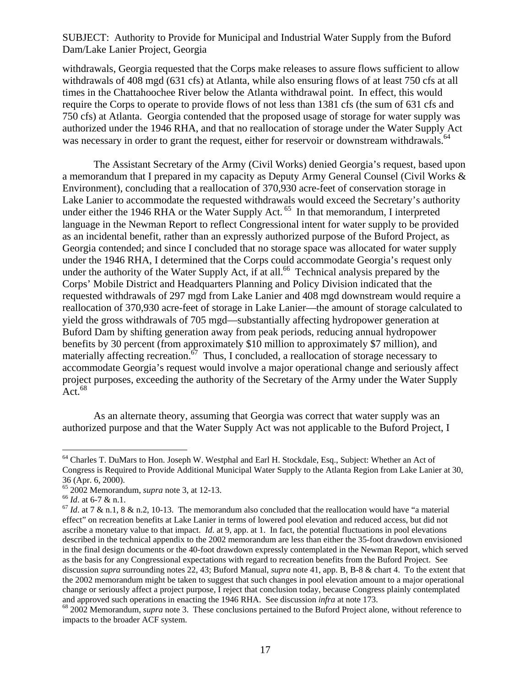withdrawals, Georgia requested that the Corps make releases to assure flows sufficient to allow withdrawals of 408 mgd (631 cfs) at Atlanta, while also ensuring flows of at least 750 cfs at all times in the Chattahoochee River below the Atlanta withdrawal point. In effect, this would require the Corps to operate to provide flows of not less than 1381 cfs (the sum of 631 cfs and 750 cfs) at Atlanta. Georgia contended that the proposed usage of storage for water supply was authorized under the 1946 RHA, and that no reallocation of storage under the Water Supply Act was necessary in order to grant the request, either for reservoir or downstream withdrawals.<sup>64</sup>

The Assistant Secretary of the Army (Civil Works) denied Georgia's request, based upon a memorandum that I prepared in my capacity as Deputy Army General Counsel (Civil Works & Environment), concluding that a reallocation of 370,930 acre-feet of conservation storage in Lake Lanier to accommodate the requested withdrawals would exceed the Secretary's authority under either the 1946 RHA or the Water Supply Act.<sup>65</sup> In that memorandum, I interpreted language in the Newman Report to reflect Congressional intent for water supply to be provided as an incidental benefit, rather than an expressly authorized purpose of the Buford Project, as Georgia contended; and since I concluded that no storage space was allocated for water supply under the 1946 RHA, I determined that the Corps could accommodate Georgia's request only under the authority of the Water Supply Act, if at all.<sup>66</sup> Technical analysis prepared by the Corps' Mobile District and Headquarters Planning and Policy Division indicated that the requested withdrawals of 297 mgd from Lake Lanier and 408 mgd downstream would require a reallocation of 370,930 acre-feet of storage in Lake Lanier—the amount of storage calculated to yield the gross withdrawals of 705 mgd—substantially affecting hydropower generation at Buford Dam by shifting generation away from peak periods, reducing annual hydropower benefits by 30 percent (from approximately \$10 million to approximately \$7 million), and materially affecting recreation. $\hat{p}$  Thus, I concluded, a reallocation of storage necessary to accommodate Georgia's request would involve a major operational change and seriously affect project purposes, exceeding the authority of the Secretary of the Army under the Water Supply  $Act.<sup>68</sup>$ 

As an alternate theory, assuming that Georgia was correct that water supply was an authorized purpose and that the Water Supply Act was not applicable to the Buford Project, I

<sup>64</sup> Charles T. DuMars to Hon. Joseph W. Westphal and Earl H. Stockdale, Esq., Subject: Whether an Act of Congress is Required to Provide Additional Municipal Water Supply to the Atlanta Region from Lake Lanier at 30, 36 (Apr. 6, 2000).<br><sup>65</sup> 2002 Memorandum, *supra* note 3, at 12-13.

<sup>&</sup>lt;sup>66</sup> *Id.* at 6-7 & n.1.<br><sup>67</sup> *Id.* at 7 & n.1, 8 & n.2, 10-13. The memorandum also concluded that the reallocation would have "a material effect" on recreation benefits at Lake Lanier in terms of lowered pool elevation and reduced access, but did not ascribe a monetary value to that impact. *Id*. at 9, app. at 1. In fact, the potential fluctuations in pool elevations described in the technical appendix to the 2002 memorandum are less than either the 35-foot drawdown envisioned in the final design documents or the 40-foot drawdown expressly contemplated in the Newman Report, which served as the basis for any Congressional expectations with regard to recreation benefits from the Buford Project. See discussion *supra* surrounding notes 22, 43; Buford Manual, *supra* note 41, app. B, B-8 & chart 4. To the extent that the 2002 memorandum might be taken to suggest that such changes in pool elevation amount to a major operational change or seriously affect a project purpose, I reject that conclusion today, because Congress plainly contemplated and approved such operations in enacting the 1946 RHA. See discussion *infra* at note 173.<br><sup>68</sup> 2002 Memorandum, *supra* note 3. These conclusions pertained to the Buford Project alone, without reference to

impacts to the broader ACF system.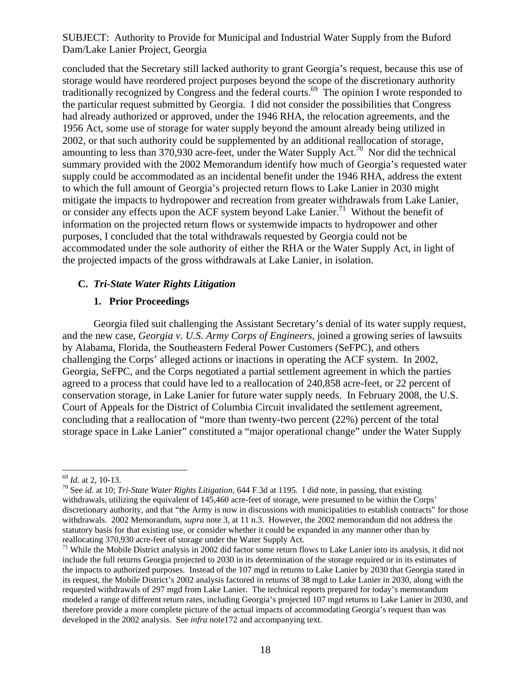concluded that the Secretary still lacked authority to grant Georgia's request, because this use of storage would have reordered project purposes beyond the scope of the discretionary authority traditionally recognized by Congress and the federal courts.69 The opinion I wrote responded to the particular request submitted by Georgia. I did not consider the possibilities that Congress had already authorized or approved, under the 1946 RHA, the relocation agreements, and the 1956 Act, some use of storage for water supply beyond the amount already being utilized in 2002, or that such authority could be supplemented by an additional reallocation of storage, amounting to less than 370,930 acre-feet, under the Water Supply Act.<sup>70</sup> Nor did the technical summary provided with the 2002 Memorandum identify how much of Georgia's requested water supply could be accommodated as an incidental benefit under the 1946 RHA, address the extent to which the full amount of Georgia's projected return flows to Lake Lanier in 2030 might mitigate the impacts to hydropower and recreation from greater withdrawals from Lake Lanier, or consider any effects upon the ACF system beyond Lake Lanier.<sup>71</sup> Without the benefit of information on the projected return flows or systemwide impacts to hydropower and other purposes, I concluded that the total withdrawals requested by Georgia could not be accommodated under the sole authority of either the RHA or the Water Supply Act, in light of the projected impacts of the gross withdrawals at Lake Lanier, in isolation.

#### **C.** *Tri-State Water Rights Litigation*

### **1. Prior Proceedings**

Georgia filed suit challenging the Assistant Secretary's denial of its water supply request, and the new case, *Georgia v. U.S. Army Corps of Engineers*, joined a growing series of lawsuits by Alabama, Florida, the Southeastern Federal Power Customers (SeFPC), and others challenging the Corps' alleged actions or inactions in operating the ACF system. In 2002, Georgia, SeFPC, and the Corps negotiated a partial settlement agreement in which the parties agreed to a process that could have led to a reallocation of 240,858 acre-feet, or 22 percent of conservation storage, in Lake Lanier for future water supply needs. In February 2008, the U.S. Court of Appeals for the District of Columbia Circuit invalidated the settlement agreement, concluding that a reallocation of "more than twenty-two percent (22%) percent of the total storage space in Lake Lanier" constituted a "major operational change" under the Water Supply

 $\overline{a}$ 

<sup>69</sup> *Id*. at 2, 10-13. 70 See *id*. at 10; *Tri-State Water Rights Litigation*, 644 F.3d at 1195. I did note, in passing, that existing withdrawals, utilizing the equivalent of 145,460 acre-feet of storage, were presumed to be within the Corps' discretionary authority, and that "the Army is now in discussions with municipalities to establish contracts" for those withdrawals. 2002 Memorandum, *supra* note 3, at 11 n.3. However, the 2002 memorandum did not address the statutory basis for that existing use, or consider whether it could be expanded in any manner other than by reallocating 370,930 acre-feet of storage under the Water Supply Act.

<sup>&</sup>lt;sup>71</sup> While the Mobile District analysis in 2002 did factor some return flows to Lake Lanier into its analysis, it did not include the full returns Georgia projected to 2030 in its determination of the storage required or in its estimates of the impacts to authorized purposes. Instead of the 107 mgd in returns to Lake Lanier by 2030 that Georgia stated in its request, the Mobile District's 2002 analysis factored in returns of 38 mgd to Lake Lanier in 2030, along with the requested withdrawals of 297 mgd from Lake Lanier. The technical reports prepared for today's memorandum modeled a range of different return rates, including Georgia's projected 107 mgd returns to Lake Lanier in 2030, and therefore provide a more complete picture of the actual impacts of accommodating Georgia's request than was developed in the 2002 analysis. See *infra* note172 and accompanying text.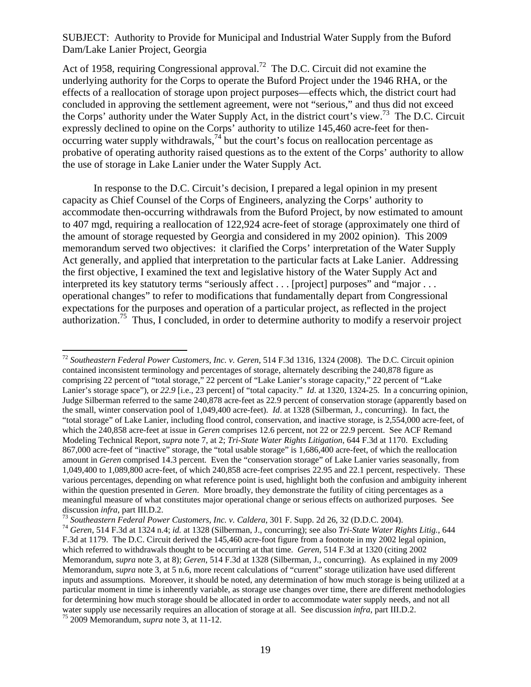Act of 1958, requiring Congressional approval.<sup>72</sup> The D.C. Circuit did not examine the underlying authority for the Corps to operate the Buford Project under the 1946 RHA, or the effects of a reallocation of storage upon project purposes—effects which, the district court had concluded in approving the settlement agreement, were not "serious," and thus did not exceed the Corps' authority under the Water Supply Act, in the district court's view.73 The D.C. Circuit expressly declined to opine on the Corps' authority to utilize 145,460 acre-feet for thenoccurring water supply withdrawals,<sup>74</sup> but the court's focus on reallocation percentage as probative of operating authority raised questions as to the extent of the Corps' authority to allow the use of storage in Lake Lanier under the Water Supply Act.

In response to the D.C. Circuit's decision, I prepared a legal opinion in my present capacity as Chief Counsel of the Corps of Engineers, analyzing the Corps' authority to accommodate then-occurring withdrawals from the Buford Project, by now estimated to amount to 407 mgd, requiring a reallocation of 122,924 acre-feet of storage (approximately one third of the amount of storage requested by Georgia and considered in my 2002 opinion). This 2009 memorandum served two objectives: it clarified the Corps' interpretation of the Water Supply Act generally, and applied that interpretation to the particular facts at Lake Lanier. Addressing the first objective, I examined the text and legislative history of the Water Supply Act and interpreted its key statutory terms "seriously affect . . . [project] purposes" and "major . . . operational changes" to refer to modifications that fundamentally depart from Congressional expectations for the purposes and operation of a particular project, as reflected in the project authorization.<sup>75</sup> Thus, I concluded, in order to determine authority to modify a reservoir project

<sup>72</sup> *Southeastern Federal Power Customers, Inc. v. Geren*, 514 F.3d 1316, 1324 (2008). The D.C. Circuit opinion contained inconsistent terminology and percentages of storage, alternately describing the 240,878 figure as comprising 22 percent of "total storage," 22 percent of "Lake Lanier's storage capacity," 22 percent of "Lake Lanier's storage space"), or 22.9 [i.e., 23 percent] of "total capacity." *Id.* at 1320, 1324-25. In a concurring opinion, Judge Silberman referred to the same 240,878 acre-feet as 22.9 percent of conservation storage (apparently based on the small, winter conservation pool of 1,049,400 acre-feet). *Id*. at 1328 (Silberman, J., concurring). In fact, the "total storage" of Lake Lanier, including flood control, conservation, and inactive storage, is 2,554,000 acre-feet, of which the 240,858 acre-feet at issue in *Geren* comprises 12.6 percent, not 22 or 22.9 percent. See ACF Remand Modeling Technical Report, *supra* note 7, at 2; *Tri-State Water Rights Litigation*, 644 F.3d at 1170. Excluding 867,000 acre-feet of "inactive" storage, the "total usable storage" is 1,686,400 acre-feet, of which the reallocation amount in *Geren* comprised 14.3 percent. Even the "conservation storage" of Lake Lanier varies seasonally, from 1,049,400 to 1,089,800 acre-feet, of which 240,858 acre-feet comprises 22.95 and 22.1 percent, respectively. These various percentages, depending on what reference point is used, highlight both the confusion and ambiguity inherent within the question presented in *Geren*. More broadly, they demonstrate the futility of citing percentages as a meaningful measure of what constitutes major operational change or serious effects on authorized purposes. See discussion *infra*, part III.D.2.

<sup>&</sup>lt;sup>73</sup> Southeastern Federal Power Customers, Inc. v. Caldera, 301 F. Supp. 2d 26, 32 (D.D.C. 2004).<br><sup>74</sup> Geren, 514 F.3d at 1324 n.4; id. at 1328 (Silberman, J., concurring); see also Tri-State Water Rights Litig., 644 F.3d at 1179. The D.C. Circuit derived the 145,460 acre-foot figure from a footnote in my 2002 legal opinion, which referred to withdrawals thought to be occurring at that time. *Geren*, 514 F.3d at 1320 (citing 2002 Memorandum, *supra* note 3, at 8); *Geren*, 514 F.3d at 1328 (Silberman, J., concurring). As explained in my 2009 Memorandum, *supra* note 3, at 5 n.6, more recent calculations of "current" storage utilization have used different inputs and assumptions. Moreover, it should be noted, any determination of how much storage is being utilized at a particular moment in time is inherently variable, as storage use changes over time, there are different methodologies for determining how much storage should be allocated in order to accommodate water supply needs, and not all water supply use necessarily requires an allocation of storage at all. See discussion *infra*, part III.D.2. 75 2009 Memorandum, *supra* note 3, at 11-12.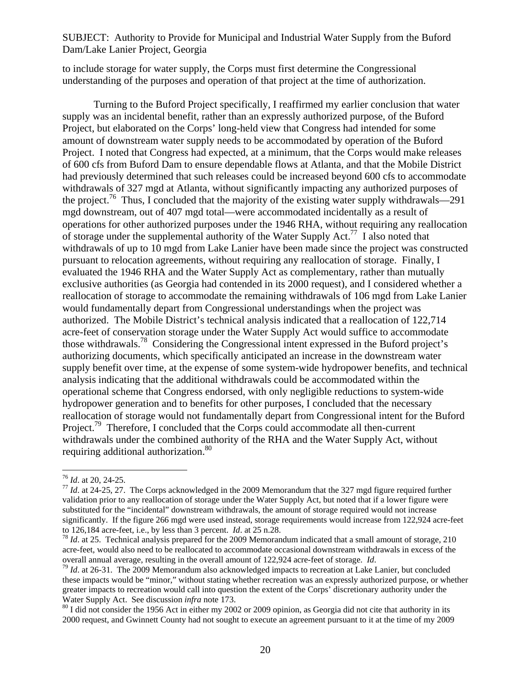to include storage for water supply, the Corps must first determine the Congressional understanding of the purposes and operation of that project at the time of authorization.

Turning to the Buford Project specifically, I reaffirmed my earlier conclusion that water supply was an incidental benefit, rather than an expressly authorized purpose, of the Buford Project, but elaborated on the Corps' long-held view that Congress had intended for some amount of downstream water supply needs to be accommodated by operation of the Buford Project. I noted that Congress had expected, at a minimum, that the Corps would make releases of 600 cfs from Buford Dam to ensure dependable flows at Atlanta, and that the Mobile District had previously determined that such releases could be increased beyond 600 cfs to accommodate withdrawals of 327 mgd at Atlanta, without significantly impacting any authorized purposes of the project.<sup>76</sup> Thus, I concluded that the majority of the existing water supply withdrawals—291 mgd downstream, out of 407 mgd total—were accommodated incidentally as a result of operations for other authorized purposes under the 1946 RHA, without requiring any reallocation of storage under the supplemental authority of the Water Supply Act.<sup>77</sup> I also noted that withdrawals of up to 10 mgd from Lake Lanier have been made since the project was constructed pursuant to relocation agreements, without requiring any reallocation of storage. Finally, I evaluated the 1946 RHA and the Water Supply Act as complementary, rather than mutually exclusive authorities (as Georgia had contended in its 2000 request), and I considered whether a reallocation of storage to accommodate the remaining withdrawals of 106 mgd from Lake Lanier would fundamentally depart from Congressional understandings when the project was authorized. The Mobile District's technical analysis indicated that a reallocation of 122,714 acre-feet of conservation storage under the Water Supply Act would suffice to accommodate those withdrawals.78 Considering the Congressional intent expressed in the Buford project's authorizing documents, which specifically anticipated an increase in the downstream water supply benefit over time, at the expense of some system-wide hydropower benefits, and technical analysis indicating that the additional withdrawals could be accommodated within the operational scheme that Congress endorsed, with only negligible reductions to system-wide hydropower generation and to benefits for other purposes, I concluded that the necessary reallocation of storage would not fundamentally depart from Congressional intent for the Buford Project.<sup>79</sup> Therefore, I concluded that the Corps could accommodate all then-current withdrawals under the combined authority of the RHA and the Water Supply Act, without requiring additional authorization.<sup>80</sup>

 $^{76}$  *Id.* at 20, 24-25.

<sup>&</sup>lt;sup>77</sup> *Id.* at 24-25, 27. The Corps acknowledged in the 2009 Memorandum that the 327 mgd figure required further validation prior to any reallocation of storage under the Water Supply Act, but noted that if a lower figure were substituted for the "incidental" downstream withdrawals, the amount of storage required would not increase significantly. If the figure 266 mgd were used instead, storage requirements would increase from 122,924 acre-feet to 126,184 acre-feet, i.e., by less than 3 percent. *Id.* at 25 n.28.

<sup>&</sup>lt;sup>78</sup> Id. at 25. Technical analysis prepared for the 2009 Memorandum indicated that a small amount of storage, 210 acre-feet, would also need to be reallocated to accommodate occasional downstream withdrawals in excess of the overall annual average, resulting in the overall amount of 122,924 acre-feet of storage. *Id*.  $^{79}$  *Id*. at 26-31. The 2009 Memorandum also acknowledged impacts to recreation at Lake Lanier, but concluded

these impacts would be "minor," without stating whether recreation was an expressly authorized purpose, or whether greater impacts to recreation would call into question the extent of the Corps' discretionary authority under the Water Supply Act. See discussion *infra* note 173.<br><sup>80</sup> I did not consider the 1956 Act in either my 2002 or 2009 opinion, as Georgia did not cite that authority in its

<sup>2000</sup> request, and Gwinnett County had not sought to execute an agreement pursuant to it at the time of my 2009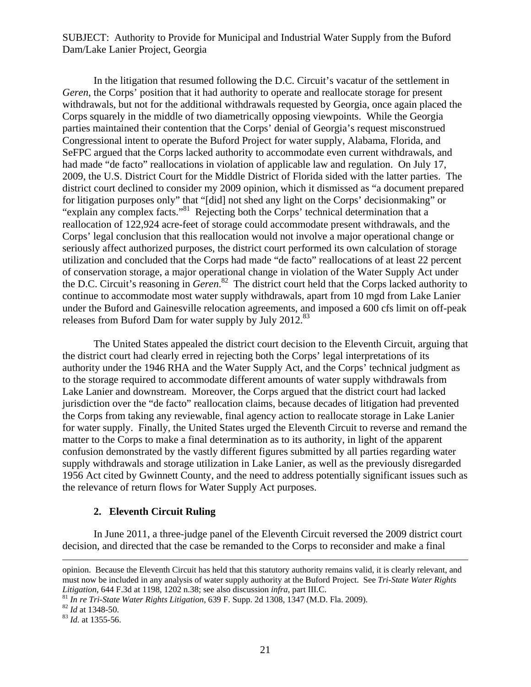In the litigation that resumed following the D.C. Circuit's vacatur of the settlement in *Geren*, the Corps' position that it had authority to operate and reallocate storage for present withdrawals, but not for the additional withdrawals requested by Georgia, once again placed the Corps squarely in the middle of two diametrically opposing viewpoints. While the Georgia parties maintained their contention that the Corps' denial of Georgia's request misconstrued Congressional intent to operate the Buford Project for water supply, Alabama, Florida, and SeFPC argued that the Corps lacked authority to accommodate even current withdrawals, and had made "de facto" reallocations in violation of applicable law and regulation. On July 17, 2009, the U.S. District Court for the Middle District of Florida sided with the latter parties. The district court declined to consider my 2009 opinion, which it dismissed as "a document prepared for litigation purposes only" that "[did] not shed any light on the Corps' decisionmaking" or "explain any complex facts."81 Rejecting both the Corps' technical determination that a reallocation of 122,924 acre-feet of storage could accommodate present withdrawals, and the Corps' legal conclusion that this reallocation would not involve a major operational change or seriously affect authorized purposes, the district court performed its own calculation of storage utilization and concluded that the Corps had made "de facto" reallocations of at least 22 percent of conservation storage, a major operational change in violation of the Water Supply Act under the D.C. Circuit's reasoning in *Geren*. 82 The district court held that the Corps lacked authority to continue to accommodate most water supply withdrawals, apart from 10 mgd from Lake Lanier under the Buford and Gainesville relocation agreements, and imposed a 600 cfs limit on off-peak releases from Buford Dam for water supply by July 2012.<sup>83</sup>

The United States appealed the district court decision to the Eleventh Circuit, arguing that the district court had clearly erred in rejecting both the Corps' legal interpretations of its authority under the 1946 RHA and the Water Supply Act, and the Corps' technical judgment as to the storage required to accommodate different amounts of water supply withdrawals from Lake Lanier and downstream. Moreover, the Corps argued that the district court had lacked jurisdiction over the "de facto" reallocation claims, because decades of litigation had prevented the Corps from taking any reviewable, final agency action to reallocate storage in Lake Lanier for water supply. Finally, the United States urged the Eleventh Circuit to reverse and remand the matter to the Corps to make a final determination as to its authority, in light of the apparent confusion demonstrated by the vastly different figures submitted by all parties regarding water supply withdrawals and storage utilization in Lake Lanier, as well as the previously disregarded 1956 Act cited by Gwinnett County, and the need to address potentially significant issues such as the relevance of return flows for Water Supply Act purposes.

#### **2. Eleventh Circuit Ruling**

In June 2011, a three-judge panel of the Eleventh Circuit reversed the 2009 district court decision, and directed that the case be remanded to the Corps to reconsider and make a final

opinion. Because the Eleventh Circuit has held that this statutory authority remains valid, it is clearly relevant, and must now be included in any analysis of water supply authority at the Buford Project. See *Tri-State Water Rights* 

<sup>&</sup>lt;sup>81</sup> *In re Tri-State Water Rights Litigation*, 639 F. Supp. 2d 1308, 1347 (M.D. Fla. 2009).<br><sup>82</sup> *Id* at 1348-50.<br><sup>83</sup> *Id.* at 1355-56.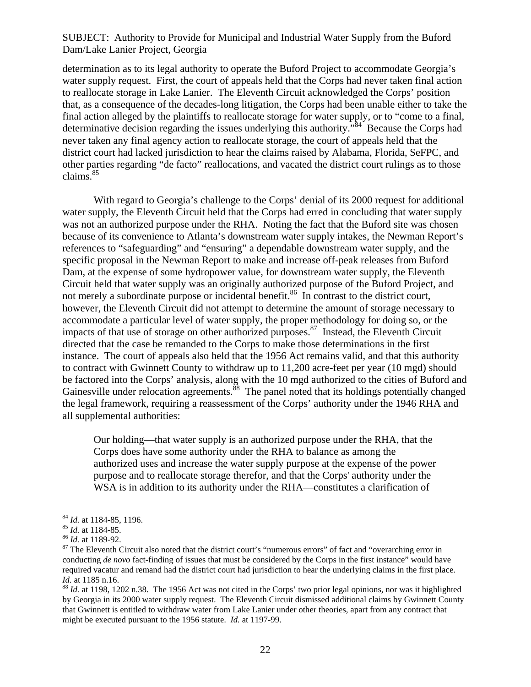determination as to its legal authority to operate the Buford Project to accommodate Georgia's water supply request. First, the court of appeals held that the Corps had never taken final action to reallocate storage in Lake Lanier. The Eleventh Circuit acknowledged the Corps' position that, as a consequence of the decades-long litigation, the Corps had been unable either to take the final action alleged by the plaintiffs to reallocate storage for water supply, or to "come to a final, determinative decision regarding the issues underlying this authority.<sup>384</sup> Because the Corps had never taken any final agency action to reallocate storage, the court of appeals held that the district court had lacked jurisdiction to hear the claims raised by Alabama, Florida, SeFPC, and other parties regarding "de facto" reallocations, and vacated the district court rulings as to those claims. $85$ 

With regard to Georgia's challenge to the Corps' denial of its 2000 request for additional water supply, the Eleventh Circuit held that the Corps had erred in concluding that water supply was not an authorized purpose under the RHA. Noting the fact that the Buford site was chosen because of its convenience to Atlanta's downstream water supply intakes, the Newman Report's references to "safeguarding" and "ensuring" a dependable downstream water supply, and the specific proposal in the Newman Report to make and increase off-peak releases from Buford Dam, at the expense of some hydropower value, for downstream water supply, the Eleventh Circuit held that water supply was an originally authorized purpose of the Buford Project, and not merely a subordinate purpose or incidental benefit.<sup>86</sup> In contrast to the district court, however, the Eleventh Circuit did not attempt to determine the amount of storage necessary to accommodate a particular level of water supply, the proper methodology for doing so, or the impacts of that use of storage on other authorized purposes. $87$  Instead, the Eleventh Circuit directed that the case be remanded to the Corps to make those determinations in the first instance. The court of appeals also held that the 1956 Act remains valid, and that this authority to contract with Gwinnett County to withdraw up to 11,200 acre-feet per year (10 mgd) should be factored into the Corps' analysis, along with the 10 mgd authorized to the cities of Buford and Gainesville under relocation agreements.<sup>88</sup> The panel noted that its holdings potentially changed the legal framework, requiring a reassessment of the Corps' authority under the 1946 RHA and all supplemental authorities:

Our holding—that water supply is an authorized purpose under the RHA, that the Corps does have some authority under the RHA to balance as among the authorized uses and increase the water supply purpose at the expense of the power purpose and to reallocate storage therefor, and that the Corps' authority under the WSA is in addition to its authority under the RHA—constitutes a clarification of

<sup>&</sup>lt;sup>84</sup> *Id.* at 1184-85, 1196.<br><sup>85</sup> *Id.* at 1184-85.<br><sup>86</sup> *Id.* at 1189-92.<br><sup>87</sup> The Eleventh Circuit also noted that the district court's "numerous errors" of fact and "overarching error in conducting *de novo* fact-finding of issues that must be considered by the Corps in the first instance" would have required vacatur and remand had the district court had jurisdiction to hear the underlying claims in the first place.

*Id.* at 1185 n.16.<br><sup>88</sup> *Id.* at 1198, 1202 n.38. The 1956 Act was not cited in the Corps' two prior legal opinions, nor was it highlighted by Georgia in its 2000 water supply request. The Eleventh Circuit dismissed additional claims by Gwinnett County that Gwinnett is entitled to withdraw water from Lake Lanier under other theories, apart from any contract that might be executed pursuant to the 1956 statute. *Id.* at 1197-99.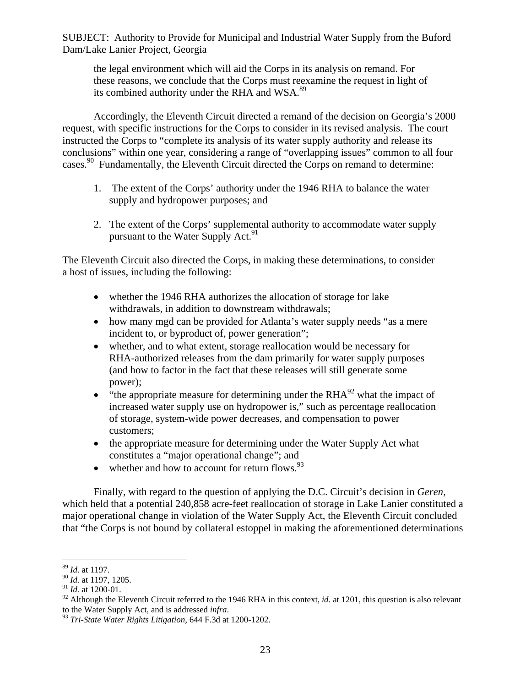the legal environment which will aid the Corps in its analysis on remand. For these reasons, we conclude that the Corps must reexamine the request in light of its combined authority under the RHA and WSA.<sup>89</sup>

Accordingly, the Eleventh Circuit directed a remand of the decision on Georgia's 2000 request, with specific instructions for the Corps to consider in its revised analysis. The court instructed the Corps to "complete its analysis of its water supply authority and release its conclusions" within one year, considering a range of "overlapping issues" common to all four cases.<sup>90</sup> Fundamentally, the Eleventh Circuit directed the Corps on remand to determine:

- 1. The extent of the Corps' authority under the 1946 RHA to balance the water supply and hydropower purposes; and
- 2. The extent of the Corps' supplemental authority to accommodate water supply pursuant to the Water Supply Act.<sup>91</sup>

The Eleventh Circuit also directed the Corps, in making these determinations, to consider a host of issues, including the following:

- whether the 1946 RHA authorizes the allocation of storage for lake withdrawals, in addition to downstream withdrawals;
- how many mgd can be provided for Atlanta's water supply needs "as a mere" incident to, or byproduct of, power generation";
- whether, and to what extent, storage reallocation would be necessary for RHA-authorized releases from the dam primarily for water supply purposes (and how to factor in the fact that these releases will still generate some power);
- $\bullet$  "the appropriate measure for determining under the RHA $^{92}$  what the impact of increased water supply use on hydropower is," such as percentage reallocation of storage, system-wide power decreases, and compensation to power customers;
- the appropriate measure for determining under the Water Supply Act what constitutes a "major operational change"; and
- $\bullet$  whether and how to account for return flows.  $93$

Finally, with regard to the question of applying the D.C. Circuit's decision in *Geren*, which held that a potential 240,858 acre-feet reallocation of storage in Lake Lanier constituted a major operational change in violation of the Water Supply Act, the Eleventh Circuit concluded that "the Corps is not bound by collateral estoppel in making the aforementioned determinations

<sup>1</sup> <sup>89</sup> *Id*. at 1197.

<sup>90</sup> *Id.* at 1197, 1205.

<sup>91</sup> *Id.* at 1200-01.

<sup>&</sup>lt;sup>92</sup> Although the Eleventh Circuit referred to the 1946 RHA in this context, *id.* at 1201, this question is also relevant to the Water Supply Act, and is addressed *infra*.

<sup>&</sup>lt;sup>93</sup> *Tri-State Water Rights Litigation*, 644 F.3d at 1200-1202.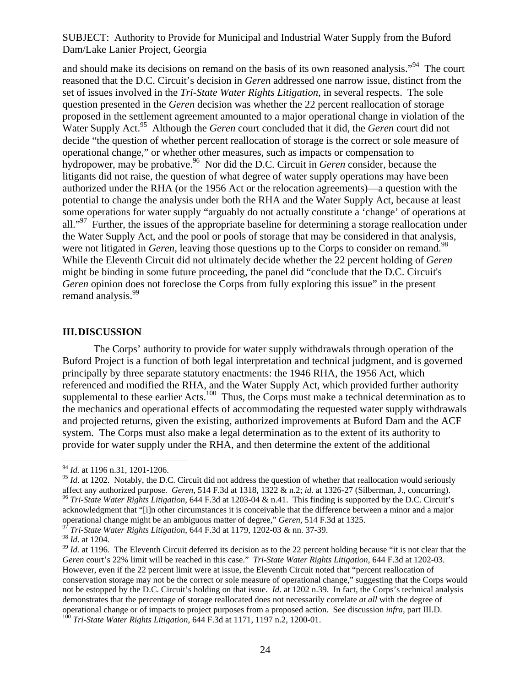and should make its decisions on remand on the basis of its own reasoned analysis."94 The court reasoned that the D.C. Circuit's decision in *Geren* addressed one narrow issue, distinct from the set of issues involved in the *Tri-State Water Rights Litigation*, in several respects. The sole question presented in the *Geren* decision was whether the 22 percent reallocation of storage proposed in the settlement agreement amounted to a major operational change in violation of the Water Supply Act.95 Although the *Geren* court concluded that it did, the *Geren* court did not decide "the question of whether percent reallocation of storage is the correct or sole measure of operational change," or whether other measures, such as impacts or compensation to hydropower, may be probative.<sup>96</sup> Nor did the D.C. Circuit in *Geren* consider, because the litigants did not raise, the question of what degree of water supply operations may have been authorized under the RHA (or the 1956 Act or the relocation agreements)—a question with the potential to change the analysis under both the RHA and the Water Supply Act, because at least some operations for water supply "arguably do not actually constitute a 'change' of operations at all."<sup>97</sup> Further, the issues of the appropriate baseline for determining a storage reallocation under the Water Supply Act, and the pool or pools of storage that may be considered in that analysis, were not litigated in *Geren*, leaving those questions up to the Corps to consider on remand.<sup>98</sup> While the Eleventh Circuit did not ultimately decide whether the 22 percent holding of *Geren*  might be binding in some future proceeding, the panel did "conclude that the D.C. Circuit's *Geren* opinion does not foreclose the Corps from fully exploring this issue" in the present remand analysis.<sup>99</sup>

#### **III.DISCUSSION**

The Corps' authority to provide for water supply withdrawals through operation of the Buford Project is a function of both legal interpretation and technical judgment, and is governed principally by three separate statutory enactments: the 1946 RHA, the 1956 Act, which referenced and modified the RHA, and the Water Supply Act, which provided further authority supplemental to these earlier Acts.<sup>100</sup> Thus, the Corps must make a technical determination as to the mechanics and operational effects of accommodating the requested water supply withdrawals and projected returns, given the existing, authorized improvements at Buford Dam and the ACF system. The Corps must also make a legal determination as to the extent of its authority to provide for water supply under the RHA, and then determine the extent of the additional

1

<sup>94</sup> *Id.* at 1196 n.31, 1201-1206.

<sup>&</sup>lt;sup>95</sup> *Id.* at 1202. Notably, the D.C. Circuit did not address the question of whether that reallocation would seriously affect any authorized purpose. Geren, 514 F.3d at 1318, 1322 & n.2; id. at 1326-27 (Silberman, J., concurring).<br><sup>96</sup> Tri-State Water Rights Litigation, 644 F.3d at 1203-04 & n.41. This finding is supported by the D.C. Circ acknowledgment that "[i]n other circumstances it is conceivable that the difference between a minor and a major operational change might be an ambiguous matter of degree," *Geren*, 514 F.3d at 1325.<br><sup>97</sup> *Tri-State Water Rights Litigation*, 644 F.3d at 1179, 1202-03 & nn. 37-39.<br><sup>98</sup> *Id.* at 1204.

<sup>&</sup>lt;sup>99</sup> *Id.* at 1196. The Eleventh Circuit deferred its decision as to the 22 percent holding because "it is not clear that the *Geren* court's 22% limit will be reached in this case." *Tri-State Water Rights Litigation*, 644 F.3d at 1202-03. However, even if the 22 percent limit were at issue, the Eleventh Circuit noted that "percent reallocation of conservation storage may not be the correct or sole measure of operational change," suggesting that the Corps would not be estopped by the D.C. Circuit's holding on that issue. *Id*. at 1202 n.39. In fact, the Corps's technical analysis demonstrates that the percentage of storage reallocated does not necessarily correlate *at all* with the degree of operational change or of impacts to project purposes from a proposed action. See discussion *infra*, part III.D. <sup>100</sup> *Tri-State Water Rights Litigation*, 644 F.3d at 1171, 1197 n.2, 1200-01.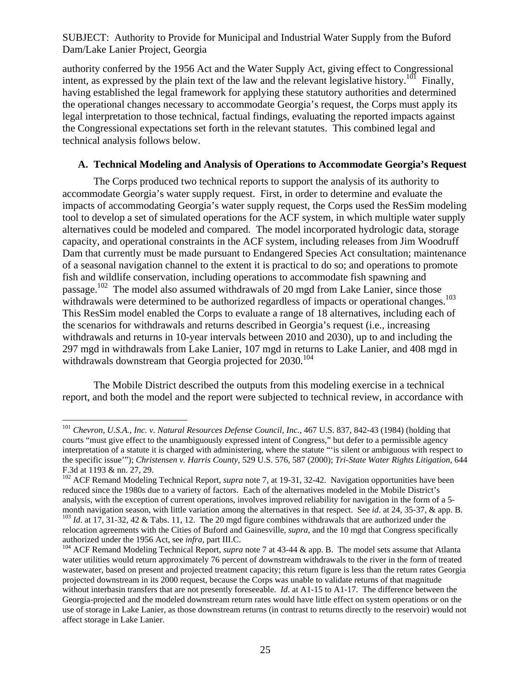authority conferred by the 1956 Act and the Water Supply Act, giving effect to Congressional intent, as expressed by the plain text of the law and the relevant legislative history.<sup>101</sup> Finally, having established the legal framework for applying these statutory authorities and determined the operational changes necessary to accommodate Georgia's request, the Corps must apply its legal interpretation to those technical, factual findings, evaluating the reported impacts against the Congressional expectations set forth in the relevant statutes. This combined legal and technical analysis follows below.

### **A. Technical Modeling and Analysis of Operations to Accommodate Georgia's Request**

The Corps produced two technical reports to support the analysis of its authority to accommodate Georgia's water supply request. First, in order to determine and evaluate the impacts of accommodating Georgia's water supply request, the Corps used the ResSim modeling tool to develop a set of simulated operations for the ACF system, in which multiple water supply alternatives could be modeled and compared. The model incorporated hydrologic data, storage capacity, and operational constraints in the ACF system, including releases from Jim Woodruff Dam that currently must be made pursuant to Endangered Species Act consultation; maintenance of a seasonal navigation channel to the extent it is practical to do so; and operations to promote fish and wildlife conservation, including operations to accommodate fish spawning and passage.<sup>102</sup> The model also assumed withdrawals of 20 mgd from Lake Lanier, since those withdrawals were determined to be authorized regardless of impacts or operational changes.<sup>103</sup> This ResSim model enabled the Corps to evaluate a range of 18 alternatives, including each of the scenarios for withdrawals and returns described in Georgia's request (i.e., increasing withdrawals and returns in 10-year intervals between 2010 and 2030), up to and including the 297 mgd in withdrawals from Lake Lanier, 107 mgd in returns to Lake Lanier, and 408 mgd in withdrawals downstream that Georgia projected for  $2030^{104}$ 

The Mobile District described the outputs from this modeling exercise in a technical report, and both the model and the report were subjected to technical review, in accordance with

1

<sup>101</sup> *Chevron, U.S.A., Inc. v. Natural Resources Defense Council, Inc.*, 467 U.S. 837, 842-43 (1984) (holding that courts "must give effect to the unambiguously expressed intent of Congress," but defer to a permissible agency interpretation of a statute it is charged with administering, where the statute "'is silent or ambiguous with respect to the specific issue'"); *Christensen v. Harris County*, 529 U.S. 576, 587 (2000); *Tri-State Water Rights Litigation*, 644 F.3d at 1193 & nn. 27, 29.

<sup>&</sup>lt;sup>102</sup> ACF Remand Modeling Technical Report, *supra* note 7, at 19-31, 32-42. Navigation opportunities have been reduced since the 1980s due to a variety of factors. Each of the alternatives modeled in the Mobile District's analysis, with the exception of current operations, involves improved reliability for navigation in the form of a 5 month navigation season, with little variation among the alternatives in that respect. See *id.* at 24, 35-37, & app. B.  $^{103}$  *Id.* at 17, 31-32, 42 & Tabs. 11, 12. The 20 mgd figure combines withdrawals that are autho relocation agreements with the Cities of Buford and Gainesville, *supra*, and the 10 mgd that Congress specifically

authorized under the 1956 Act, see *infra*, part III.C.<br><sup>104</sup> ACF Remand Modeling Technical Report, *supra* note 7 at 43-44 & app. B. The model sets assume that Atlanta water utilities would return approximately 76 percent of downstream withdrawals to the river in the form of treated wastewater, based on present and projected treatment capacity; this return figure is less than the return rates Georgia projected downstream in its 2000 request, because the Corps was unable to validate returns of that magnitude without interbasin transfers that are not presently foreseeable. *Id*. at A1-15 to A1-17. The difference between the Georgia-projected and the modeled downstream return rates would have little effect on system operations or on the use of storage in Lake Lanier, as those downstream returns (in contrast to returns directly to the reservoir) would not affect storage in Lake Lanier.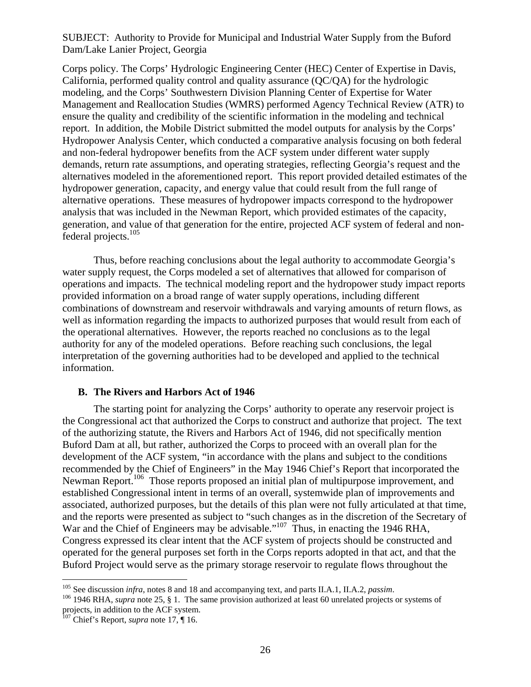Corps policy. The Corps' Hydrologic Engineering Center (HEC) Center of Expertise in Davis, California, performed quality control and quality assurance (QC/QA) for the hydrologic modeling, and the Corps' Southwestern Division Planning Center of Expertise for Water Management and Reallocation Studies (WMRS) performed Agency Technical Review (ATR) to ensure the quality and credibility of the scientific information in the modeling and technical report. In addition, the Mobile District submitted the model outputs for analysis by the Corps' Hydropower Analysis Center, which conducted a comparative analysis focusing on both federal and non-federal hydropower benefits from the ACF system under different water supply demands, return rate assumptions, and operating strategies, reflecting Georgia's request and the alternatives modeled in the aforementioned report. This report provided detailed estimates of the hydropower generation, capacity, and energy value that could result from the full range of alternative operations. These measures of hydropower impacts correspond to the hydropower analysis that was included in the Newman Report, which provided estimates of the capacity, generation, and value of that generation for the entire, projected ACF system of federal and nonfederal projects.<sup>105</sup>

Thus, before reaching conclusions about the legal authority to accommodate Georgia's water supply request, the Corps modeled a set of alternatives that allowed for comparison of operations and impacts. The technical modeling report and the hydropower study impact reports provided information on a broad range of water supply operations, including different combinations of downstream and reservoir withdrawals and varying amounts of return flows, as well as information regarding the impacts to authorized purposes that would result from each of the operational alternatives. However, the reports reached no conclusions as to the legal authority for any of the modeled operations. Before reaching such conclusions, the legal interpretation of the governing authorities had to be developed and applied to the technical information.

#### **B. The Rivers and Harbors Act of 1946**

The starting point for analyzing the Corps' authority to operate any reservoir project is the Congressional act that authorized the Corps to construct and authorize that project. The text of the authorizing statute, the Rivers and Harbors Act of 1946, did not specifically mention Buford Dam at all, but rather, authorized the Corps to proceed with an overall plan for the development of the ACF system, "in accordance with the plans and subject to the conditions recommended by the Chief of Engineers" in the May 1946 Chief's Report that incorporated the Newman Report.<sup>106</sup> Those reports proposed an initial plan of multipurpose improvement, and established Congressional intent in terms of an overall, systemwide plan of improvements and associated, authorized purposes, but the details of this plan were not fully articulated at that time, and the reports were presented as subject to "such changes as in the discretion of the Secretary of War and the Chief of Engineers may be advisable."<sup>107</sup> Thus, in enacting the 1946 RHA, Congress expressed its clear intent that the ACF system of projects should be constructed and operated for the general purposes set forth in the Corps reports adopted in that act, and that the Buford Project would serve as the primary storage reservoir to regulate flows throughout the

<u>.</u>

<sup>&</sup>lt;sup>105</sup> See discussion *infra*, notes 8 and 18 and accompanying text, and parts II.A.1, II.A.2, *passim*.<br><sup>106</sup> 1946 RHA, *supra* note 25, § 1. The same provision authorized at least 60 unrelated projects or systems of projects, in addition to the ACF system.

<sup>&</sup>lt;sup>107</sup> Chief's Report, *supra* note 17, ¶ 16.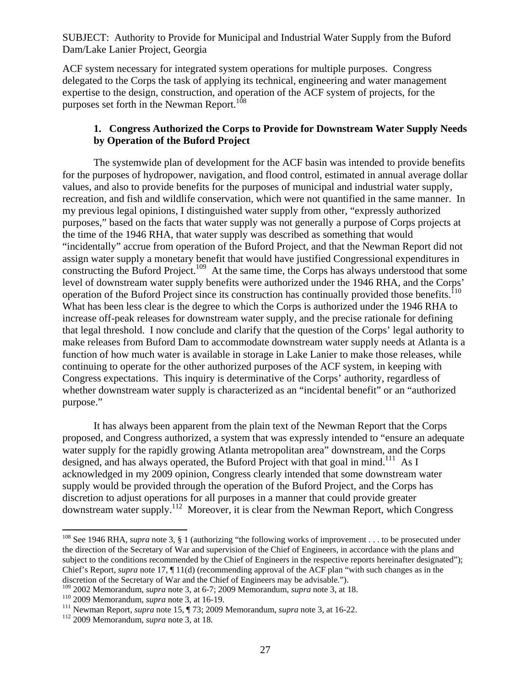ACF system necessary for integrated system operations for multiple purposes. Congress delegated to the Corps the task of applying its technical, engineering and water management expertise to the design, construction, and operation of the ACF system of projects, for the purposes set forth in the Newman Report.<sup>108</sup>

# **1. Congress Authorized the Corps to Provide for Downstream Water Supply Needs by Operation of the Buford Project**

The systemwide plan of development for the ACF basin was intended to provide benefits for the purposes of hydropower, navigation, and flood control, estimated in annual average dollar values, and also to provide benefits for the purposes of municipal and industrial water supply, recreation, and fish and wildlife conservation, which were not quantified in the same manner. In my previous legal opinions, I distinguished water supply from other, "expressly authorized purposes," based on the facts that water supply was not generally a purpose of Corps projects at the time of the 1946 RHA, that water supply was described as something that would "incidentally" accrue from operation of the Buford Project, and that the Newman Report did not assign water supply a monetary benefit that would have justified Congressional expenditures in constructing the Buford Project.<sup>109</sup> At the same time, the Corps has always understood that some level of downstream water supply benefits were authorized under the 1946 RHA, and the Corps' operation of the Buford Project since its construction has continually provided those benefits.<sup>110</sup> What has been less clear is the degree to which the Corps is authorized under the 1946 RHA to increase off-peak releases for downstream water supply, and the precise rationale for defining that legal threshold. I now conclude and clarify that the question of the Corps' legal authority to make releases from Buford Dam to accommodate downstream water supply needs at Atlanta is a function of how much water is available in storage in Lake Lanier to make those releases, while continuing to operate for the other authorized purposes of the ACF system, in keeping with Congress expectations. This inquiry is determinative of the Corps' authority, regardless of whether downstream water supply is characterized as an "incidental benefit" or an "authorized purpose."

It has always been apparent from the plain text of the Newman Report that the Corps proposed, and Congress authorized, a system that was expressly intended to "ensure an adequate water supply for the rapidly growing Atlanta metropolitan area" downstream, and the Corps designed, and has always operated, the Buford Project with that goal in mind.<sup>111</sup> As I acknowledged in my 2009 opinion, Congress clearly intended that some downstream water supply would be provided through the operation of the Buford Project, and the Corps has discretion to adjust operations for all purposes in a manner that could provide greater downstream water supply.112 Moreover, it is clear from the Newman Report, which Congress

 $\overline{a}$ <sup>108</sup> See 1946 RHA, *supra* note 3, § 1 (authorizing "the following works of improvement . . . to be prosecuted under the direction of the Secretary of War and supervision of the Chief of Engineers, in accordance with the plans and subject to the conditions recommended by the Chief of Engineers in the respective reports hereinafter designated"); Chief's Report, *supra* note 17, ¶ 11(d) (recommending approval of the ACF plan "with such changes as in the

discretion of the Secretary of War and the Chief of Engineers may be advisable.").<br><sup>109</sup> 2002 Memorandum, *supra* note 3, at 6-7; 2009 Memorandum, *supra* note 3, at 18.

<sup>&</sup>lt;sup>110</sup> 2009 Memorandum, *supra* note 3, at 16-19.<br><sup>111</sup> Newman Report, *supra* note 15,  $\P$  73; 2009 Memorandum, *supra* note 3, at 16-22.<br><sup>112</sup> 2009 Memorandum, *supra* note 3, at 18.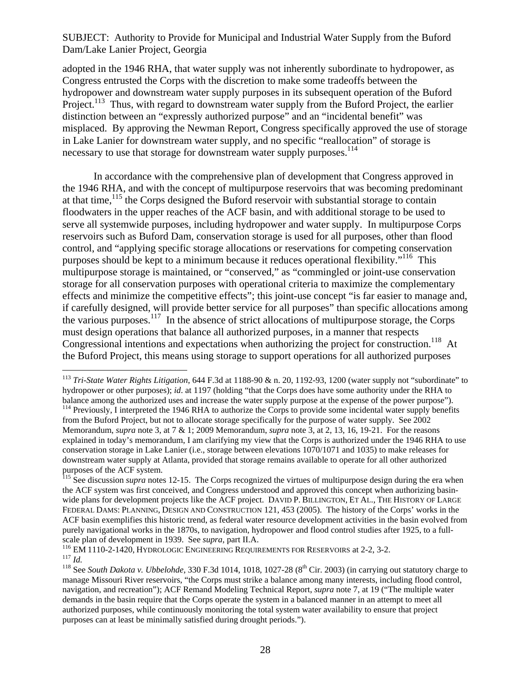adopted in the 1946 RHA, that water supply was not inherently subordinate to hydropower, as Congress entrusted the Corps with the discretion to make some tradeoffs between the hydropower and downstream water supply purposes in its subsequent operation of the Buford Project.<sup>113</sup> Thus, with regard to downstream water supply from the Buford Project, the earlier distinction between an "expressly authorized purpose" and an "incidental benefit" was misplaced. By approving the Newman Report, Congress specifically approved the use of storage in Lake Lanier for downstream water supply, and no specific "reallocation" of storage is necessary to use that storage for downstream water supply purposes.<sup>114</sup>

In accordance with the comprehensive plan of development that Congress approved in the 1946 RHA, and with the concept of multipurpose reservoirs that was becoming predominant at that time,<sup>115</sup> the Corps designed the Buford reservoir with substantial storage to contain floodwaters in the upper reaches of the ACF basin, and with additional storage to be used to serve all systemwide purposes, including hydropower and water supply. In multipurpose Corps reservoirs such as Buford Dam, conservation storage is used for all purposes, other than flood control, and "applying specific storage allocations or reservations for competing conservation purposes should be kept to a minimum because it reduces operational flexibility."<sup>116</sup> This multipurpose storage is maintained, or "conserved," as "commingled or joint-use conservation storage for all conservation purposes with operational criteria to maximize the complementary effects and minimize the competitive effects"; this joint-use concept "is far easier to manage and, if carefully designed, will provide better service for all purposes" than specific allocations among the various purposes.<sup>117</sup> In the absence of strict allocations of multipurpose storage, the Corps must design operations that balance all authorized purposes, in a manner that respects Congressional intentions and expectations when authorizing the project for construction.<sup>118</sup> At the Buford Project, this means using storage to support operations for all authorized purposes

1

<sup>113</sup> *Tri-State Water Rights Litigation*, 644 F.3d at 1188-90 & n. 20, 1192-93, 1200 (water supply not "subordinate" to hydropower or other purposes); *id*. at 1197 (holding "that the Corps does have some authority under the RHA to balance among the authorized uses and increase the water supply purpose at the expense of the power purpose").<br><sup>114</sup> Previously, I interpreted the 1946 RHA to authorize the Corps to provide some incidental water supply ben from the Buford Project, but not to allocate storage specifically for the purpose of water supply. See 2002 Memorandum, *supra* note 3, at 7 & 1; 2009 Memorandum, *supra* note 3, at 2, 13, 16, 19-21. For the reasons explained in today's memorandum, I am clarifying my view that the Corps is authorized under the 1946 RHA to use conservation storage in Lake Lanier (i.e., storage between elevations 1070/1071 and 1035) to make releases for downstream water supply at Atlanta, provided that storage remains available to operate for all other authorized purposes of the ACF system.

<sup>&</sup>lt;sup>115</sup> See discussion *supra* notes 12-15. The Corps recognized the virtues of multipurpose design during the era when the ACF system was first conceived, and Congress understood and approved this concept when authorizing basinwide plans for development projects like the ACF project. DAVID P. BILLINGTON, ET AL., THE HISTORY OF LARGE FEDERAL DAMS: PLANNING, DESIGN AND CONSTRUCTION 121, 453 (2005). The history of the Corps' works in the ACF basin exemplifies this historic trend, as federal water resource development activities in the basin evolved from purely navigational works in the 1870s, to navigation, hydropower and flood control studies after 1925, to a full-<br>scale plan of development in 1939. See *supra*, part II.A.

<sup>&</sup>lt;sup>116</sup> EM 1110-2-1420, HYDROLOGIC ENGINEERING REQUIREMENTS FOR RESERVOIRS at 2-2, 3-2.<br><sup>117</sup> Id.<br><sup>118</sup> See South Dakota v. Ubbelohde, 330 F.3d 1014, 1018, 1027-28 (8<sup>th</sup> Cir. 2003) (in carrying out statutory charge to

manage Missouri River reservoirs, "the Corps must strike a balance among many interests, including flood control, navigation, and recreation"); ACF Remand Modeling Technical Report, *supra* note 7, at 19 ("The multiple water demands in the basin require that the Corps operate the system in a balanced manner in an attempt to meet all authorized purposes, while continuously monitoring the total system water availability to ensure that project purposes can at least be minimally satisfied during drought periods.").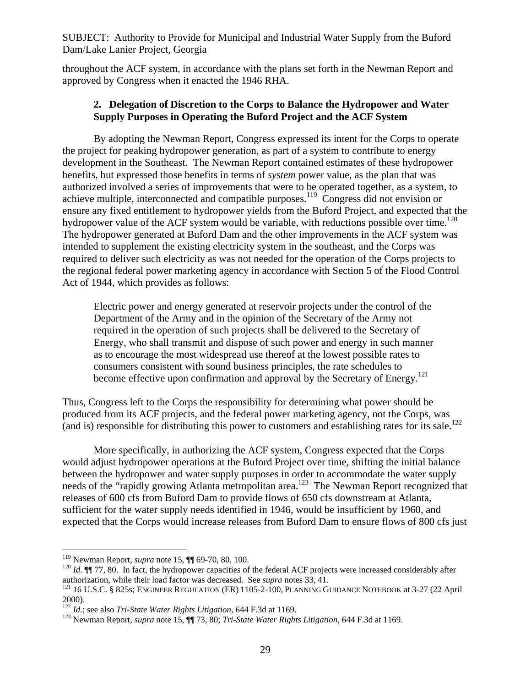throughout the ACF system, in accordance with the plans set forth in the Newman Report and approved by Congress when it enacted the 1946 RHA.

### **2. Delegation of Discretion to the Corps to Balance the Hydropower and Water Supply Purposes in Operating the Buford Project and the ACF System**

By adopting the Newman Report, Congress expressed its intent for the Corps to operate the project for peaking hydropower generation, as part of a system to contribute to energy development in the Southeast. The Newman Report contained estimates of these hydropower benefits, but expressed those benefits in terms of *system* power value, as the plan that was authorized involved a series of improvements that were to be operated together, as a system, to achieve multiple, interconnected and compatible purposes.119 Congress did not envision or ensure any fixed entitlement to hydropower yields from the Buford Project, and expected that the hydropower value of the ACF system would be variable, with reductions possible over time.<sup>120</sup> The hydropower generated at Buford Dam and the other improvements in the ACF system was intended to supplement the existing electricity system in the southeast, and the Corps was required to deliver such electricity as was not needed for the operation of the Corps projects to the regional federal power marketing agency in accordance with Section 5 of the Flood Control Act of 1944, which provides as follows:

Electric power and energy generated at reservoir projects under the control of the Department of the Army and in the opinion of the Secretary of the Army not required in the operation of such projects shall be delivered to the Secretary of Energy, who shall transmit and dispose of such power and energy in such manner as to encourage the most widespread use thereof at the lowest possible rates to consumers consistent with sound business principles, the rate schedules to become effective upon confirmation and approval by the Secretary of Energy.<sup>121</sup>

Thus, Congress left to the Corps the responsibility for determining what power should be produced from its ACF projects, and the federal power marketing agency, not the Corps, was (and is) responsible for distributing this power to customers and establishing rates for its sale.122

More specifically, in authorizing the ACF system, Congress expected that the Corps would adjust hydropower operations at the Buford Project over time, shifting the initial balance between the hydropower and water supply purposes in order to accommodate the water supply needs of the "rapidly growing Atlanta metropolitan area.<sup>123</sup> The Newman Report recognized that releases of 600 cfs from Buford Dam to provide flows of 650 cfs downstream at Atlanta, sufficient for the water supply needs identified in 1946, would be insufficient by 1960, and expected that the Corps would increase releases from Buford Dam to ensure flows of 800 cfs just

<sup>&</sup>lt;sup>119</sup> Newman Report, *supra* note 15,  $\P$  69-70, 80, 100.

 $120$  *Id*.  $\P$  77, 80. In fact, the hydropower capacities of the federal ACF projects were increased considerably after authorization, while their load factor was decreased. See *supra* notes 33, 41.<br><sup>121</sup> 16 U.S.C. § 825s; ENGINEER REGULATION (ER) 1105-2-100, PLANNING GUIDANCE NOTEBOOK at 3-27 (22 April

<sup>2000).&</sup>lt;br> $122$  *Id.*; see also *Tri-State Water Rights Litigation*, 644 F.3d at 1169.

<sup>&</sup>lt;sup>123</sup> Newman Report, *supra* note 15, ¶¶ 73, 80; *Tri-State Water Rights Litigation*, 644 F.3d at 1169.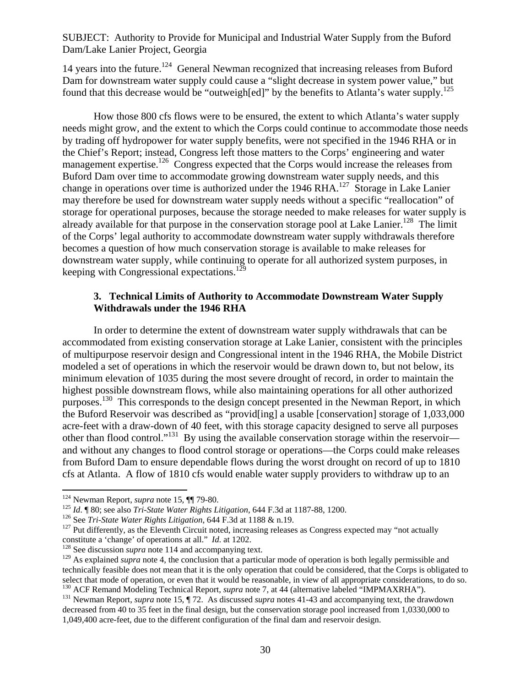14 years into the future.<sup>124</sup> General Newman recognized that increasing releases from Buford Dam for downstream water supply could cause a "slight decrease in system power value," but found that this decrease would be "outweigh[ed]" by the benefits to Atlanta's water supply.<sup>125</sup>

How those 800 cfs flows were to be ensured, the extent to which Atlanta's water supply needs might grow, and the extent to which the Corps could continue to accommodate those needs by trading off hydropower for water supply benefits, were not specified in the 1946 RHA or in the Chief's Report; instead, Congress left those matters to the Corps' engineering and water management expertise.<sup>126</sup> Congress expected that the Corps would increase the releases from Buford Dam over time to accommodate growing downstream water supply needs, and this change in operations over time is authorized under the 1946 RHA.<sup>127</sup> Storage in Lake Lanier may therefore be used for downstream water supply needs without a specific "reallocation" of storage for operational purposes, because the storage needed to make releases for water supply is already available for that purpose in the conservation storage pool at Lake Lanier.<sup>128</sup> The limit of the Corps' legal authority to accommodate downstream water supply withdrawals therefore becomes a question of how much conservation storage is available to make releases for downstream water supply, while continuing to operate for all authorized system purposes, in keeping with Congressional expectations.<sup>129</sup>

### **3. Technical Limits of Authority to Accommodate Downstream Water Supply Withdrawals under the 1946 RHA**

In order to determine the extent of downstream water supply withdrawals that can be accommodated from existing conservation storage at Lake Lanier, consistent with the principles of multipurpose reservoir design and Congressional intent in the 1946 RHA, the Mobile District modeled a set of operations in which the reservoir would be drawn down to, but not below, its minimum elevation of 1035 during the most severe drought of record, in order to maintain the highest possible downstream flows, while also maintaining operations for all other authorized purposes.<sup>130</sup> This corresponds to the design concept presented in the Newman Report, in which the Buford Reservoir was described as "provid[ing] a usable [conservation] storage of 1,033,000 acre-feet with a draw-down of 40 feet, with this storage capacity designed to serve all purposes other than flood control."<sup>131</sup> By using the available conservation storage within the reservoir and without any changes to flood control storage or operations—the Corps could make releases from Buford Dam to ensure dependable flows during the worst drought on record of up to 1810 cfs at Atlanta. A flow of 1810 cfs would enable water supply providers to withdraw up to an

<sup>&</sup>lt;sup>124</sup> Newman Report, *supra* note 15,  $\P$ [79-80.

<sup>&</sup>lt;sup>125</sup> *Id.* ¶ 80; see also *Tri-State Water Rights Litigation*, 644 F.3d at 1187-88, 1200.<br><sup>126</sup> See *Tri-State Water Rights Litigation*, 644 F.3d at 1188 & n.19.<br><sup>127</sup> Put differently, as the Eleventh Circuit noted, incr

<sup>&</sup>lt;sup>128</sup> See discussion *supra* note 114 and accompanying text.

<sup>&</sup>lt;sup>129</sup> As explained *supra* note 4, the conclusion that a particular mode of operation is both legally permissible and technically feasible does not mean that it is the only operation that could be considered, that the Corps is obligated to

<sup>&</sup>lt;sup>130</sup> ACF Remand Modeling Technical Report, *supra* note 7, at 44 (alternative labeled "IMPMAXRHA").<br><sup>131</sup> Newman Report, *supra* note 15, ¶ 72. As discussed *supra* notes 41-43 and accompanying text, the drawdown decreased from 40 to 35 feet in the final design, but the conservation storage pool increased from 1,0330,000 to 1,049,400 acre-feet, due to the different configuration of the final dam and reservoir design.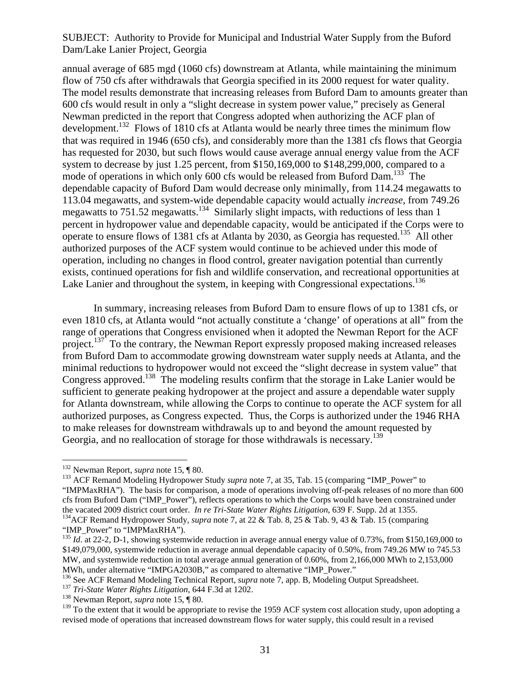annual average of 685 mgd (1060 cfs) downstream at Atlanta, while maintaining the minimum flow of 750 cfs after withdrawals that Georgia specified in its 2000 request for water quality. The model results demonstrate that increasing releases from Buford Dam to amounts greater than 600 cfs would result in only a "slight decrease in system power value," precisely as General Newman predicted in the report that Congress adopted when authorizing the ACF plan of development.<sup>132</sup> Flows of 1810 cfs at Atlanta would be nearly three times the minimum flow that was required in 1946 (650 cfs), and considerably more than the 1381 cfs flows that Georgia has requested for 2030, but such flows would cause average annual energy value from the ACF system to decrease by just 1.25 percent, from \$150,169,000 to \$148,299,000, compared to a mode of operations in which only 600 cfs would be released from Buford Dam.<sup>133</sup> The dependable capacity of Buford Dam would decrease only minimally, from 114.24 megawatts to 113.04 megawatts, and system-wide dependable capacity would actually *increase*, from 749.26 megawatts to 751.52 megawatts.<sup>134</sup> Similarly slight impacts, with reductions of less than 1 percent in hydropower value and dependable capacity, would be anticipated if the Corps were to operate to ensure flows of 1381 cfs at Atlanta by 2030, as Georgia has requested.135 All other authorized purposes of the ACF system would continue to be achieved under this mode of operation, including no changes in flood control, greater navigation potential than currently exists, continued operations for fish and wildlife conservation, and recreational opportunities at Lake Lanier and throughout the system, in keeping with Congressional expectations.<sup>136</sup>

In summary, increasing releases from Buford Dam to ensure flows of up to 1381 cfs, or even 1810 cfs, at Atlanta would "not actually constitute a 'change' of operations at all" from the range of operations that Congress envisioned when it adopted the Newman Report for the ACF project.<sup>137</sup> To the contrary, the Newman Report expressly proposed making increased releases from Buford Dam to accommodate growing downstream water supply needs at Atlanta, and the minimal reductions to hydropower would not exceed the "slight decrease in system value" that Congress approved.<sup>138</sup> The modeling results confirm that the storage in Lake Lanier would be sufficient to generate peaking hydropower at the project and assure a dependable water supply for Atlanta downstream, while allowing the Corps to continue to operate the ACF system for all authorized purposes, as Congress expected. Thus, the Corps is authorized under the 1946 RHA to make releases for downstream withdrawals up to and beyond the amount requested by Georgia, and no reallocation of storage for those withdrawals is necessary.<sup>139</sup>

 $\overline{a}$ 

<sup>132</sup> Newman Report, *supra* note 15, ¶ 80.<br><sup>133</sup> ACF Remand Modeling Hydropower Study *supra* note 7, at 35, Tab. 15 (comparing "IMP\_Power" to "IMPMaxRHA"). The basis for comparison, a mode of operations involving off-peak releases of no more than 600 cfs from Buford Dam ("IMP\_Power"), reflects operations to which the Corps would have been constrained under the vacated 2009 district court order. *In re Tri-State Water Rights Litigation*, 639 F. Supp. 2d at 1355. 134ACF Remand Hydropower Study, *supra* note 7, at 22 & Tab. 8, 25 & Tab. 9, 43 & Tab. 15 (comparing

<sup>&</sup>quot;IMP\_Power" to "IMPMaxRHA").

<sup>&</sup>lt;sup>135</sup> *Id.* at 22-2, D-1, showing systemwide reduction in average annual energy value of 0.73%, from \$150,169,000 to \$149,079,000, systemwide reduction in average annual dependable capacity of 0.50%, from 749.26 MW to 745.53 MW, and systemwide reduction in total average annual generation of 0.60%, from 2,166,000 MWh to 2,153,000 MWh, under alternative "IMPGA2030B," as compared to alternative "IMP Power."

<sup>&</sup>lt;sup>136</sup> See ACF Remand Modeling Technical Report, *supra* note 7, app. B, Modeling Output Spreadsheet.<br><sup>137</sup> Tri-State Water Rights Litigation, 644 F.3d at 1202.<br><sup>138</sup> Newman Report, *supra* note 15, ¶ 80.

<sup>&</sup>lt;sup>139</sup> To the extent that it would be appropriate to revise the 1959 ACF system cost allocation study, upon adopting a revised mode of operations that increased downstream flows for water supply, this could result in a revised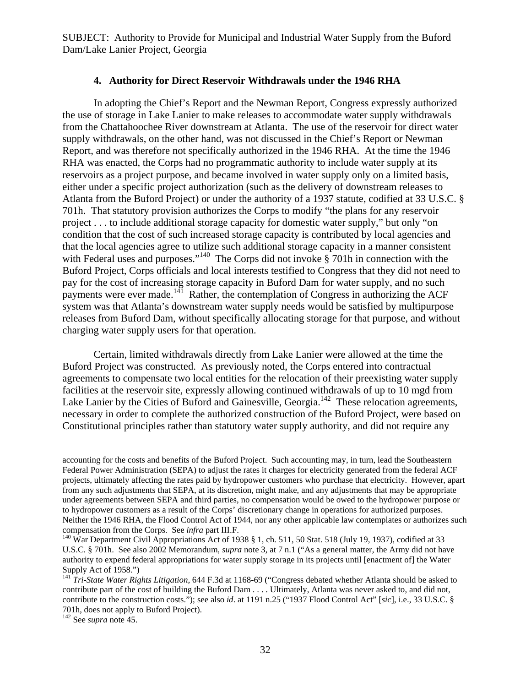#### **4. Authority for Direct Reservoir Withdrawals under the 1946 RHA**

In adopting the Chief's Report and the Newman Report, Congress expressly authorized the use of storage in Lake Lanier to make releases to accommodate water supply withdrawals from the Chattahoochee River downstream at Atlanta. The use of the reservoir for direct water supply withdrawals, on the other hand, was not discussed in the Chief's Report or Newman Report, and was therefore not specifically authorized in the 1946 RHA. At the time the 1946 RHA was enacted, the Corps had no programmatic authority to include water supply at its reservoirs as a project purpose, and became involved in water supply only on a limited basis, either under a specific project authorization (such as the delivery of downstream releases to Atlanta from the Buford Project) or under the authority of a 1937 statute, codified at 33 U.S.C. § 701h. That statutory provision authorizes the Corps to modify "the plans for any reservoir project . . . to include additional storage capacity for domestic water supply," but only "on condition that the cost of such increased storage capacity is contributed by local agencies and that the local agencies agree to utilize such additional storage capacity in a manner consistent with Federal uses and purposes."<sup>140</sup> The Corps did not invoke § 701h in connection with the Buford Project, Corps officials and local interests testified to Congress that they did not need to pay for the cost of increasing storage capacity in Buford Dam for water supply, and no such payments were ever made.<sup>141</sup> Rather, the contemplation of Congress in authorizing the ACF system was that Atlanta's downstream water supply needs would be satisfied by multipurpose releases from Buford Dam, without specifically allocating storage for that purpose, and without charging water supply users for that operation.

Certain, limited withdrawals directly from Lake Lanier were allowed at the time the Buford Project was constructed. As previously noted, the Corps entered into contractual agreements to compensate two local entities for the relocation of their preexisting water supply facilities at the reservoir site, expressly allowing continued withdrawals of up to 10 mgd from Lake Lanier by the Cities of Buford and Gainesville, Georgia.<sup>142</sup> These relocation agreements, necessary in order to complete the authorized construction of the Buford Project, were based on Constitutional principles rather than statutory water supply authority, and did not require any

accounting for the costs and benefits of the Buford Project. Such accounting may, in turn, lead the Southeastern Federal Power Administration (SEPA) to adjust the rates it charges for electricity generated from the federal ACF projects, ultimately affecting the rates paid by hydropower customers who purchase that electricity. However, apart from any such adjustments that SEPA, at its discretion, might make, and any adjustments that may be appropriate under agreements between SEPA and third parties, no compensation would be owed to the hydropower purpose or to hydropower customers as a result of the Corps' discretionary change in operations for authorized purposes. Neither the 1946 RHA, the Flood Control Act of 1944, nor any other applicable law contemplates or authorizes such compensation from the Corps. See *infra* part III.F.

<sup>&</sup>lt;sup>140</sup> War Department Civil Appropriations Act of 1938 § 1, ch. 511, 50 Stat. 518 (July 19, 1937), codified at 33 U.S.C. § 701h. See also 2002 Memorandum, *supra* note 3, at 7 n.1 ("As a general matter, the Army did not have authority to expend federal appropriations for water supply storage in its projects until [enactment of] the Water Supply Act of 1958.")

<sup>&</sup>lt;sup>141</sup> *Tri-State Water Rights Litigation*, 644 F.3d at 1168-69 ("Congress debated whether Atlanta should be asked to contribute part of the cost of building the Buford Dam . . . . Ultimately, Atlanta was never asked to, and did not, contribute to the construction costs."); see also *id*. at 1191 n.25 ("1937 Flood Control Act" [*sic*], i.e., 33 U.S.C. § 701h, does not apply to Buford Project).

<sup>142</sup> See *supra* note 45.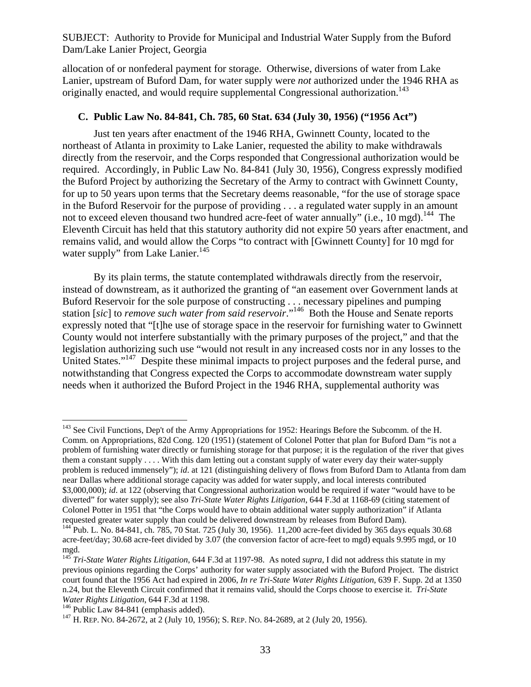allocation of or nonfederal payment for storage. Otherwise, diversions of water from Lake Lanier, upstream of Buford Dam, for water supply were *not* authorized under the 1946 RHA as originally enacted, and would require supplemental Congressional authorization.<sup>143</sup>

#### **C. Public Law No. 84-841, Ch. 785, 60 Stat. 634 (July 30, 1956) ("1956 Act")**

Just ten years after enactment of the 1946 RHA, Gwinnett County, located to the northeast of Atlanta in proximity to Lake Lanier, requested the ability to make withdrawals directly from the reservoir, and the Corps responded that Congressional authorization would be required. Accordingly, in Public Law No. 84-841 (July 30, 1956), Congress expressly modified the Buford Project by authorizing the Secretary of the Army to contract with Gwinnett County, for up to 50 years upon terms that the Secretary deems reasonable, "for the use of storage space in the Buford Reservoir for the purpose of providing . . . a regulated water supply in an amount not to exceed eleven thousand two hundred acre-feet of water annually" (i.e., 10 mgd).<sup>144</sup> The Eleventh Circuit has held that this statutory authority did not expire 50 years after enactment, and remains valid, and would allow the Corps "to contract with [Gwinnett County] for 10 mgd for water supply" from Lake Lanier.<sup>145</sup>

By its plain terms, the statute contemplated withdrawals directly from the reservoir, instead of downstream, as it authorized the granting of "an easement over Government lands at Buford Reservoir for the sole purpose of constructing . . . necessary pipelines and pumping station [*sic*] to *remove such water from said reservoir*."146 Both the House and Senate reports expressly noted that "[t]he use of storage space in the reservoir for furnishing water to Gwinnett County would not interfere substantially with the primary purposes of the project," and that the legislation authorizing such use "would not result in any increased costs nor in any losses to the United States."<sup>147</sup> Despite these minimal impacts to project purposes and the federal purse, and notwithstanding that Congress expected the Corps to accommodate downstream water supply needs when it authorized the Buford Project in the 1946 RHA, supplemental authority was

<sup>&</sup>lt;sup>143</sup> See Civil Functions, Dep't of the Army Appropriations for 1952: Hearings Before the Subcomm. of the H. Comm. on Appropriations, 82d Cong. 120 (1951) (statement of Colonel Potter that plan for Buford Dam "is not a problem of furnishing water directly or furnishing storage for that purpose; it is the regulation of the river that gives them a constant supply . . . . With this dam letting out a constant supply of water every day their water-supply problem is reduced immensely"); *id*. at 121 (distinguishing delivery of flows from Buford Dam to Atlanta from dam near Dallas where additional storage capacity was added for water supply, and local interests contributed \$3,000,000); *id*. at 122 (observing that Congressional authorization would be required if water "would have to be diverted" for water supply); see also *Tri-State Water Rights Litigation*, 644 F.3d at 1168-69 (citing statement of Colonel Potter in 1951 that "the Corps would have to obtain additional water supply authorization" if Atlanta

<sup>&</sup>lt;sup>144</sup> Pub. L. No. 84-841, ch. 785, 70 Stat. 725 (July 30, 1956). 11,200 acre-feet divided by 365 days equals 30.68 acre-feet/day; 30.68 acre-feet divided by 3.07 (the conversion factor of acre-feet to mgd) equals 9.995 mgd, or 10 mgd.

<sup>145</sup> *Tri-State Water Rights Litigation*, 644 F.3d at 1197-98. As noted *supra*, I did not address this statute in my previous opinions regarding the Corps' authority for water supply associated with the Buford Project. The district court found that the 1956 Act had expired in 2006, *In re Tri-State Water Rights Litigation*, 639 F. Supp. 2d at 1350 n.24, but the Eleventh Circuit confirmed that it remains valid, should the Corps choose to exercise it. *Tri-State Water Rights Litigation*, 644 F.3d at 1198.<br><sup>146</sup> Public Law 84-841 (emphasis added). <sup>147</sup> H. REP. NO. 84-2689, at 2 (July 20, 1956).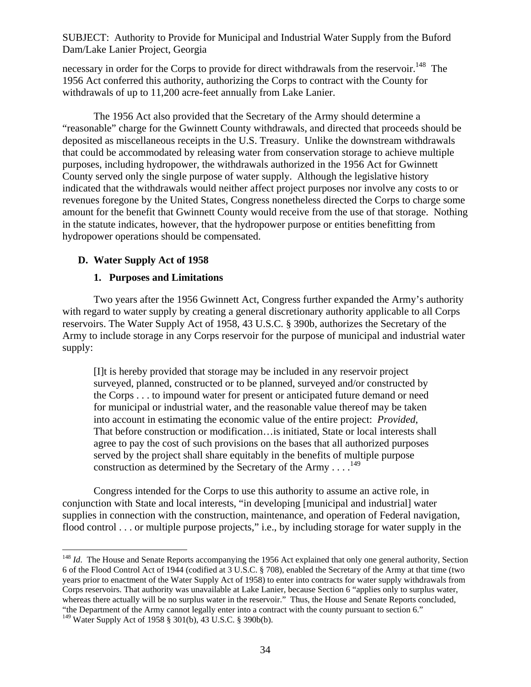necessary in order for the Corps to provide for direct withdrawals from the reservoir.<sup>148</sup> The 1956 Act conferred this authority, authorizing the Corps to contract with the County for withdrawals of up to 11,200 acre-feet annually from Lake Lanier.

The 1956 Act also provided that the Secretary of the Army should determine a "reasonable" charge for the Gwinnett County withdrawals, and directed that proceeds should be deposited as miscellaneous receipts in the U.S. Treasury. Unlike the downstream withdrawals that could be accommodated by releasing water from conservation storage to achieve multiple purposes, including hydropower, the withdrawals authorized in the 1956 Act for Gwinnett County served only the single purpose of water supply. Although the legislative history indicated that the withdrawals would neither affect project purposes nor involve any costs to or revenues foregone by the United States, Congress nonetheless directed the Corps to charge some amount for the benefit that Gwinnett County would receive from the use of that storage. Nothing in the statute indicates, however, that the hydropower purpose or entities benefitting from hydropower operations should be compensated.

# **D. Water Supply Act of 1958**

# **1. Purposes and Limitations**

Two years after the 1956 Gwinnett Act, Congress further expanded the Army's authority with regard to water supply by creating a general discretionary authority applicable to all Corps reservoirs. The Water Supply Act of 1958, 43 U.S.C. § 390b, authorizes the Secretary of the Army to include storage in any Corps reservoir for the purpose of municipal and industrial water supply:

[I]t is hereby provided that storage may be included in any reservoir project surveyed, planned, constructed or to be planned, surveyed and/or constructed by the Corps . . . to impound water for present or anticipated future demand or need for municipal or industrial water, and the reasonable value thereof may be taken into account in estimating the economic value of the entire project: *Provided*, That before construction or modification…is initiated, State or local interests shall agree to pay the cost of such provisions on the bases that all authorized purposes served by the project shall share equitably in the benefits of multiple purpose construction as determined by the Secretary of the Army  $\dots$ <sup>149</sup>

Congress intended for the Corps to use this authority to assume an active role, in conjunction with State and local interests, "in developing [municipal and industrial] water supplies in connection with the construction, maintenance, and operation of Federal navigation, flood control . . . or multiple purpose projects," i.e., by including storage for water supply in the

 $\overline{a}$ <sup>148</sup> *Id.* The House and Senate Reports accompanying the 1956 Act explained that only one general authority, Section 6 of the Flood Control Act of 1944 (codified at 3 U.S.C. § 708), enabled the Secretary of the Army at that time (two years prior to enactment of the Water Supply Act of 1958) to enter into contracts for water supply withdrawals from Corps reservoirs. That authority was unavailable at Lake Lanier, because Section 6 "applies only to surplus water, whereas there actually will be no surplus water in the reservoir." Thus, the House and Senate Reports concluded, "the Department of the Army cannot legally enter into a contract with the county pursuant to section 6."

<sup>149</sup> Water Supply Act of 1958 § 301(b), 43 U.S.C. § 390b(b).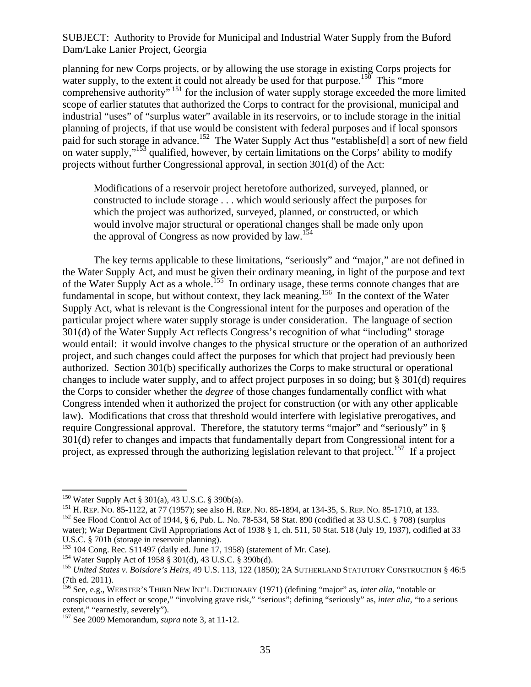planning for new Corps projects, or by allowing the use storage in existing Corps projects for water supply, to the extent it could not already be used for that purpose.<sup>150</sup> This "more comprehensive authority" 151 for the inclusion of water supply storage exceeded the more limited scope of earlier statutes that authorized the Corps to contract for the provisional, municipal and industrial "uses" of "surplus water" available in its reservoirs, or to include storage in the initial planning of projects, if that use would be consistent with federal purposes and if local sponsors paid for such storage in advance.<sup>152</sup> The Water Supply Act thus "establishe[d] a sort of new field on water supply,"<sup>153</sup> qualified, however, by certain limitations on the Corps' ability to modify projects without further Congressional approval, in section 301(d) of the Act:

Modifications of a reservoir project heretofore authorized, surveyed, planned, or constructed to include storage . . . which would seriously affect the purposes for which the project was authorized, surveyed, planned, or constructed, or which would involve major structural or operational changes shall be made only upon the approval of Congress as now provided by  $law$ .<sup>154</sup>

 The key terms applicable to these limitations, "seriously" and "major," are not defined in the Water Supply Act, and must be given their ordinary meaning, in light of the purpose and text of the Water Supply Act as a whole.<sup>155</sup> In ordinary usage, these terms connote changes that are fundamental in scope, but without context, they lack meaning.<sup>156</sup> In the context of the Water Supply Act, what is relevant is the Congressional intent for the purposes and operation of the particular project where water supply storage is under consideration. The language of section 301(d) of the Water Supply Act reflects Congress's recognition of what "including" storage would entail: it would involve changes to the physical structure or the operation of an authorized project, and such changes could affect the purposes for which that project had previously been authorized. Section 301(b) specifically authorizes the Corps to make structural or operational changes to include water supply, and to affect project purposes in so doing; but § 301(d) requires the Corps to consider whether the *degree* of those changes fundamentally conflict with what Congress intended when it authorized the project for construction (or with any other applicable law). Modifications that cross that threshold would interfere with legislative prerogatives, and require Congressional approval. Therefore, the statutory terms "major" and "seriously" in § 301(d) refer to changes and impacts that fundamentally depart from Congressional intent for a project, as expressed through the authorizing legislation relevant to that project.<sup>157</sup> If a project

1

<sup>150</sup> Water Supply Act § 301(a), 43 U.S.C. § 390b(a).<br><sup>151</sup> H. REP. No. 85-1122, at 77 (1957); see also H. REP. No. 85-1894, at 134-35, S. REP. No. 85-1710, at 133.<br><sup>152</sup> See Flood Control Act of 1944, § 6, Pub. L. No. 78

water); War Department Civil Appropriations Act of 1938 § 1, ch. 511, 50 Stat. 518 (July 19, 1937), codified at 33 U.S.C. § 701h (storage in reservoir planning).<br><sup>153</sup> 104 Cong. Rec. S11497 (daily ed. June 17, 1958) (statement of Mr. Case).

<sup>&</sup>lt;sup>154</sup> Water Supply Act of 1958 § 301(d), 43 U.S.C. § 390b(d).<br><sup>155</sup> United States v. Boisdore's Heirs, 49 U.S. 113, 122 (1850); 2A SUTHERLAND STATUTORY CONSTRUCTION § 46:5 (7th ed. 2011).

<sup>156</sup> See, e.g., WEBSTER'S THIRD NEW INT'L DICTIONARY (1971) (defining "major" as, *inter alia*, "notable or conspicuous in effect or scope," "involving grave risk," "serious"; defining "seriously" as, *inter alia*, "to a serious extent," "earnestly, severely").

<sup>157</sup> See 2009 Memorandum, *supra* note 3, at 11-12.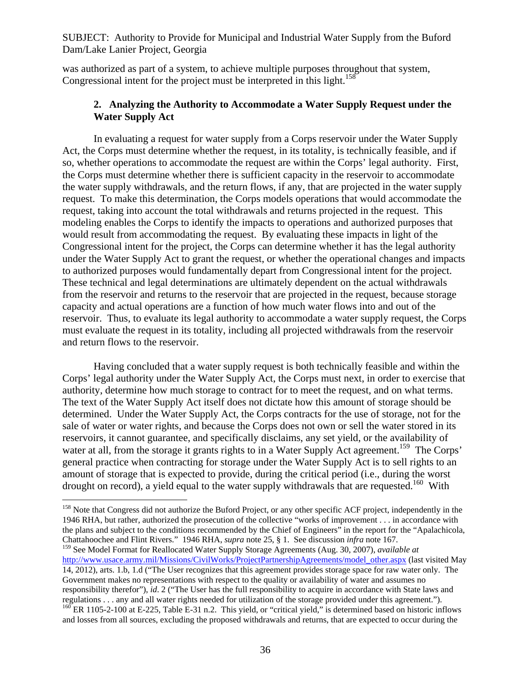was authorized as part of a system, to achieve multiple purposes throughout that system, Congressional intent for the project must be interpreted in this light.<sup>158</sup>

## **2. Analyzing the Authority to Accommodate a Water Supply Request under the Water Supply Act**

In evaluating a request for water supply from a Corps reservoir under the Water Supply Act, the Corps must determine whether the request, in its totality, is technically feasible, and if so, whether operations to accommodate the request are within the Corps' legal authority. First, the Corps must determine whether there is sufficient capacity in the reservoir to accommodate the water supply withdrawals, and the return flows, if any, that are projected in the water supply request. To make this determination, the Corps models operations that would accommodate the request, taking into account the total withdrawals and returns projected in the request. This modeling enables the Corps to identify the impacts to operations and authorized purposes that would result from accommodating the request. By evaluating these impacts in light of the Congressional intent for the project, the Corps can determine whether it has the legal authority under the Water Supply Act to grant the request, or whether the operational changes and impacts to authorized purposes would fundamentally depart from Congressional intent for the project. These technical and legal determinations are ultimately dependent on the actual withdrawals from the reservoir and returns to the reservoir that are projected in the request, because storage capacity and actual operations are a function of how much water flows into and out of the reservoir. Thus, to evaluate its legal authority to accommodate a water supply request, the Corps must evaluate the request in its totality, including all projected withdrawals from the reservoir and return flows to the reservoir.

Having concluded that a water supply request is both technically feasible and within the Corps' legal authority under the Water Supply Act, the Corps must next, in order to exercise that authority, determine how much storage to contract for to meet the request, and on what terms. The text of the Water Supply Act itself does not dictate how this amount of storage should be determined. Under the Water Supply Act, the Corps contracts for the use of storage, not for the sale of water or water rights, and because the Corps does not own or sell the water stored in its reservoirs, it cannot guarantee, and specifically disclaims, any set yield, or the availability of water at all, from the storage it grants rights to in a Water Supply Act agreement.<sup>159</sup> The Corps' general practice when contracting for storage under the Water Supply Act is to sell rights to an amount of storage that is expected to provide, during the critical period (i.e., during the worst drought on record), a yield equal to the water supply withdrawals that are requested.<sup>160</sup> With

<sup>&</sup>lt;sup>158</sup> Note that Congress did not authorize the Buford Project, or any other specific ACF project, independently in the 1946 RHA, but rather, authorized the prosecution of the collective "works of improvement . . . in accordance with the plans and subject to the conditions recommended by the Chief of Engineers" in the report for the "Apalachicola, Chattahoochee and Flint Rivers." 1946 RHA, *supra* note 25, § 1. See discussion *infra* note 167.

<sup>159</sup> See Model Format for Reallocated Water Supply Storage Agreements (Aug. 30, 2007), *available at*  http://www.usace.army.mil/Missions/CivilWorks/ProjectPartnershipAgreements/model\_other.aspx (last visited May 14, 2012), arts. 1.b, 1.d ("The User recognizes that this agreement provides storage space for raw water only. The Government makes no representations with respect to the quality or availability of water and assumes no responsibility therefor"), *id*. 2 ("The User has the full responsibility to acquire in accordance with State laws and regulations . . . any and all water rights needed for utilization of the storage provided under this agreement.").<br><sup>160</sup> ER 1105-2-100 at E-225, Table E-31 n.2. This yield, or "critical yield," is determined based on histo and losses from all sources, excluding the proposed withdrawals and returns, that are expected to occur during the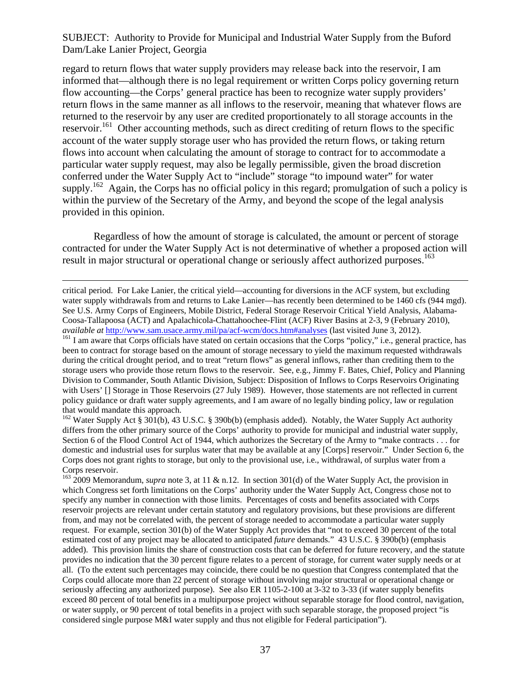regard to return flows that water supply providers may release back into the reservoir, I am informed that—although there is no legal requirement or written Corps policy governing return flow accounting—the Corps' general practice has been to recognize water supply providers' return flows in the same manner as all inflows to the reservoir, meaning that whatever flows are returned to the reservoir by any user are credited proportionately to all storage accounts in the reservoir.<sup>161</sup> Other accounting methods, such as direct crediting of return flows to the specific account of the water supply storage user who has provided the return flows, or taking return flows into account when calculating the amount of storage to contract for to accommodate a particular water supply request, may also be legally permissible, given the broad discretion conferred under the Water Supply Act to "include" storage "to impound water" for water supply.<sup>162</sup> Again, the Corps has no official policy in this regard; promulgation of such a policy is within the purview of the Secretary of the Army, and beyond the scope of the legal analysis provided in this opinion.

Regardless of how the amount of storage is calculated, the amount or percent of storage contracted for under the Water Supply Act is not determinative of whether a proposed action will result in major structural or operational change or seriously affect authorized purposes.<sup>163</sup>

 critical period. For Lake Lanier, the critical yield—accounting for diversions in the ACF system, but excluding water supply withdrawals from and returns to Lake Lanier—has recently been determined to be 1460 cfs (944 mgd). See U.S. Army Corps of Engineers, Mobile District, Federal Storage Reservoir Critical Yield Analysis, Alabama-Coosa-Tallapoosa (ACT) and Apalachicola-Chattahoochee-Flint (ACF) River Basins at 2-3, 9 (February 2010),

*available at* http://www.sam.usace.army.mil/pa/acf-wcm/docs.htm#analyses (last visited June 3, 2012).<br><sup>161</sup> I am aware that Corps officials have stated on certain occasions that the Corps "policy," i.e., general practice, been to contract for storage based on the amount of storage necessary to yield the maximum requested withdrawals during the critical drought period, and to treat "return flows" as general inflows, rather than crediting them to the storage users who provide those return flows to the reservoir. See, e.g., Jimmy F. Bates, Chief, Policy and Planning Division to Commander, South Atlantic Division, Subject: Disposition of Inflows to Corps Reservoirs Originating with Users' [] Storage in Those Reservoirs (27 July 1989). However, those statements are not reflected in current policy guidance or draft water supply agreements, and I am aware of no legally binding policy, law or regulation that would mandate this approach.

<sup>162</sup> Water Supply Act § 301(b), 43 U.S.C. § 390b(b) (emphasis added). Notably, the Water Supply Act authority differs from the other primary source of the Corps' authority to provide for municipal and industrial water supply, Section 6 of the Flood Control Act of 1944, which authorizes the Secretary of the Army to "make contracts . . . for domestic and industrial uses for surplus water that may be available at any [Corps] reservoir." Under Section 6, the Corps does not grant rights to storage, but only to the provisional use, i.e., withdrawal, of surplus water from a Corps reservoir.

<sup>163</sup> 2009 Memorandum, *supra* note 3, at 11 & n.12. In section 301(d) of the Water Supply Act, the provision in which Congress set forth limitations on the Corps' authority under the Water Supply Act, Congress chose not to specify any number in connection with those limits. Percentages of costs and benefits associated with Corps reservoir projects are relevant under certain statutory and regulatory provisions, but these provisions are different from, and may not be correlated with, the percent of storage needed to accommodate a particular water supply request. For example, section 301(b) of the Water Supply Act provides that "not to exceed 30 percent of the total estimated cost of any project may be allocated to anticipated *future* demands." 43 U.S.C. § 390b(b) (emphasis added). This provision limits the share of construction costs that can be deferred for future recovery, and the statute provides no indication that the 30 percent figure relates to a percent of storage, for current water supply needs or at all. (To the extent such percentages may coincide, there could be no question that Congress contemplated that the Corps could allocate more than 22 percent of storage without involving major structural or operational change or seriously affecting any authorized purpose). See also ER 1105-2-100 at 3-32 to 3-33 (if water supply benefits exceed 80 percent of total benefits in a multipurpose project without separable storage for flood control, navigation, or water supply, or 90 percent of total benefits in a project with such separable storage, the proposed project "is considered single purpose M&I water supply and thus not eligible for Federal participation").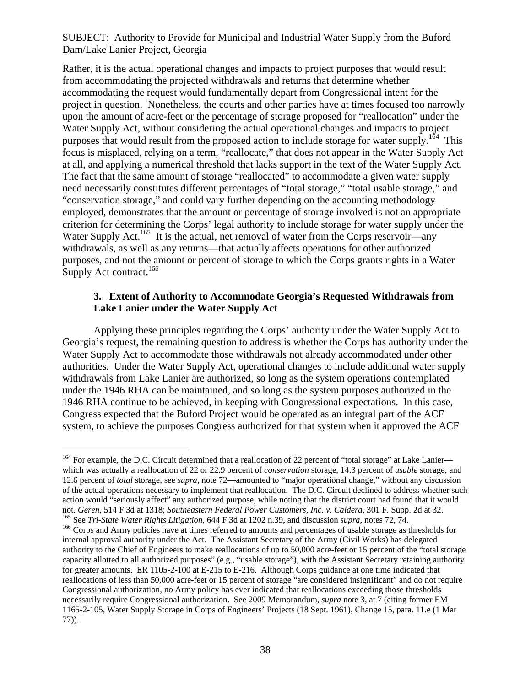Rather, it is the actual operational changes and impacts to project purposes that would result from accommodating the projected withdrawals and returns that determine whether accommodating the request would fundamentally depart from Congressional intent for the project in question. Nonetheless, the courts and other parties have at times focused too narrowly upon the amount of acre-feet or the percentage of storage proposed for "reallocation" under the Water Supply Act, without considering the actual operational changes and impacts to project purposes that would result from the proposed action to include storage for water supply.<sup>164</sup> This focus is misplaced, relying on a term, "reallocate," that does not appear in the Water Supply Act at all, and applying a numerical threshold that lacks support in the text of the Water Supply Act. The fact that the same amount of storage "reallocated" to accommodate a given water supply need necessarily constitutes different percentages of "total storage," "total usable storage," and "conservation storage," and could vary further depending on the accounting methodology employed, demonstrates that the amount or percentage of storage involved is not an appropriate criterion for determining the Corps' legal authority to include storage for water supply under the Water Supply Act.<sup>165</sup> It is the actual, net removal of water from the Corps reservoir—any withdrawals, as well as any returns—that actually affects operations for other authorized purposes, and not the amount or percent of storage to which the Corps grants rights in a Water Supply Act contract.<sup>166</sup>

## **3. Extent of Authority to Accommodate Georgia's Requested Withdrawals from Lake Lanier under the Water Supply Act**

Applying these principles regarding the Corps' authority under the Water Supply Act to Georgia's request, the remaining question to address is whether the Corps has authority under the Water Supply Act to accommodate those withdrawals not already accommodated under other authorities. Under the Water Supply Act, operational changes to include additional water supply withdrawals from Lake Lanier are authorized, so long as the system operations contemplated under the 1946 RHA can be maintained, and so long as the system purposes authorized in the 1946 RHA continue to be achieved, in keeping with Congressional expectations. In this case, Congress expected that the Buford Project would be operated as an integral part of the ACF system, to achieve the purposes Congress authorized for that system when it approved the ACF

1

<sup>&</sup>lt;sup>164</sup> For example, the D.C. Circuit determined that a reallocation of 22 percent of "total storage" at Lake Lanier which was actually a reallocation of 22 or 22.9 percent of *conservation* storage, 14.3 percent of *usable* storage, and 12.6 percent of *total* storage, see *supra*, note 72—amounted to "major operational change," without any discussion of the actual operations necessary to implement that reallocation. The D.C. Circuit declined to address whether such action would "seriously affect" any authorized purpose, while noting that the district court had found that it would not. Geren, 514 F.3d at 1318; Southeastern Federal Power Customers, Inc. v. Caldera, 301 F. Supp. 2d at 32.<br><sup>165</sup> See *Tri-State Water Rights Litigation*, 644 F.3d at 1202 n.39, and discussion *supra*, notes 72, 74.<br><sup>166</sup>

internal approval authority under the Act. The Assistant Secretary of the Army (Civil Works) has delegated authority to the Chief of Engineers to make reallocations of up to 50,000 acre-feet or 15 percent of the "total storage capacity allotted to all authorized purposes" (e.g., "usable storage"), with the Assistant Secretary retaining authority for greater amounts. ER 1105-2-100 at E-215 to E-216. Although Corps guidance at one time indicated that reallocations of less than 50,000 acre-feet or 15 percent of storage "are considered insignificant" and do not require Congressional authorization, no Army policy has ever indicated that reallocations exceeding those thresholds necessarily require Congressional authorization. See 2009 Memorandum, *supra* note 3, at 7 (citing former EM 1165-2-105, Water Supply Storage in Corps of Engineers' Projects (18 Sept. 1961), Change 15, para. 11.e (1 Mar 77)).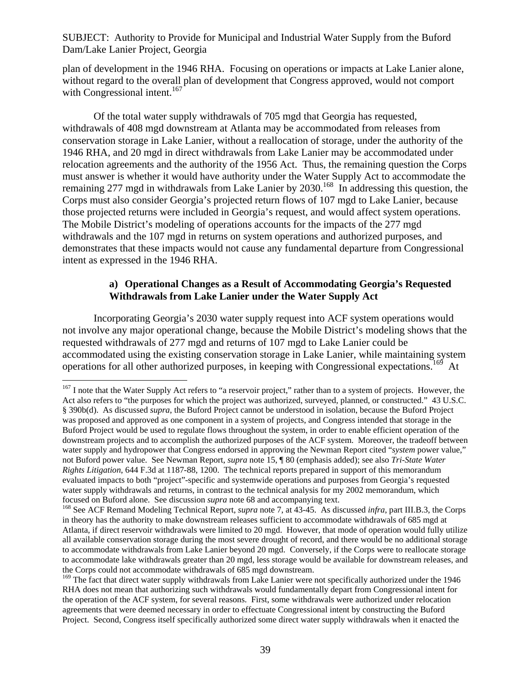plan of development in the 1946 RHA. Focusing on operations or impacts at Lake Lanier alone, without regard to the overall plan of development that Congress approved, would not comport with Congressional intent.<sup>167</sup>

Of the total water supply withdrawals of 705 mgd that Georgia has requested, withdrawals of 408 mgd downstream at Atlanta may be accommodated from releases from conservation storage in Lake Lanier, without a reallocation of storage, under the authority of the 1946 RHA, and 20 mgd in direct withdrawals from Lake Lanier may be accommodated under relocation agreements and the authority of the 1956 Act. Thus, the remaining question the Corps must answer is whether it would have authority under the Water Supply Act to accommodate the remaining 277 mgd in withdrawals from Lake Lanier by  $2030$ .<sup>168</sup> In addressing this question, the Corps must also consider Georgia's projected return flows of 107 mgd to Lake Lanier, because those projected returns were included in Georgia's request, and would affect system operations. The Mobile District's modeling of operations accounts for the impacts of the 277 mgd withdrawals and the 107 mgd in returns on system operations and authorized purposes, and demonstrates that these impacts would not cause any fundamental departure from Congressional intent as expressed in the 1946 RHA.

## **a) Operational Changes as a Result of Accommodating Georgia's Requested Withdrawals from Lake Lanier under the Water Supply Act**

Incorporating Georgia's 2030 water supply request into ACF system operations would not involve any major operational change, because the Mobile District's modeling shows that the requested withdrawals of 277 mgd and returns of 107 mgd to Lake Lanier could be accommodated using the existing conservation storage in Lake Lanier, while maintaining system operations for all other authorized purposes, in keeping with Congressional expectations.<sup>169</sup> At

<sup>1</sup> <sup>167</sup> I note that the Water Supply Act refers to "a reservoir project," rather than to a system of projects. However, the Act also refers to "the purposes for which the project was authorized, surveyed, planned, or constructed." 43 U.S.C. § 390b(d). As discussed *supra*, the Buford Project cannot be understood in isolation, because the Buford Project was proposed and approved as one component in a system of projects, and Congress intended that storage in the Buford Project would be used to regulate flows throughout the system, in order to enable efficient operation of the downstream projects and to accomplish the authorized purposes of the ACF system. Moreover, the tradeoff between water supply and hydropower that Congress endorsed in approving the Newman Report cited "*system* power value," not Buford power value. See Newman Report, *supra* note 15, ¶ 80 (emphasis added); see also *Tri-State Water Rights Litigation*, 644 F.3d at 1187-88, 1200. The technical reports prepared in support of this memorandum evaluated impacts to both "project"-specific and systemwide operations and purposes from Georgia's requested water supply withdrawals and returns, in contrast to the technical analysis for my 2002 memorandum, which focused on Buford alone. See discussion *supra* note 68 and accompanying text.

<sup>&</sup>lt;sup>168</sup> See ACF Remand Modeling Technical Report, *supra* note 7, at 43-45. As discussed *infra*, part III.B.3, the Corps in theory has the authority to make downstream releases sufficient to accommodate withdrawals of 685 mgd at Atlanta, if direct reservoir withdrawals were limited to 20 mgd. However, that mode of operation would fully utilize all available conservation storage during the most severe drought of record, and there would be no additional storage to accommodate withdrawals from Lake Lanier beyond 20 mgd. Conversely, if the Corps were to reallocate storage to accommodate lake withdrawals greater than 20 mgd, less storage would be available for downstream releases, and the Corps could not accommodate withdrawals of 685 mgd downstream.

<sup>&</sup>lt;sup>169</sup> The fact that direct water supply withdrawals from Lake Lanier were not specifically authorized under the 1946 RHA does not mean that authorizing such withdrawals would fundamentally depart from Congressional intent for the operation of the ACF system, for several reasons. First, some withdrawals were authorized under relocation agreements that were deemed necessary in order to effectuate Congressional intent by constructing the Buford Project. Second, Congress itself specifically authorized some direct water supply withdrawals when it enacted the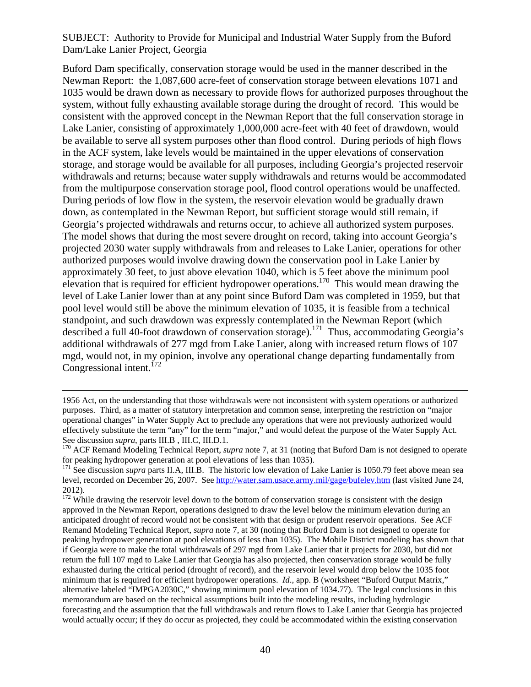Buford Dam specifically, conservation storage would be used in the manner described in the Newman Report: the 1,087,600 acre-feet of conservation storage between elevations 1071 and 1035 would be drawn down as necessary to provide flows for authorized purposes throughout the system, without fully exhausting available storage during the drought of record. This would be consistent with the approved concept in the Newman Report that the full conservation storage in Lake Lanier, consisting of approximately 1,000,000 acre-feet with 40 feet of drawdown, would be available to serve all system purposes other than flood control. During periods of high flows in the ACF system, lake levels would be maintained in the upper elevations of conservation storage, and storage would be available for all purposes, including Georgia's projected reservoir withdrawals and returns; because water supply withdrawals and returns would be accommodated from the multipurpose conservation storage pool, flood control operations would be unaffected. During periods of low flow in the system, the reservoir elevation would be gradually drawn down, as contemplated in the Newman Report, but sufficient storage would still remain, if Georgia's projected withdrawals and returns occur, to achieve all authorized system purposes. The model shows that during the most severe drought on record, taking into account Georgia's projected 2030 water supply withdrawals from and releases to Lake Lanier, operations for other authorized purposes would involve drawing down the conservation pool in Lake Lanier by approximately 30 feet, to just above elevation 1040, which is 5 feet above the minimum pool elevation that is required for efficient hydropower operations.<sup>170</sup> This would mean drawing the level of Lake Lanier lower than at any point since Buford Dam was completed in 1959, but that pool level would still be above the minimum elevation of 1035, it is feasible from a technical standpoint, and such drawdown was expressly contemplated in the Newman Report (which described a full 40-foot drawdown of conservation storage).171 Thus, accommodating Georgia's additional withdrawals of 277 mgd from Lake Lanier, along with increased return flows of 107 mgd, would not, in my opinion, involve any operational change departing fundamentally from Congressional intent. $^{172}$ 

 <sup>1956</sup> Act, on the understanding that those withdrawals were not inconsistent with system operations or authorized purposes. Third, as a matter of statutory interpretation and common sense, interpreting the restriction on "major operational changes" in Water Supply Act to preclude any operations that were not previously authorized would effectively substitute the term "any" for the term "major," and would defeat the purpose of the Water Supply Act. See discussion *supra*, parts III.B , III.C, III.D.1.<br><sup>170</sup> ACF Remand Modeling Technical Report, *supra* note 7, at 31 (noting that Buford Dam is not designed to operate

for peaking hydropower generation at pool elevations of less than 1035).

<sup>&</sup>lt;sup>171</sup> See discussion *supra* parts II.A, III.B. The historic low elevation of Lake Lanier is 1050.79 feet above mean sea level, recorded on December 26, 2007. See http://water.sam.usace.army.mil/gage/bufelev.htm (last visited June 24, 2012).

 $172$  While drawing the reservoir level down to the bottom of conservation storage is consistent with the design approved in the Newman Report, operations designed to draw the level below the minimum elevation during an anticipated drought of record would not be consistent with that design or prudent reservoir operations. See ACF Remand Modeling Technical Report, *supra* note 7, at 30 (noting that Buford Dam is not designed to operate for peaking hydropower generation at pool elevations of less than 1035). The Mobile District modeling has shown that if Georgia were to make the total withdrawals of 297 mgd from Lake Lanier that it projects for 2030, but did not return the full 107 mgd to Lake Lanier that Georgia has also projected, then conservation storage would be fully exhausted during the critical period (drought of record), and the reservoir level would drop below the 1035 foot minimum that is required for efficient hydropower operations. *Id*., app. B (worksheet "Buford Output Matrix," alternative labeled "IMPGA2030C," showing minimum pool elevation of 1034.77). The legal conclusions in this memorandum are based on the technical assumptions built into the modeling results, including hydrologic forecasting and the assumption that the full withdrawals and return flows to Lake Lanier that Georgia has projected would actually occur; if they do occur as projected, they could be accommodated within the existing conservation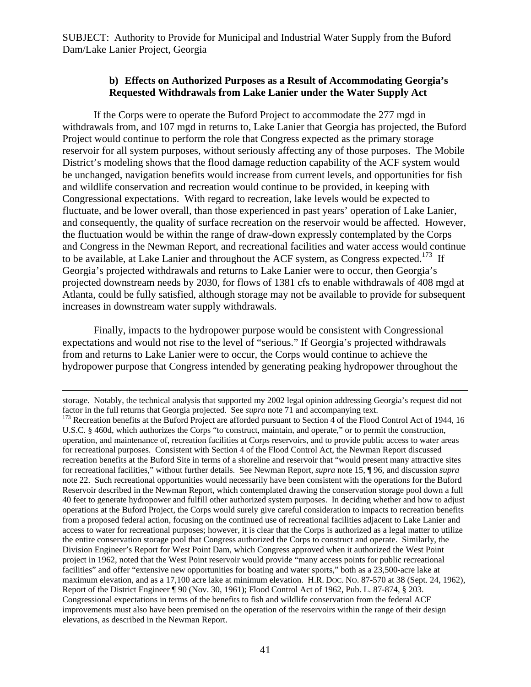### **b) Effects on Authorized Purposes as a Result of Accommodating Georgia's Requested Withdrawals from Lake Lanier under the Water Supply Act**

If the Corps were to operate the Buford Project to accommodate the 277 mgd in withdrawals from, and 107 mgd in returns to, Lake Lanier that Georgia has projected, the Buford Project would continue to perform the role that Congress expected as the primary storage reservoir for all system purposes, without seriously affecting any of those purposes. The Mobile District's modeling shows that the flood damage reduction capability of the ACF system would be unchanged, navigation benefits would increase from current levels, and opportunities for fish and wildlife conservation and recreation would continue to be provided, in keeping with Congressional expectations. With regard to recreation, lake levels would be expected to fluctuate, and be lower overall, than those experienced in past years' operation of Lake Lanier, and consequently, the quality of surface recreation on the reservoir would be affected. However, the fluctuation would be within the range of draw-down expressly contemplated by the Corps and Congress in the Newman Report, and recreational facilities and water access would continue to be available, at Lake Lanier and throughout the ACF system, as Congress expected.<sup>173</sup> If Georgia's projected withdrawals and returns to Lake Lanier were to occur, then Georgia's projected downstream needs by 2030, for flows of 1381 cfs to enable withdrawals of 408 mgd at Atlanta, could be fully satisfied, although storage may not be available to provide for subsequent increases in downstream water supply withdrawals.

Finally, impacts to the hydropower purpose would be consistent with Congressional expectations and would not rise to the level of "serious." If Georgia's projected withdrawals from and returns to Lake Lanier were to occur, the Corps would continue to achieve the hydropower purpose that Congress intended by generating peaking hydropower throughout the

storage. Notably, the technical analysis that supported my 2002 legal opinion addressing Georgia's request did not factor in the full returns that Georgia projected. See *supra* note 71 and accompanying text.

<sup>&</sup>lt;sup>173</sup> Recreation benefits at the Buford Project are afforded pursuant to Section 4 of the Flood Control Act of 1944, 16 U.S.C. § 460d, which authorizes the Corps "to construct, maintain, and operate," or to permit the construction, operation, and maintenance of, recreation facilities at Corps reservoirs, and to provide public access to water areas for recreational purposes. Consistent with Section 4 of the Flood Control Act, the Newman Report discussed recreation benefits at the Buford Site in terms of a shoreline and reservoir that "would present many attractive sites for recreational facilities," without further details. See Newman Report, *supra* note 15, ¶ 96, and discussion *supra*  note 22. Such recreational opportunities would necessarily have been consistent with the operations for the Buford Reservoir described in the Newman Report, which contemplated drawing the conservation storage pool down a full 40 feet to generate hydropower and fulfill other authorized system purposes. In deciding whether and how to adjust operations at the Buford Project, the Corps would surely give careful consideration to impacts to recreation benefits from a proposed federal action, focusing on the continued use of recreational facilities adjacent to Lake Lanier and access to water for recreational purposes; however, it is clear that the Corps is authorized as a legal matter to utilize the entire conservation storage pool that Congress authorized the Corps to construct and operate. Similarly, the Division Engineer's Report for West Point Dam, which Congress approved when it authorized the West Point project in 1962, noted that the West Point reservoir would provide "many access points for public recreational facilities" and offer "extensive new opportunities for boating and water sports," both as a 23,500-acre lake at maximum elevation, and as a 17,100 acre lake at minimum elevation. H.R. DOC. NO. 87-570 at 38 (Sept. 24, 1962), Report of the District Engineer ¶ 90 (Nov. 30, 1961); Flood Control Act of 1962, Pub. L. 87-874, § 203. Congressional expectations in terms of the benefits to fish and wildlife conservation from the federal ACF improvements must also have been premised on the operation of the reservoirs within the range of their design elevations, as described in the Newman Report.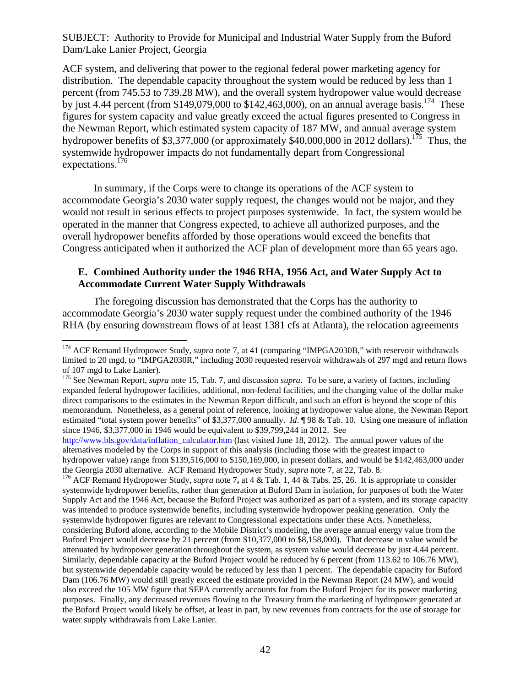ACF system, and delivering that power to the regional federal power marketing agency for distribution. The dependable capacity throughout the system would be reduced by less than 1 percent (from 745.53 to 739.28 MW), and the overall system hydropower value would decrease by just 4.44 percent (from \$149,079,000 to \$142,463,000), on an annual average basis.<sup>174</sup> These figures for system capacity and value greatly exceed the actual figures presented to Congress in the Newman Report, which estimated system capacity of 187 MW, and annual average system hydropower benefits of \$3,377,000 (or approximately \$40,000,000 in 2012 dollars).<sup>175</sup> Thus, the systemwide hydropower impacts do not fundamentally depart from Congressional expectations.<sup>176</sup>

In summary, if the Corps were to change its operations of the ACF system to accommodate Georgia's 2030 water supply request, the changes would not be major, and they would not result in serious effects to project purposes systemwide. In fact, the system would be operated in the manner that Congress expected, to achieve all authorized purposes, and the overall hydropower benefits afforded by those operations would exceed the benefits that Congress anticipated when it authorized the ACF plan of development more than 65 years ago.

#### **E. Combined Authority under the 1946 RHA, 1956 Act, and Water Supply Act to Accommodate Current Water Supply Withdrawals**

The foregoing discussion has demonstrated that the Corps has the authority to accommodate Georgia's 2030 water supply request under the combined authority of the 1946 RHA (by ensuring downstream flows of at least 1381 cfs at Atlanta), the relocation agreements

http://www.bls.gov/data/inflation\_calculator.htm (last visited June 18, 2012). The annual power values of the alternatives modeled by the Corps in support of this analysis (including those with the greatest impact to hydropower value) range from \$139,516,000 to \$150,169,000, in present dollars, and would be \$142,463,000 under the Georgia 2030 alternative. ACF Remand Hydropower Study, *supra* note 7, at 22, Tab. 8. 176 ACF Remand Hydropower Study, *supra* note 7**,** at 4 & Tab. 1, 44 & Tabs. 25, 26. It is appropriate to consider

systemwide hydropower benefits, rather than generation at Buford Dam in isolation, for purposes of both the Water Supply Act and the 1946 Act, because the Buford Project was authorized as part of a system, and its storage capacity was intended to produce systemwide benefits, including systemwide hydropower peaking generation. Only the systemwide hydropower figures are relevant to Congressional expectations under these Acts. Nonetheless, considering Buford alone, according to the Mobile District's modeling, the average annual energy value from the Buford Project would decrease by 21 percent (from \$10,377,000 to \$8,158,000). That decrease in value would be attenuated by hydropower generation throughout the system, as system value would decrease by just 4.44 percent. Similarly, dependable capacity at the Buford Project would be reduced by 6 percent (from 113.62 to 106.76 MW), but systemwide dependable capacity would be reduced by less than 1 percent. The dependable capacity for Buford Dam (106.76 MW) would still greatly exceed the estimate provided in the Newman Report (24 MW), and would also exceed the 105 MW figure that SEPA currently accounts for from the Buford Project for its power marketing purposes. Finally, any decreased revenues flowing to the Treasury from the marketing of hydropower generated at the Buford Project would likely be offset, at least in part, by new revenues from contracts for the use of storage for water supply withdrawals from Lake Lanier.

 $\overline{a}$ <sup>174</sup> ACF Remand Hydropower Study, *supra* note 7, at 41 (comparing "IMPGA2030B," with reservoir withdrawals limited to 20 mgd, to "IMPGA2030R," including 2030 requested reservoir withdrawals of 297 mgd and return flows of 107 mgd to Lake Lanier).

<sup>&</sup>lt;sup>175</sup> See Newman Report, *supra* note 15, Tab. 7, and discussion *supra*. To be sure, a variety of factors, including expanded federal hydropower facilities, additional, non-federal facilities, and the changing value of the dollar make direct comparisons to the estimates in the Newman Report difficult, and such an effort is beyond the scope of this memorandum. Nonetheless, as a general point of reference, looking at hydropower value alone, the Newman Report estimated "total system power benefits" of \$3,377,000 annually. *Id*. ¶ 98 & Tab. 10. Using one measure of inflation since 1946, \$3,377,000 in 1946 would be equivalent to \$39,799,244 in 2012. See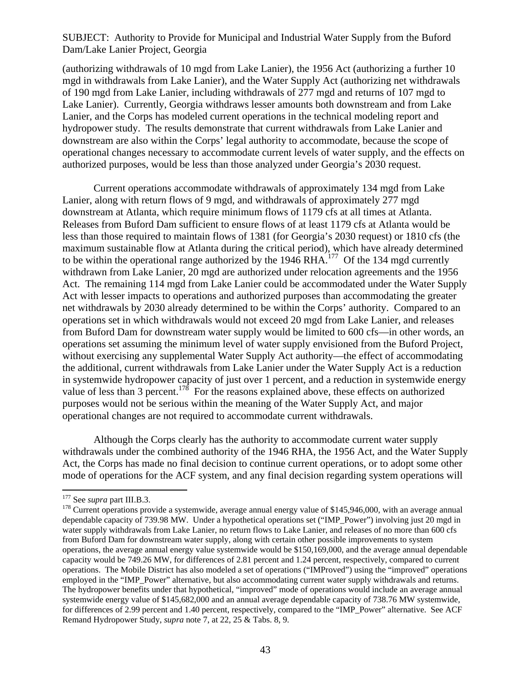(authorizing withdrawals of 10 mgd from Lake Lanier), the 1956 Act (authorizing a further 10 mgd in withdrawals from Lake Lanier), and the Water Supply Act (authorizing net withdrawals of 190 mgd from Lake Lanier, including withdrawals of 277 mgd and returns of 107 mgd to Lake Lanier). Currently, Georgia withdraws lesser amounts both downstream and from Lake Lanier, and the Corps has modeled current operations in the technical modeling report and hydropower study. The results demonstrate that current withdrawals from Lake Lanier and downstream are also within the Corps' legal authority to accommodate, because the scope of operational changes necessary to accommodate current levels of water supply, and the effects on authorized purposes, would be less than those analyzed under Georgia's 2030 request.

Current operations accommodate withdrawals of approximately 134 mgd from Lake Lanier, along with return flows of 9 mgd, and withdrawals of approximately 277 mgd downstream at Atlanta, which require minimum flows of 1179 cfs at all times at Atlanta. Releases from Buford Dam sufficient to ensure flows of at least 1179 cfs at Atlanta would be less than those required to maintain flows of 1381 (for Georgia's 2030 request) or 1810 cfs (the maximum sustainable flow at Atlanta during the critical period), which have already determined to be within the operational range authorized by the 1946 RHA.<sup>177</sup> Of the 134 mgd currently withdrawn from Lake Lanier, 20 mgd are authorized under relocation agreements and the 1956 Act. The remaining 114 mgd from Lake Lanier could be accommodated under the Water Supply Act with lesser impacts to operations and authorized purposes than accommodating the greater net withdrawals by 2030 already determined to be within the Corps' authority. Compared to an operations set in which withdrawals would not exceed 20 mgd from Lake Lanier, and releases from Buford Dam for downstream water supply would be limited to 600 cfs—in other words, an operations set assuming the minimum level of water supply envisioned from the Buford Project, without exercising any supplemental Water Supply Act authority—the effect of accommodating the additional, current withdrawals from Lake Lanier under the Water Supply Act is a reduction in systemwide hydropower capacity of just over 1 percent, and a reduction in systemwide energy value of less than 3 percent.<sup>178</sup> For the reasons explained above, these effects on authorized purposes would not be serious within the meaning of the Water Supply Act, and major operational changes are not required to accommodate current withdrawals.

Although the Corps clearly has the authority to accommodate current water supply withdrawals under the combined authority of the 1946 RHA, the 1956 Act, and the Water Supply Act, the Corps has made no final decision to continue current operations, or to adopt some other mode of operations for the ACF system, and any final decision regarding system operations will

<sup>&</sup>lt;sup>177</sup> See *supra* part III.B.3.<br><sup>178</sup> Current operations provide a systemwide, average annual energy value of \$145,946,000, with an average annual dependable capacity of 739.98 MW. Under a hypothetical operations set ("IMP\_Power") involving just 20 mgd in water supply withdrawals from Lake Lanier, no return flows to Lake Lanier, and releases of no more than 600 cfs from Buford Dam for downstream water supply, along with certain other possible improvements to system operations, the average annual energy value systemwide would be \$150,169,000, and the average annual dependable capacity would be 749.26 MW, for differences of 2.81 percent and 1.24 percent, respectively, compared to current operations. The Mobile District has also modeled a set of operations ("IMProved") using the "improved" operations employed in the "IMP\_Power" alternative, but also accommodating current water supply withdrawals and returns. The hydropower benefits under that hypothetical, "improved" mode of operations would include an average annual systemwide energy value of \$145,682,000 and an annual average dependable capacity of 738.76 MW systemwide, for differences of 2.99 percent and 1.40 percent, respectively, compared to the "IMP\_Power" alternative. See ACF Remand Hydropower Study, *supra* note 7, at 22, 25 & Tabs. 8, 9.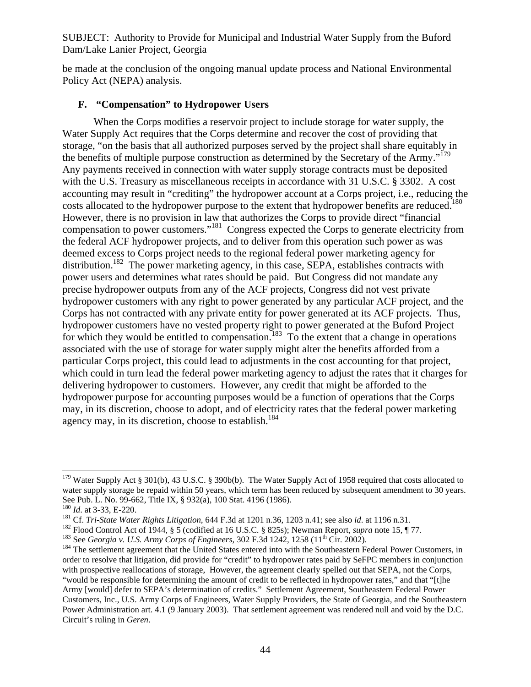be made at the conclusion of the ongoing manual update process and National Environmental Policy Act (NEPA) analysis.

## **F. "Compensation" to Hydropower Users**

When the Corps modifies a reservoir project to include storage for water supply, the Water Supply Act requires that the Corps determine and recover the cost of providing that storage, "on the basis that all authorized purposes served by the project shall share equitably in the benefits of multiple purpose construction as determined by the Secretary of the Army."<sup>179</sup> Any payments received in connection with water supply storage contracts must be deposited with the U.S. Treasury as miscellaneous receipts in accordance with 31 U.S.C. § 3302. A cost accounting may result in "crediting" the hydropower account at a Corps project, i.e., reducing the costs allocated to the hydropower purpose to the extent that hydropower benefits are reduced.<sup>180</sup> However, there is no provision in law that authorizes the Corps to provide direct "financial compensation to power customers."181 Congress expected the Corps to generate electricity from the federal ACF hydropower projects, and to deliver from this operation such power as was deemed excess to Corps project needs to the regional federal power marketing agency for distribution.<sup>182</sup> The power marketing agency, in this case, SEPA, establishes contracts with power users and determines what rates should be paid. But Congress did not mandate any precise hydropower outputs from any of the ACF projects, Congress did not vest private hydropower customers with any right to power generated by any particular ACF project, and the Corps has not contracted with any private entity for power generated at its ACF projects. Thus, hydropower customers have no vested property right to power generated at the Buford Project for which they would be entitled to compensation.<sup>183</sup> To the extent that a change in operations associated with the use of storage for water supply might alter the benefits afforded from a particular Corps project, this could lead to adjustments in the cost accounting for that project, which could in turn lead the federal power marketing agency to adjust the rates that it charges for delivering hydropower to customers. However, any credit that might be afforded to the hydropower purpose for accounting purposes would be a function of operations that the Corps may, in its discretion, choose to adopt, and of electricity rates that the federal power marketing agency may, in its discretion, choose to establish.<sup>184</sup>

<sup>&</sup>lt;sup>179</sup> Water Supply Act § 301(b), 43 U.S.C. § 390b(b). The Water Supply Act of 1958 required that costs allocated to water supply storage be repaid within 50 years, which term has been reduced by subsequent amendment to 30 years.<br>See Pub. L. No. 99-662, Title IX, § 932(a), 100 Stat. 4196 (1986).

<sup>&</sup>lt;sup>180</sup> *Id.* at 3-33, E-220.<br><sup>181</sup> Cf. *Tri-State Water Rights Litigation*, 644 F.3d at 1201 n.36, 1203 n.41; see also *id.* at 1196 n.31.<br><sup>182</sup> Flood Control Act of 1944, § 5 (codified at 16 U.S.C. § 825s); Newman Report,

order to resolve that litigation, did provide for "credit" to hydropower rates paid by SeFPC members in conjunction with prospective reallocations of storage, However, the agreement clearly spelled out that SEPA, not the Corps, "would be responsible for determining the amount of credit to be reflected in hydropower rates," and that "[t]he Army [would] defer to SEPA's determination of credits." Settlement Agreement, Southeastern Federal Power Customers, Inc., U.S. Army Corps of Engineers, Water Supply Providers, the State of Georgia, and the Southeastern Power Administration art. 4.1 (9 January 2003). That settlement agreement was rendered null and void by the D.C. Circuit's ruling in *Geren*.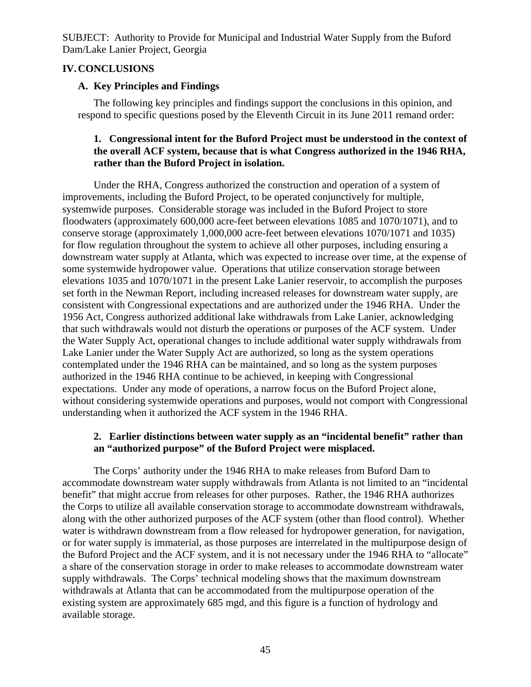## **IV.CONCLUSIONS**

## **A. Key Principles and Findings**

The following key principles and findings support the conclusions in this opinion, and respond to specific questions posed by the Eleventh Circuit in its June 2011 remand order:

## **1. Congressional intent for the Buford Project must be understood in the context of the overall ACF system, because that is what Congress authorized in the 1946 RHA, rather than the Buford Project in isolation.**

Under the RHA, Congress authorized the construction and operation of a system of improvements, including the Buford Project, to be operated conjunctively for multiple, systemwide purposes. Considerable storage was included in the Buford Project to store floodwaters (approximately 600,000 acre-feet between elevations 1085 and 1070/1071), and to conserve storage (approximately 1,000,000 acre-feet between elevations 1070/1071 and 1035) for flow regulation throughout the system to achieve all other purposes, including ensuring a downstream water supply at Atlanta, which was expected to increase over time, at the expense of some systemwide hydropower value. Operations that utilize conservation storage between elevations 1035 and 1070/1071 in the present Lake Lanier reservoir, to accomplish the purposes set forth in the Newman Report, including increased releases for downstream water supply, are consistent with Congressional expectations and are authorized under the 1946 RHA. Under the 1956 Act, Congress authorized additional lake withdrawals from Lake Lanier, acknowledging that such withdrawals would not disturb the operations or purposes of the ACF system. Under the Water Supply Act, operational changes to include additional water supply withdrawals from Lake Lanier under the Water Supply Act are authorized, so long as the system operations contemplated under the 1946 RHA can be maintained, and so long as the system purposes authorized in the 1946 RHA continue to be achieved, in keeping with Congressional expectations. Under any mode of operations, a narrow focus on the Buford Project alone, without considering systemwide operations and purposes, would not comport with Congressional understanding when it authorized the ACF system in the 1946 RHA.

# **2. Earlier distinctions between water supply as an "incidental benefit" rather than an "authorized purpose" of the Buford Project were misplaced.**

The Corps' authority under the 1946 RHA to make releases from Buford Dam to accommodate downstream water supply withdrawals from Atlanta is not limited to an "incidental benefit" that might accrue from releases for other purposes. Rather, the 1946 RHA authorizes the Corps to utilize all available conservation storage to accommodate downstream withdrawals, along with the other authorized purposes of the ACF system (other than flood control). Whether water is withdrawn downstream from a flow released for hydropower generation, for navigation, or for water supply is immaterial, as those purposes are interrelated in the multipurpose design of the Buford Project and the ACF system, and it is not necessary under the 1946 RHA to "allocate" a share of the conservation storage in order to make releases to accommodate downstream water supply withdrawals. The Corps' technical modeling shows that the maximum downstream withdrawals at Atlanta that can be accommodated from the multipurpose operation of the existing system are approximately 685 mgd, and this figure is a function of hydrology and available storage.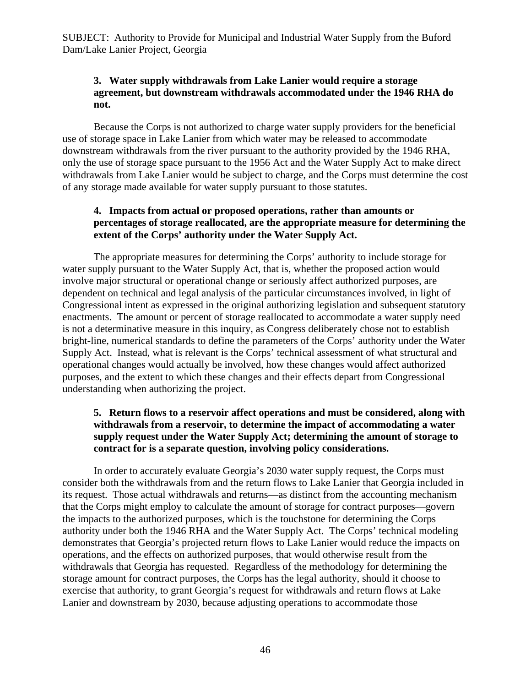# **3. Water supply withdrawals from Lake Lanier would require a storage agreement, but downstream withdrawals accommodated under the 1946 RHA do not.**

Because the Corps is not authorized to charge water supply providers for the beneficial use of storage space in Lake Lanier from which water may be released to accommodate downstream withdrawals from the river pursuant to the authority provided by the 1946 RHA, only the use of storage space pursuant to the 1956 Act and the Water Supply Act to make direct withdrawals from Lake Lanier would be subject to charge, and the Corps must determine the cost of any storage made available for water supply pursuant to those statutes.

# **4. Impacts from actual or proposed operations, rather than amounts or percentages of storage reallocated, are the appropriate measure for determining the extent of the Corps' authority under the Water Supply Act.**

The appropriate measures for determining the Corps' authority to include storage for water supply pursuant to the Water Supply Act, that is, whether the proposed action would involve major structural or operational change or seriously affect authorized purposes, are dependent on technical and legal analysis of the particular circumstances involved, in light of Congressional intent as expressed in the original authorizing legislation and subsequent statutory enactments. The amount or percent of storage reallocated to accommodate a water supply need is not a determinative measure in this inquiry, as Congress deliberately chose not to establish bright-line, numerical standards to define the parameters of the Corps' authority under the Water Supply Act. Instead, what is relevant is the Corps' technical assessment of what structural and operational changes would actually be involved, how these changes would affect authorized purposes, and the extent to which these changes and their effects depart from Congressional understanding when authorizing the project.

# **5. Return flows to a reservoir affect operations and must be considered, along with withdrawals from a reservoir, to determine the impact of accommodating a water supply request under the Water Supply Act; determining the amount of storage to contract for is a separate question, involving policy considerations.**

In order to accurately evaluate Georgia's 2030 water supply request, the Corps must consider both the withdrawals from and the return flows to Lake Lanier that Georgia included in its request. Those actual withdrawals and returns—as distinct from the accounting mechanism that the Corps might employ to calculate the amount of storage for contract purposes—govern the impacts to the authorized purposes, which is the touchstone for determining the Corps authority under both the 1946 RHA and the Water Supply Act. The Corps' technical modeling demonstrates that Georgia's projected return flows to Lake Lanier would reduce the impacts on operations, and the effects on authorized purposes, that would otherwise result from the withdrawals that Georgia has requested. Regardless of the methodology for determining the storage amount for contract purposes, the Corps has the legal authority, should it choose to exercise that authority, to grant Georgia's request for withdrawals and return flows at Lake Lanier and downstream by 2030, because adjusting operations to accommodate those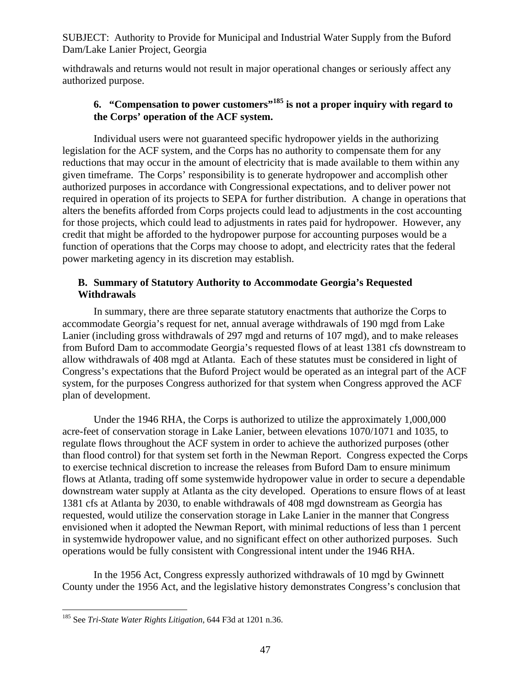withdrawals and returns would not result in major operational changes or seriously affect any authorized purpose.

# **6. "Compensation to power customers"185 is not a proper inquiry with regard to the Corps' operation of the ACF system.**

Individual users were not guaranteed specific hydropower yields in the authorizing legislation for the ACF system, and the Corps has no authority to compensate them for any reductions that may occur in the amount of electricity that is made available to them within any given timeframe. The Corps' responsibility is to generate hydropower and accomplish other authorized purposes in accordance with Congressional expectations, and to deliver power not required in operation of its projects to SEPA for further distribution. A change in operations that alters the benefits afforded from Corps projects could lead to adjustments in the cost accounting for those projects, which could lead to adjustments in rates paid for hydropower. However, any credit that might be afforded to the hydropower purpose for accounting purposes would be a function of operations that the Corps may choose to adopt, and electricity rates that the federal power marketing agency in its discretion may establish.

### **B. Summary of Statutory Authority to Accommodate Georgia's Requested Withdrawals**

In summary, there are three separate statutory enactments that authorize the Corps to accommodate Georgia's request for net, annual average withdrawals of 190 mgd from Lake Lanier (including gross withdrawals of 297 mgd and returns of 107 mgd), and to make releases from Buford Dam to accommodate Georgia's requested flows of at least 1381 cfs downstream to allow withdrawals of 408 mgd at Atlanta. Each of these statutes must be considered in light of Congress's expectations that the Buford Project would be operated as an integral part of the ACF system, for the purposes Congress authorized for that system when Congress approved the ACF plan of development.

Under the 1946 RHA, the Corps is authorized to utilize the approximately 1,000,000 acre-feet of conservation storage in Lake Lanier, between elevations 1070/1071 and 1035, to regulate flows throughout the ACF system in order to achieve the authorized purposes (other than flood control) for that system set forth in the Newman Report. Congress expected the Corps to exercise technical discretion to increase the releases from Buford Dam to ensure minimum flows at Atlanta, trading off some systemwide hydropower value in order to secure a dependable downstream water supply at Atlanta as the city developed. Operations to ensure flows of at least 1381 cfs at Atlanta by 2030, to enable withdrawals of 408 mgd downstream as Georgia has requested, would utilize the conservation storage in Lake Lanier in the manner that Congress envisioned when it adopted the Newman Report, with minimal reductions of less than 1 percent in systemwide hydropower value, and no significant effect on other authorized purposes. Such operations would be fully consistent with Congressional intent under the 1946 RHA.

In the 1956 Act, Congress expressly authorized withdrawals of 10 mgd by Gwinnett County under the 1956 Act, and the legislative history demonstrates Congress's conclusion that

 $\overline{a}$ 185 See *Tri-State Water Rights Litigation*, 644 F3d at 1201 n.36.